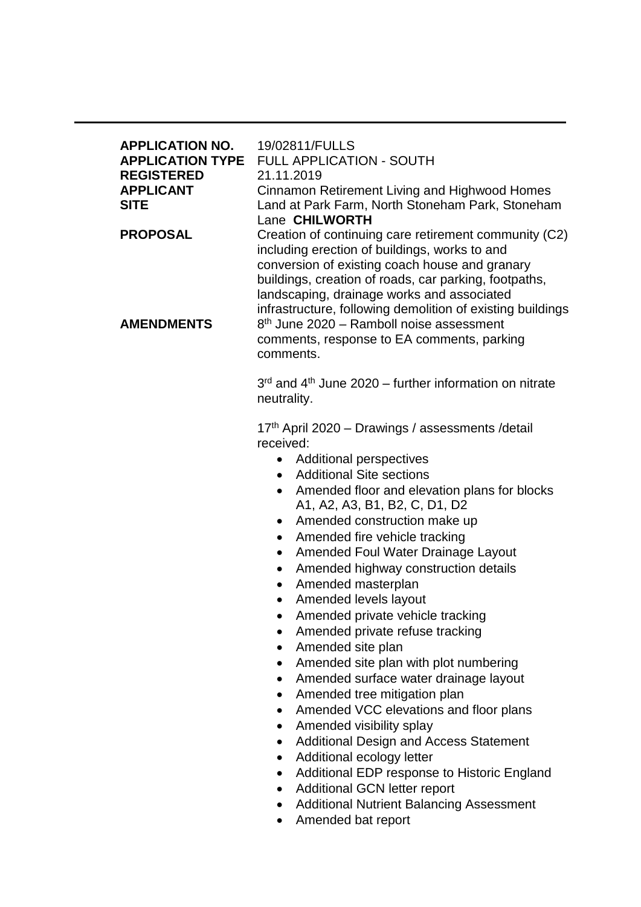| <b>APPLICATION NO.</b><br><b>APPLICATION TYPE</b><br><b>REGISTERED</b><br><b>APPLICANT</b><br><b>SITE</b><br><b>PROPOSAL</b> | 19/02811/FULLS<br><b>FULL APPLICATION - SOUTH</b><br>21.11.2019<br>Cinnamon Retirement Living and Highwood Homes<br>Land at Park Farm, North Stoneham Park, Stoneham<br>Lane CHILWORTH<br>Creation of continuing care retirement community (C2)<br>including erection of buildings, works to and<br>conversion of existing coach house and granary<br>buildings, creation of roads, car parking, footpaths,<br>landscaping, drainage works and associated                                                                                                                                                                                                                                                                                                                                                                                                                                                                                                                                                                                                                   |  |  |  |  |
|------------------------------------------------------------------------------------------------------------------------------|-----------------------------------------------------------------------------------------------------------------------------------------------------------------------------------------------------------------------------------------------------------------------------------------------------------------------------------------------------------------------------------------------------------------------------------------------------------------------------------------------------------------------------------------------------------------------------------------------------------------------------------------------------------------------------------------------------------------------------------------------------------------------------------------------------------------------------------------------------------------------------------------------------------------------------------------------------------------------------------------------------------------------------------------------------------------------------|--|--|--|--|
| <b>AMENDMENTS</b>                                                                                                            | infrastructure, following demolition of existing buildings<br>8 <sup>th</sup> June 2020 - Ramboll noise assessment<br>comments, response to EA comments, parking<br>comments.                                                                                                                                                                                                                                                                                                                                                                                                                                                                                                                                                                                                                                                                                                                                                                                                                                                                                               |  |  |  |  |
|                                                                                                                              | 3rd and 4th June 2020 - further information on nitrate<br>neutrality.                                                                                                                                                                                                                                                                                                                                                                                                                                                                                                                                                                                                                                                                                                                                                                                                                                                                                                                                                                                                       |  |  |  |  |
|                                                                                                                              | 17th April 2020 - Drawings / assessments / detail<br>received:<br><b>Additional perspectives</b><br>٠<br><b>Additional Site sections</b><br>$\bullet$<br>Amended floor and elevation plans for blocks<br>A1, A2, A3, B1, B2, C, D1, D2<br>Amended construction make up<br>$\bullet$<br>Amended fire vehicle tracking<br>$\bullet$<br>Amended Foul Water Drainage Layout<br>$\bullet$<br>Amended highway construction details<br>Amended masterplan<br>$\bullet$<br>Amended levels layout<br>$\bullet$<br>Amended private vehicle tracking<br>Amended private refuse tracking<br>Amended site plan<br>Amended site plan with plot numbering<br>٠<br>Amended surface water drainage layout<br>Amended tree mitigation plan<br>Amended VCC elevations and floor plans<br>Amended visibility splay<br>Additional Design and Access Statement<br>Additional ecology letter<br>Additional EDP response to Historic England<br>$\bullet$<br><b>Additional GCN letter report</b><br>$\bullet$<br><b>Additional Nutrient Balancing Assessment</b><br>$\bullet$<br>Amended bat report |  |  |  |  |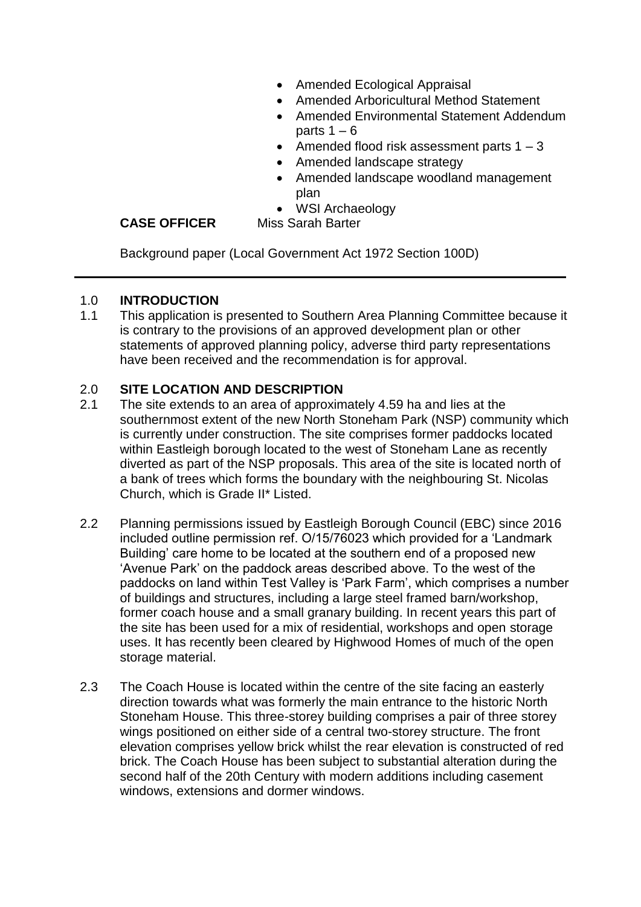- Amended Ecological Appraisal
- Amended Arboricultural Method Statement
- Amended Environmental Statement Addendum parts  $1 - 6$
- Amended flood risk assessment parts  $1 3$
- Amended landscape strategy
- Amended landscape woodland management plan
- WSI Archaeology

#### **CASE OFFICER** Miss Sarah Barter

Background paper (Local Government Act 1972 Section 100D)

### 1.0 **INTRODUCTION**

1.1 This application is presented to Southern Area Planning Committee because it is contrary to the provisions of an approved development plan or other statements of approved planning policy, adverse third party representations have been received and the recommendation is for approval.

## 2.0 **SITE LOCATION AND DESCRIPTION**

- 2.1 The site extends to an area of approximately 4.59 ha and lies at the southernmost extent of the new North Stoneham Park (NSP) community which is currently under construction. The site comprises former paddocks located within Eastleigh borough located to the west of Stoneham Lane as recently diverted as part of the NSP proposals. This area of the site is located north of a bank of trees which forms the boundary with the neighbouring St. Nicolas Church, which is Grade II\* Listed.
- 2.2 Planning permissions issued by Eastleigh Borough Council (EBC) since 2016 included outline permission ref. O/15/76023 which provided for a 'Landmark Building' care home to be located at the southern end of a proposed new 'Avenue Park' on the paddock areas described above. To the west of the paddocks on land within Test Valley is 'Park Farm', which comprises a number of buildings and structures, including a large steel framed barn/workshop, former coach house and a small granary building. In recent years this part of the site has been used for a mix of residential, workshops and open storage uses. It has recently been cleared by Highwood Homes of much of the open storage material.
- 2.3 The Coach House is located within the centre of the site facing an easterly direction towards what was formerly the main entrance to the historic North Stoneham House. This three-storey building comprises a pair of three storey wings positioned on either side of a central two-storey structure. The front elevation comprises yellow brick whilst the rear elevation is constructed of red brick. The Coach House has been subject to substantial alteration during the second half of the 20th Century with modern additions including casement windows, extensions and dormer windows.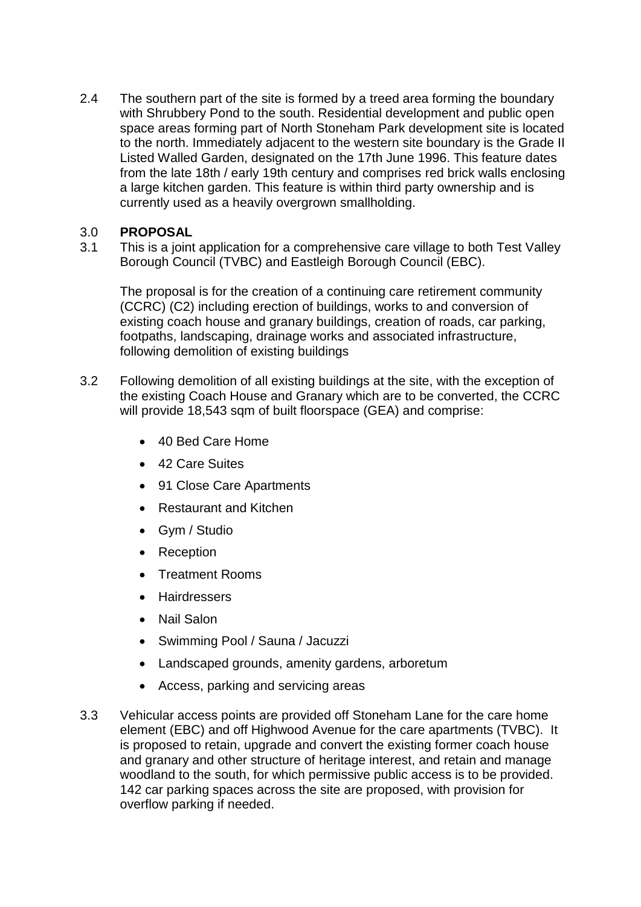2.4 The southern part of the site is formed by a treed area forming the boundary with Shrubbery Pond to the south. Residential development and public open space areas forming part of North Stoneham Park development site is located to the north. Immediately adjacent to the western site boundary is the Grade II Listed Walled Garden, designated on the 17th June 1996. This feature dates from the late 18th / early 19th century and comprises red brick walls enclosing a large kitchen garden. This feature is within third party ownership and is currently used as a heavily overgrown smallholding.

## 3.0 **PROPOSAL**

3.1 This is a joint application for a comprehensive care village to both Test Valley Borough Council (TVBC) and Eastleigh Borough Council (EBC).

The proposal is for the creation of a continuing care retirement community (CCRC) (C2) including erection of buildings, works to and conversion of existing coach house and granary buildings, creation of roads, car parking, footpaths, landscaping, drainage works and associated infrastructure, following demolition of existing buildings

- 3.2 Following demolition of all existing buildings at the site, with the exception of the existing Coach House and Granary which are to be converted, the CCRC will provide 18,543 sqm of built floorspace (GEA) and comprise:
	- 40 Bed Care Home
	- 42 Care Suites
	- 91 Close Care Apartments
	- Restaurant and Kitchen
	- Gym / Studio
	- Reception
	- Treatment Rooms
	- **•** Hairdressers
	- Nail Salon
	- Swimming Pool / Sauna / Jacuzzi
	- Landscaped grounds, amenity gardens, arboretum
	- Access, parking and servicing areas
- 3.3 Vehicular access points are provided off Stoneham Lane for the care home element (EBC) and off Highwood Avenue for the care apartments (TVBC). It is proposed to retain, upgrade and convert the existing former coach house and granary and other structure of heritage interest, and retain and manage woodland to the south, for which permissive public access is to be provided. 142 car parking spaces across the site are proposed, with provision for overflow parking if needed.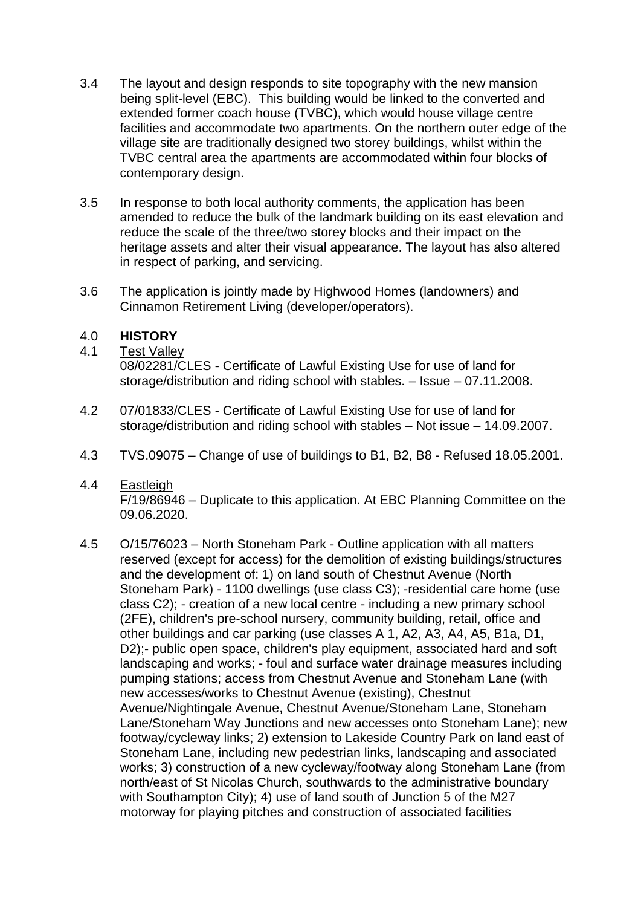- 3.4 The layout and design responds to site topography with the new mansion being split-level (EBC). This building would be linked to the converted and extended former coach house (TVBC), which would house village centre facilities and accommodate two apartments. On the northern outer edge of the village site are traditionally designed two storey buildings, whilst within the TVBC central area the apartments are accommodated within four blocks of contemporary design.
- 3.5 In response to both local authority comments, the application has been amended to reduce the bulk of the landmark building on its east elevation and reduce the scale of the three/two storey blocks and their impact on the heritage assets and alter their visual appearance. The layout has also altered in respect of parking, and servicing.
- 3.6 The application is jointly made by Highwood Homes (landowners) and Cinnamon Retirement Living (developer/operators).

## 4.0 **HISTORY**

4.1 Test Valley

08/02281/CLES - Certificate of Lawful Existing Use for use of land for storage/distribution and riding school with stables. – Issue – 07.11.2008.

- 4.2 07/01833/CLES Certificate of Lawful Existing Use for use of land for storage/distribution and riding school with stables – Not issue – 14.09.2007.
- 4.3 TVS.09075 Change of use of buildings to B1, B2, B8 Refused 18.05.2001.
- 4.4 Eastleigh F/19/86946 – Duplicate to this application. At EBC Planning Committee on the 09.06.2020.
- 4.5 O/15/76023 North Stoneham Park Outline application with all matters reserved (except for access) for the demolition of existing buildings/structures and the development of: 1) on land south of Chestnut Avenue (North Stoneham Park) - 1100 dwellings (use class C3); -residential care home (use class C2); - creation of a new local centre - including a new primary school (2FE), children's pre-school nursery, community building, retail, office and other buildings and car parking (use classes A 1, A2, A3, A4, A5, B1a, D1, D2);- public open space, children's play equipment, associated hard and soft landscaping and works; - foul and surface water drainage measures including pumping stations; access from Chestnut Avenue and Stoneham Lane (with new accesses/works to Chestnut Avenue (existing), Chestnut Avenue/Nightingale Avenue, Chestnut Avenue/Stoneham Lane, Stoneham Lane/Stoneham Way Junctions and new accesses onto Stoneham Lane); new footway/cycleway links; 2) extension to Lakeside Country Park on land east of Stoneham Lane, including new pedestrian links, landscaping and associated works; 3) construction of a new cycleway/footway along Stoneham Lane (from north/east of St Nicolas Church, southwards to the administrative boundary with Southampton City); 4) use of land south of Junction 5 of the M27 motorway for playing pitches and construction of associated facilities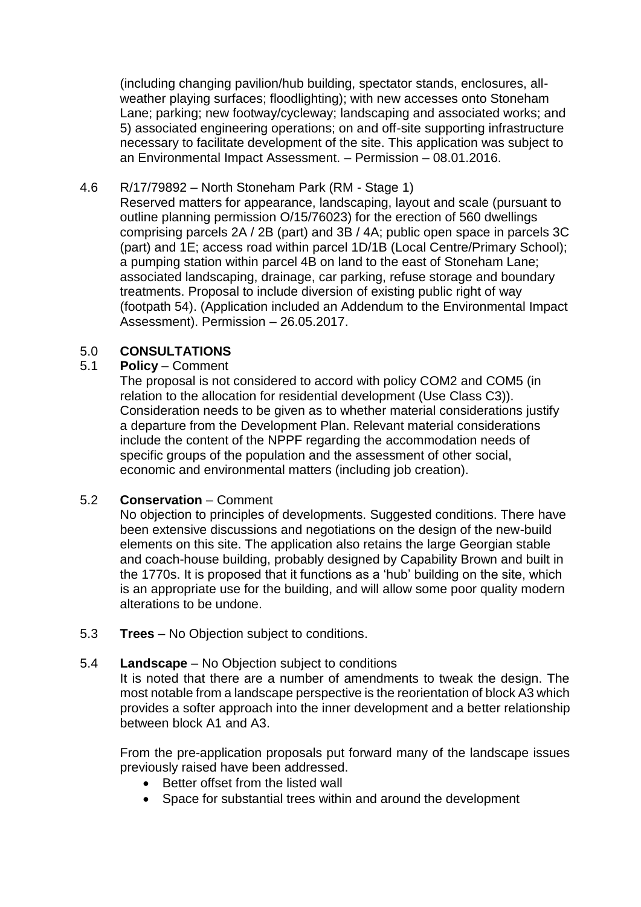(including changing pavilion/hub building, spectator stands, enclosures, allweather playing surfaces; floodlighting); with new accesses onto Stoneham Lane; parking; new footway/cycleway; landscaping and associated works; and 5) associated engineering operations; on and off-site supporting infrastructure necessary to facilitate development of the site. This application was subject to an Environmental Impact Assessment. – Permission – 08.01.2016.

## 4.6 R/17/79892 – North Stoneham Park (RM - Stage 1)

Reserved matters for appearance, landscaping, layout and scale (pursuant to outline planning permission O/15/76023) for the erection of 560 dwellings comprising parcels 2A / 2B (part) and 3B / 4A; public open space in parcels 3C (part) and 1E; access road within parcel 1D/1B (Local Centre/Primary School); a pumping station within parcel 4B on land to the east of Stoneham Lane; associated landscaping, drainage, car parking, refuse storage and boundary treatments. Proposal to include diversion of existing public right of way (footpath 54). (Application included an Addendum to the Environmental Impact Assessment). Permission – 26.05.2017.

# 5.0 **CONSULTATIONS**

### 5.1 **Policy** – Comment

The proposal is not considered to accord with policy COM2 and COM5 (in relation to the allocation for residential development (Use Class C3)). Consideration needs to be given as to whether material considerations justify a departure from the Development Plan. Relevant material considerations include the content of the NPPF regarding the accommodation needs of specific groups of the population and the assessment of other social, economic and environmental matters (including job creation).

# 5.2 **Conservation** – Comment

No objection to principles of developments. Suggested conditions. There have been extensive discussions and negotiations on the design of the new-build elements on this site. The application also retains the large Georgian stable and coach-house building, probably designed by Capability Brown and built in the 1770s. It is proposed that it functions as a 'hub' building on the site, which is an appropriate use for the building, and will allow some poor quality modern alterations to be undone.

5.3 **Trees** – No Objection subject to conditions.

### 5.4 **Landscape** – No Objection subject to conditions

It is noted that there are a number of amendments to tweak the design. The most notable from a landscape perspective is the reorientation of block A3 which provides a softer approach into the inner development and a better relationship between block A1 and A3.

From the pre-application proposals put forward many of the landscape issues previously raised have been addressed.

- Better offset from the listed wall
- Space for substantial trees within and around the development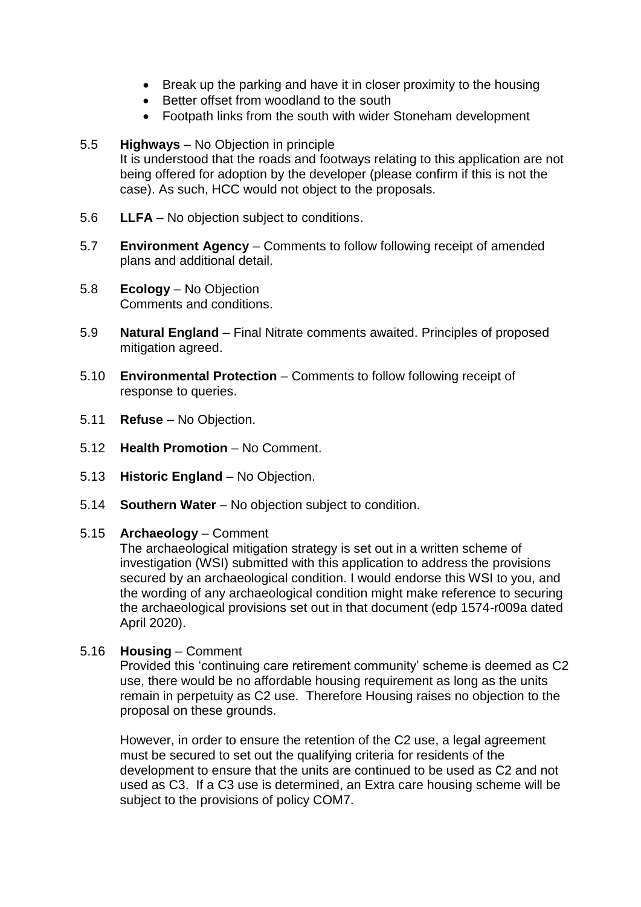- Break up the parking and have it in closer proximity to the housing
- Better offset from woodland to the south
- Footpath links from the south with wider Stoneham development

## 5.5 **Highways** – No Objection in principle It is understood that the roads and footways relating to this application are not being offered for adoption by the developer (please confirm if this is not the case). As such, HCC would not object to the proposals.

- 5.6 **LLFA** No objection subject to conditions.
- 5.7 **Environment Agency**  Comments to follow following receipt of amended plans and additional detail.
- 5.8 **Ecology** No Objection Comments and conditions.
- 5.9 **Natural England** Final Nitrate comments awaited. Principles of proposed mitigation agreed.
- 5.10 **Environmental Protection**  Comments to follow following receipt of response to queries.
- 5.11 **Refuse** No Objection.
- 5.12 **Health Promotion**  No Comment.
- 5.13 **Historic England**  No Objection.
- 5.14 **Southern Water**  No objection subject to condition.

### 5.15 **Archaeology** – Comment

The archaeological mitigation strategy is set out in a written scheme of investigation (WSI) submitted with this application to address the provisions secured by an archaeological condition. I would endorse this WSI to you, and the wording of any archaeological condition might make reference to securing the archaeological provisions set out in that document (edp 1574-r009a dated April 2020).

5.16 **Housing** – Comment

Provided this 'continuing care retirement community' scheme is deemed as C2 use, there would be no affordable housing requirement as long as the units remain in perpetuity as C2 use. Therefore Housing raises no objection to the proposal on these grounds.

However, in order to ensure the retention of the C2 use, a legal agreement must be secured to set out the qualifying criteria for residents of the development to ensure that the units are continued to be used as C2 and not used as C3. If a C3 use is determined, an Extra care housing scheme will be subject to the provisions of policy COM7.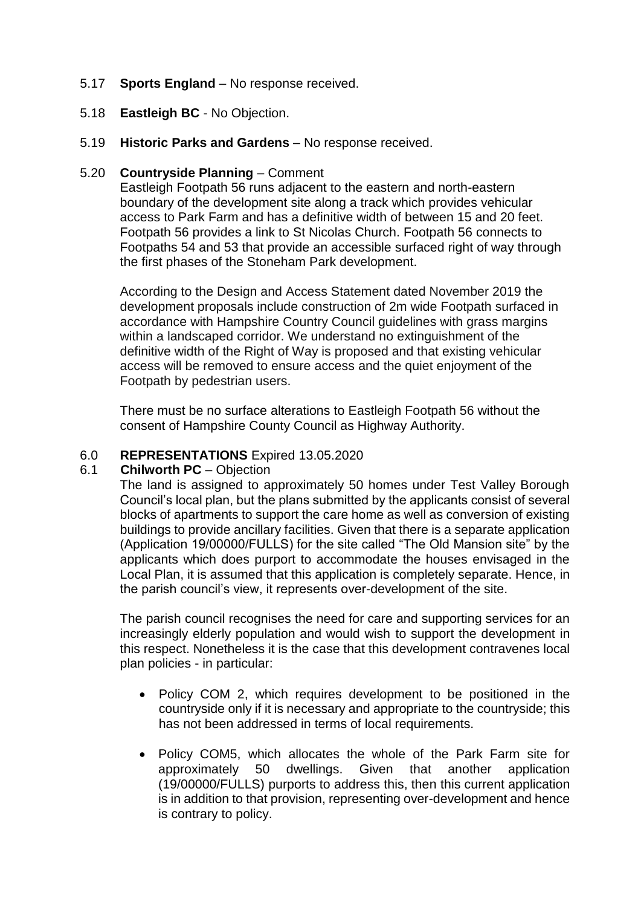## 5.17 **Sports England** – No response received.

- 5.18 **Eastleigh BC**  No Objection.
- 5.19 **Historic Parks and Gardens**  No response received.

## 5.20 **Countryside Planning** – Comment

Eastleigh Footpath 56 runs adjacent to the eastern and north-eastern boundary of the development site along a track which provides vehicular access to Park Farm and has a definitive width of between 15 and 20 feet. Footpath 56 provides a link to St Nicolas Church. Footpath 56 connects to Footpaths 54 and 53 that provide an accessible surfaced right of way through the first phases of the Stoneham Park development.

According to the Design and Access Statement dated November 2019 the development proposals include construction of 2m wide Footpath surfaced in accordance with Hampshire Country Council guidelines with grass margins within a landscaped corridor. We understand no extinguishment of the definitive width of the Right of Way is proposed and that existing vehicular access will be removed to ensure access and the quiet enjoyment of the Footpath by pedestrian users.

There must be no surface alterations to Eastleigh Footpath 56 without the consent of Hampshire County Council as Highway Authority.

### 6.0 **REPRESENTATIONS** Expired 13.05.2020

#### 6.1 **Chilworth PC** – Objection

The land is assigned to approximately 50 homes under Test Valley Borough Council's local plan, but the plans submitted by the applicants consist of several blocks of apartments to support the care home as well as conversion of existing buildings to provide ancillary facilities. Given that there is a separate application (Application 19/00000/FULLS) for the site called "The Old Mansion site" by the applicants which does purport to accommodate the houses envisaged in the Local Plan, it is assumed that this application is completely separate. Hence, in the parish council's view, it represents over-development of the site.

The parish council recognises the need for care and supporting services for an increasingly elderly population and would wish to support the development in this respect. Nonetheless it is the case that this development contravenes local plan policies - in particular:

- Policy COM 2, which requires development to be positioned in the countryside only if it is necessary and appropriate to the countryside; this has not been addressed in terms of local requirements.
- Policy COM5, which allocates the whole of the Park Farm site for approximately 50 dwellings. Given that another application (19/00000/FULLS) purports to address this, then this current application is in addition to that provision, representing over-development and hence is contrary to policy.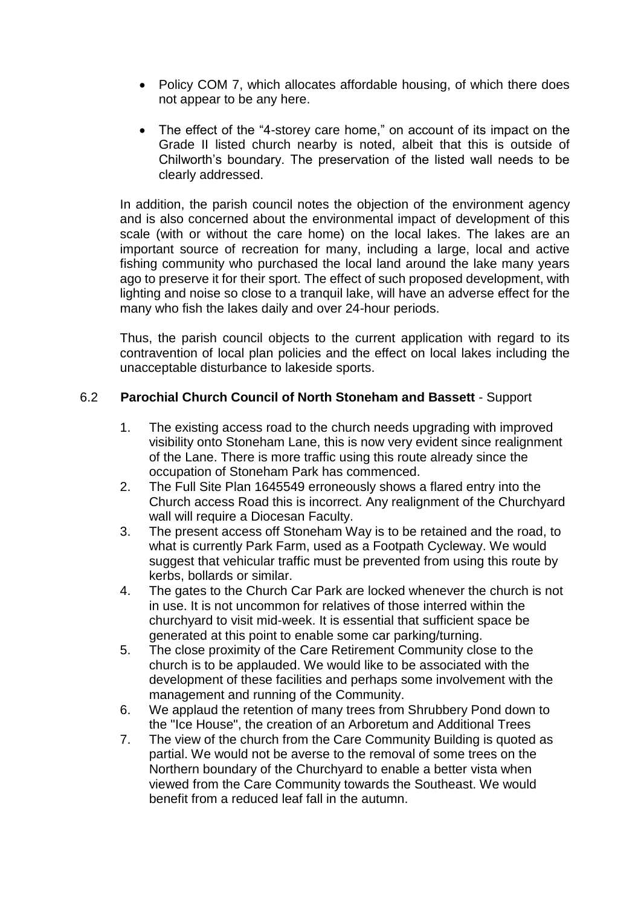- Policy COM 7, which allocates affordable housing, of which there does not appear to be any here.
- The effect of the "4-storey care home," on account of its impact on the Grade II listed church nearby is noted, albeit that this is outside of Chilworth's boundary. The preservation of the listed wall needs to be clearly addressed.

In addition, the parish council notes the objection of the environment agency and is also concerned about the environmental impact of development of this scale (with or without the care home) on the local lakes. The lakes are an important source of recreation for many, including a large, local and active fishing community who purchased the local land around the lake many years ago to preserve it for their sport. The effect of such proposed development, with lighting and noise so close to a tranquil lake, will have an adverse effect for the many who fish the lakes daily and over 24-hour periods.

Thus, the parish council objects to the current application with regard to its contravention of local plan policies and the effect on local lakes including the unacceptable disturbance to lakeside sports.

## 6.2 **Parochial Church Council of North Stoneham and Bassett** - Support

- 1. The existing access road to the church needs upgrading with improved visibility onto Stoneham Lane, this is now very evident since realignment of the Lane. There is more traffic using this route already since the occupation of Stoneham Park has commenced.
- 2. The Full Site Plan 1645549 erroneously shows a flared entry into the Church access Road this is incorrect. Any realignment of the Churchyard wall will require a Diocesan Faculty.
- 3. The present access off Stoneham Way is to be retained and the road, to what is currently Park Farm, used as a Footpath Cycleway. We would suggest that vehicular traffic must be prevented from using this route by kerbs, bollards or similar.
- 4. The gates to the Church Car Park are locked whenever the church is not in use. It is not uncommon for relatives of those interred within the churchyard to visit mid-week. It is essential that sufficient space be generated at this point to enable some car parking/turning.
- 5. The close proximity of the Care Retirement Community close to the church is to be applauded. We would like to be associated with the development of these facilities and perhaps some involvement with the management and running of the Community.
- 6. We applaud the retention of many trees from Shrubbery Pond down to the "Ice House", the creation of an Arboretum and Additional Trees
- 7. The view of the church from the Care Community Building is quoted as partial. We would not be averse to the removal of some trees on the Northern boundary of the Churchyard to enable a better vista when viewed from the Care Community towards the Southeast. We would benefit from a reduced leaf fall in the autumn.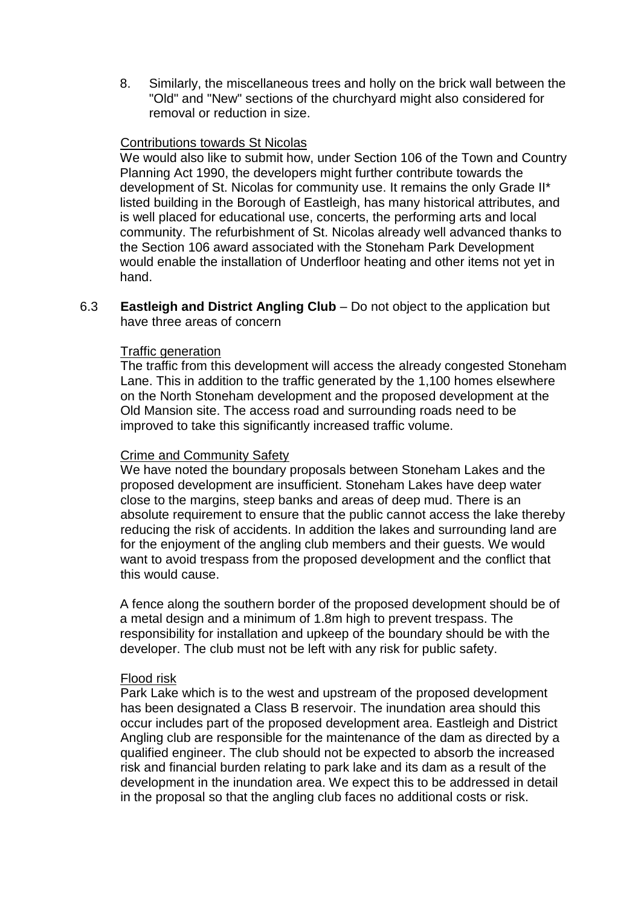8. Similarly, the miscellaneous trees and holly on the brick wall between the "Old" and "New" sections of the churchyard might also considered for removal or reduction in size.

#### Contributions towards St Nicolas

We would also like to submit how, under Section 106 of the Town and Country Planning Act 1990, the developers might further contribute towards the development of St. Nicolas for community use. It remains the only Grade II\* listed building in the Borough of Eastleigh, has many historical attributes, and is well placed for educational use, concerts, the performing arts and local community. The refurbishment of St. Nicolas already well advanced thanks to the Section 106 award associated with the Stoneham Park Development would enable the installation of Underfloor heating and other items not yet in hand.

6.3 **Eastleigh and District Angling Club** – Do not object to the application but have three areas of concern

#### Traffic generation

The traffic from this development will access the already congested Stoneham Lane. This in addition to the traffic generated by the 1,100 homes elsewhere on the North Stoneham development and the proposed development at the Old Mansion site. The access road and surrounding roads need to be improved to take this significantly increased traffic volume.

#### Crime and Community Safety

We have noted the boundary proposals between Stoneham Lakes and the proposed development are insufficient. Stoneham Lakes have deep water close to the margins, steep banks and areas of deep mud. There is an absolute requirement to ensure that the public cannot access the lake thereby reducing the risk of accidents. In addition the lakes and surrounding land are for the enjoyment of the angling club members and their guests. We would want to avoid trespass from the proposed development and the conflict that this would cause.

A fence along the southern border of the proposed development should be of a metal design and a minimum of 1.8m high to prevent trespass. The responsibility for installation and upkeep of the boundary should be with the developer. The club must not be left with any risk for public safety.

#### Flood risk

Park Lake which is to the west and upstream of the proposed development has been designated a Class B reservoir. The inundation area should this occur includes part of the proposed development area. Eastleigh and District Angling club are responsible for the maintenance of the dam as directed by a qualified engineer. The club should not be expected to absorb the increased risk and financial burden relating to park lake and its dam as a result of the development in the inundation area. We expect this to be addressed in detail in the proposal so that the angling club faces no additional costs or risk.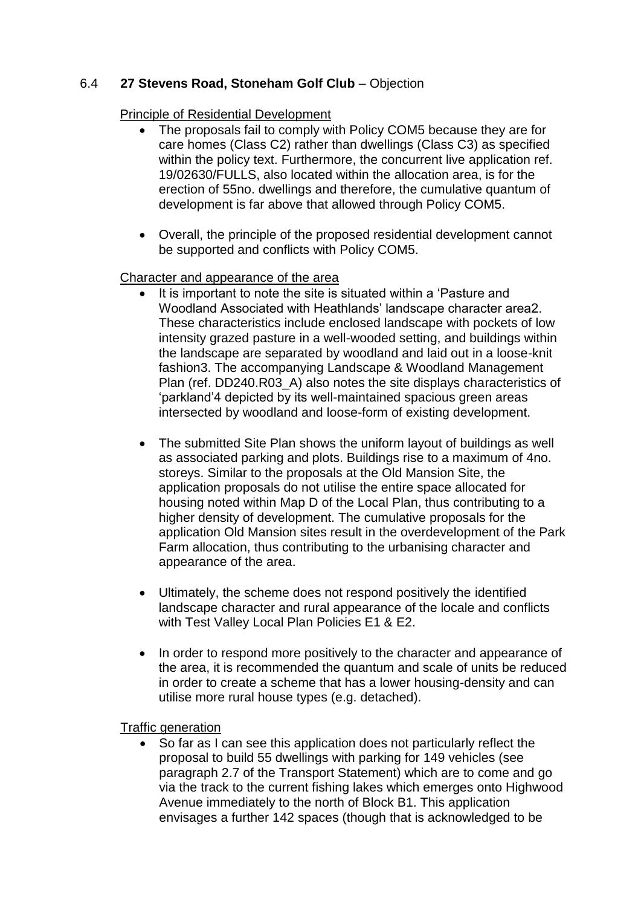# 6.4 **27 Stevens Road, Stoneham Golf Club** – Objection

## Principle of Residential Development

- The proposals fail to comply with Policy COM5 because they are for care homes (Class C2) rather than dwellings (Class C3) as specified within the policy text. Furthermore, the concurrent live application ref. 19/02630/FULLS, also located within the allocation area, is for the erection of 55no. dwellings and therefore, the cumulative quantum of development is far above that allowed through Policy COM5.
- Overall, the principle of the proposed residential development cannot be supported and conflicts with Policy COM5.

# Character and appearance of the area

- It is important to note the site is situated within a 'Pasture and Woodland Associated with Heathlands' landscape character area2. These characteristics include enclosed landscape with pockets of low intensity grazed pasture in a well-wooded setting, and buildings within the landscape are separated by woodland and laid out in a loose-knit fashion3. The accompanying Landscape & Woodland Management Plan (ref. DD240.R03 A) also notes the site displays characteristics of 'parkland'4 depicted by its well-maintained spacious green areas intersected by woodland and loose-form of existing development.
- The submitted Site Plan shows the uniform layout of buildings as well as associated parking and plots. Buildings rise to a maximum of 4no. storeys. Similar to the proposals at the Old Mansion Site, the application proposals do not utilise the entire space allocated for housing noted within Map D of the Local Plan, thus contributing to a higher density of development. The cumulative proposals for the application Old Mansion sites result in the overdevelopment of the Park Farm allocation, thus contributing to the urbanising character and appearance of the area.
- Ultimately, the scheme does not respond positively the identified landscape character and rural appearance of the locale and conflicts with Test Valley Local Plan Policies E1 & E2.
- In order to respond more positively to the character and appearance of the area, it is recommended the quantum and scale of units be reduced in order to create a scheme that has a lower housing-density and can utilise more rural house types (e.g. detached).

Traffic generation

 So far as I can see this application does not particularly reflect the proposal to build 55 dwellings with parking for 149 vehicles (see paragraph 2.7 of the Transport Statement) which are to come and go via the track to the current fishing lakes which emerges onto Highwood Avenue immediately to the north of Block B1. This application envisages a further 142 spaces (though that is acknowledged to be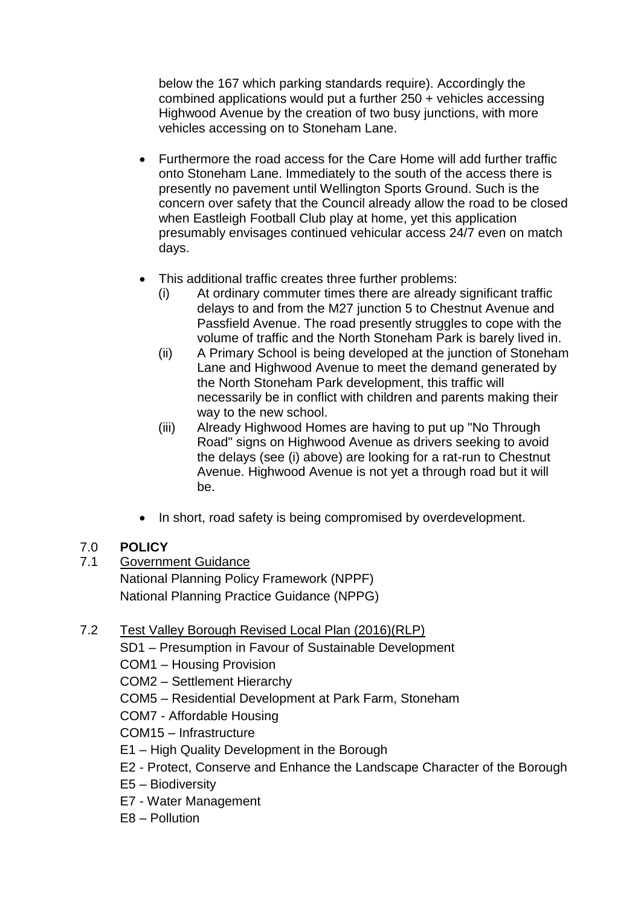below the 167 which parking standards require). Accordingly the combined applications would put a further 250 + vehicles accessing Highwood Avenue by the creation of two busy junctions, with more vehicles accessing on to Stoneham Lane.

- Furthermore the road access for the Care Home will add further traffic onto Stoneham Lane. Immediately to the south of the access there is presently no pavement until Wellington Sports Ground. Such is the concern over safety that the Council already allow the road to be closed when Eastleigh Football Club play at home, yet this application presumably envisages continued vehicular access 24/7 even on match days.
- This additional traffic creates three further problems:
	- (i) At ordinary commuter times there are already significant traffic delays to and from the M27 junction 5 to Chestnut Avenue and Passfield Avenue. The road presently struggles to cope with the volume of traffic and the North Stoneham Park is barely lived in.
	- (ii) A Primary School is being developed at the junction of Stoneham Lane and Highwood Avenue to meet the demand generated by the North Stoneham Park development, this traffic will necessarily be in conflict with children and parents making their way to the new school.
	- (iii) Already Highwood Homes are having to put up "No Through Road" signs on Highwood Avenue as drivers seeking to avoid the delays (see (i) above) are looking for a rat-run to Chestnut Avenue. Highwood Avenue is not yet a through road but it will be.
- In short, road safety is being compromised by overdevelopment.

# 7.0 **POLICY**

7.1 Government Guidance National Planning Policy Framework (NPPF) National Planning Practice Guidance (NPPG)

# 7.2 Test Valley Borough Revised Local Plan (2016)(RLP)

SD1 – Presumption in Favour of Sustainable Development

- COM1 Housing Provision
- COM2 Settlement Hierarchy
- COM5 Residential Development at Park Farm, Stoneham
- COM7 Affordable Housing
- COM15 Infrastructure
- E1 High Quality Development in the Borough
- E2 Protect, Conserve and Enhance the Landscape Character of the Borough
- E5 Biodiversity
- E7 Water Management
- E8 Pollution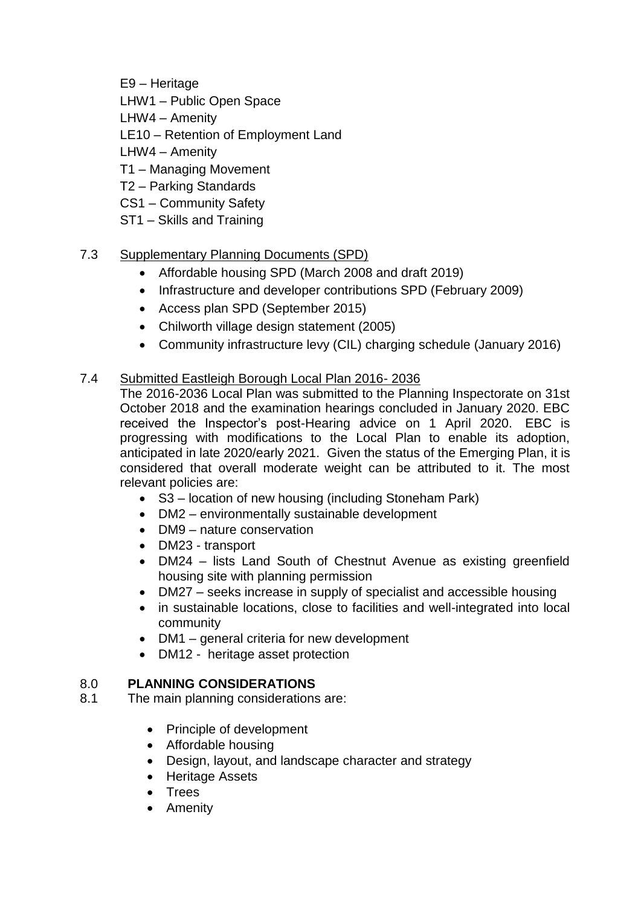E9 – Heritage

- LHW1 Public Open Space
- LHW4 Amenity

LE10 – Retention of Employment Land

LHW4 – Amenity

- T1 Managing Movement
- T2 Parking Standards
- CS1 Community Safety
- ST1 Skills and Training

# 7.3 Supplementary Planning Documents (SPD)

- Affordable housing SPD (March 2008 and draft 2019)
- Infrastructure and developer contributions SPD (February 2009)
- Access plan SPD (September 2015)
- Chilworth village design statement (2005)
- Community infrastructure levy (CIL) charging schedule (January 2016)

# 7.4 Submitted Eastleigh Borough Local Plan 2016- 2036

The 2016-2036 Local Plan was submitted to the Planning Inspectorate on 31st October 2018 and the examination hearings concluded in January 2020. EBC received the Inspector's post-Hearing advice on 1 April 2020. EBC is progressing with modifications to the Local Plan to enable its adoption, anticipated in late 2020/early 2021. Given the status of the Emerging Plan, it is considered that overall moderate weight can be attributed to it. The most relevant policies are:

- S3 location of new housing (including Stoneham Park)
- DM2 environmentally sustainable development
- DM9 nature conservation
- DM23 transport
- DM24 lists Land South of Chestnut Avenue as existing greenfield housing site with planning permission
- DM27 seeks increase in supply of specialist and accessible housing
- in sustainable locations, close to facilities and well-integrated into local community
- DM1 general criteria for new development
- DM12 heritage asset protection

# 8.0 **PLANNING CONSIDERATIONS**

- 8.1 The main planning considerations are:
	- Principle of development
	- Affordable housing
	- Design, layout, and landscape character and strategy
	- Heritage Assets
	- Trees
	- Amenity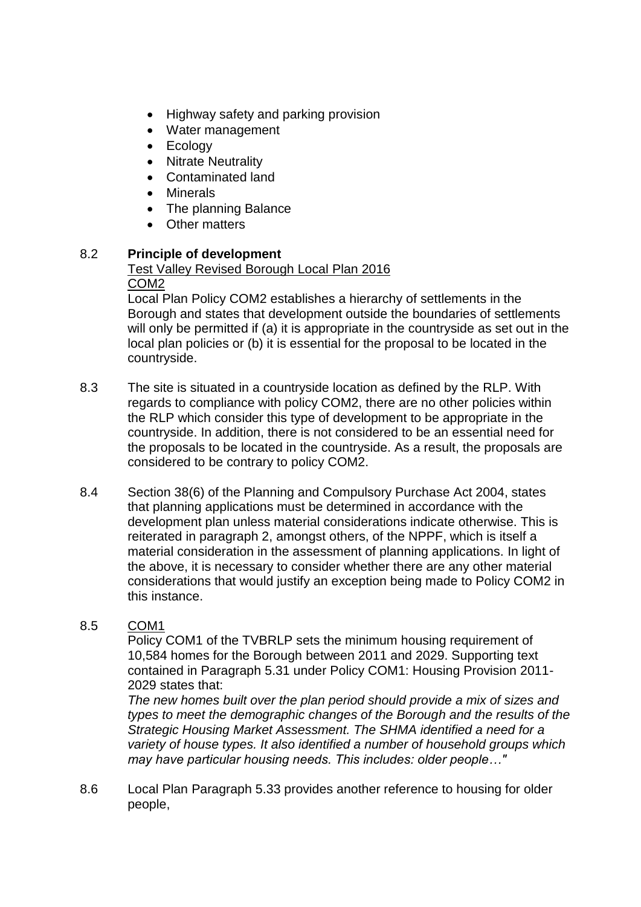- Highway safety and parking provision
- Water management
- Ecology
- Nitrate Neutrality
- Contaminated land
- Minerals
- The planning Balance
- Other matters

# 8.2 **Principle of development**

#### Test Valley Revised Borough Local Plan 2016 COM2

Local Plan Policy COM2 establishes a hierarchy of settlements in the Borough and states that development outside the boundaries of settlements will only be permitted if (a) it is appropriate in the countryside as set out in the local plan policies or (b) it is essential for the proposal to be located in the countryside.

- 8.3 The site is situated in a countryside location as defined by the RLP. With regards to compliance with policy COM2, there are no other policies within the RLP which consider this type of development to be appropriate in the countryside. In addition, there is not considered to be an essential need for the proposals to be located in the countryside. As a result, the proposals are considered to be contrary to policy COM2.
- 8.4 Section 38(6) of the Planning and Compulsory Purchase Act 2004, states that planning applications must be determined in accordance with the development plan unless material considerations indicate otherwise. This is reiterated in paragraph 2, amongst others, of the NPPF, which is itself a material consideration in the assessment of planning applications. In light of the above, it is necessary to consider whether there are any other material considerations that would justify an exception being made to Policy COM2 in this instance.

# 8.5 COM1

Policy COM1 of the TVBRLP sets the minimum housing requirement of 10,584 homes for the Borough between 2011 and 2029. Supporting text contained in Paragraph 5.31 under Policy COM1: Housing Provision 2011- 2029 states that:

*The new homes built over the plan period should provide a mix of sizes and types to meet the demographic changes of the Borough and the results of the Strategic Housing Market Assessment. The SHMA identified a need for a variety of house types. It also identified a number of household groups which may have particular housing needs. This includes: older people…"* 

8.6 Local Plan Paragraph 5.33 provides another reference to housing for older people,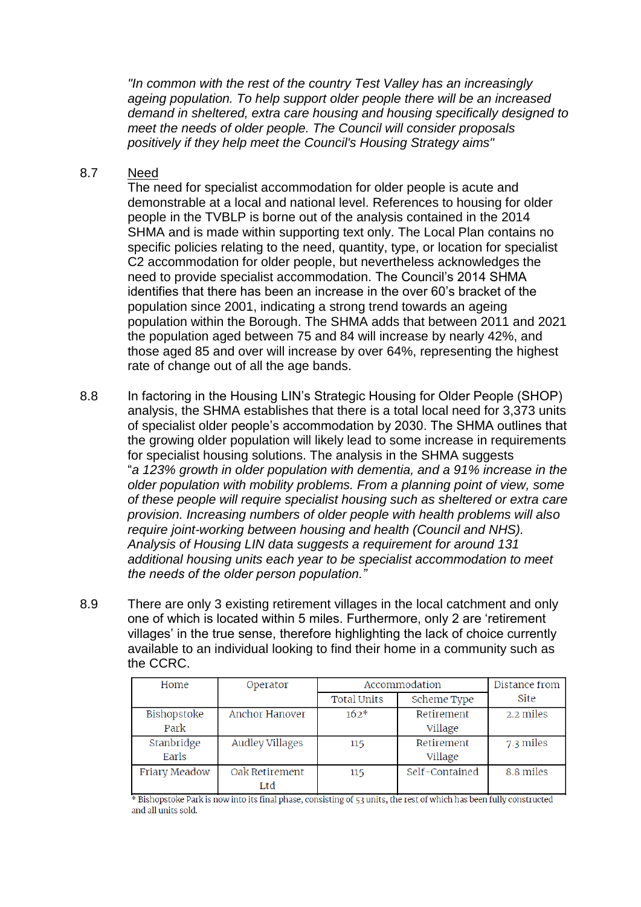*"In common with the rest of the country Test Valley has an increasingly ageing population. To help support older people there will be an increased demand in sheltered, extra care housing and housing specifically designed to meet the needs of older people. The Council will consider proposals positively if they help meet the Council's Housing Strategy aims"* 

## 8.7 Need

The need for specialist accommodation for older people is acute and demonstrable at a local and national level. References to housing for older people in the TVBLP is borne out of the analysis contained in the 2014 SHMA and is made within supporting text only. The Local Plan contains no specific policies relating to the need, quantity, type, or location for specialist C2 accommodation for older people, but nevertheless acknowledges the need to provide specialist accommodation. The Council's 2014 SHMA identifies that there has been an increase in the over 60's bracket of the population since 2001, indicating a strong trend towards an ageing population within the Borough. The SHMA adds that between 2011 and 2021 the population aged between 75 and 84 will increase by nearly 42%, and those aged 85 and over will increase by over 64%, representing the highest rate of change out of all the age bands.

- 8.8 In factoring in the Housing LIN's Strategic Housing for Older People (SHOP) analysis, the SHMA establishes that there is a total local need for 3,373 units of specialist older people's accommodation by 2030. The SHMA outlines that the growing older population will likely lead to some increase in requirements for specialist housing solutions. The analysis in the SHMA suggests "*a 123% growth in older population with dementia, and a 91% increase in the older population with mobility problems. From a planning point of view, some of these people will require specialist housing such as sheltered or extra care provision. Increasing numbers of older people with health problems will also require joint-working between housing and health (Council and NHS). Analysis of Housing LIN data suggests a requirement for around 131 additional housing units each year to be specialist accommodation to meet the needs of the older person population."*
- 8.9 There are only 3 existing retirement villages in the local catchment and only one of which is located within 5 miles. Furthermore, only 2 are 'retirement villages' in the true sense, therefore highlighting the lack of choice currently available to an individual looking to find their home in a community such as the CCRC.

| Home          | Operator               | Accommodation      |                | Distance from |
|---------------|------------------------|--------------------|----------------|---------------|
|               |                        | <b>Total Units</b> | Scheme Type    | Site          |
| Bishopstoke   | Anchor Hanover         | $162*$             | Retirement     | 2.2 miles     |
| Park          |                        |                    | Village        |               |
| Stanbridge    | <b>Audley Villages</b> | 115                | Retirement     | 7.3 miles     |
| Earls         |                        |                    | Village        |               |
| Friary Meadow | Oak Retirement         | 115                | Self-Contained | 8.8 miles     |
|               | Ltd                    |                    |                |               |

\* Bishopstoke Park is now into its final phase, consisting of 53 units, the rest of which has been fully constructed and all units sold.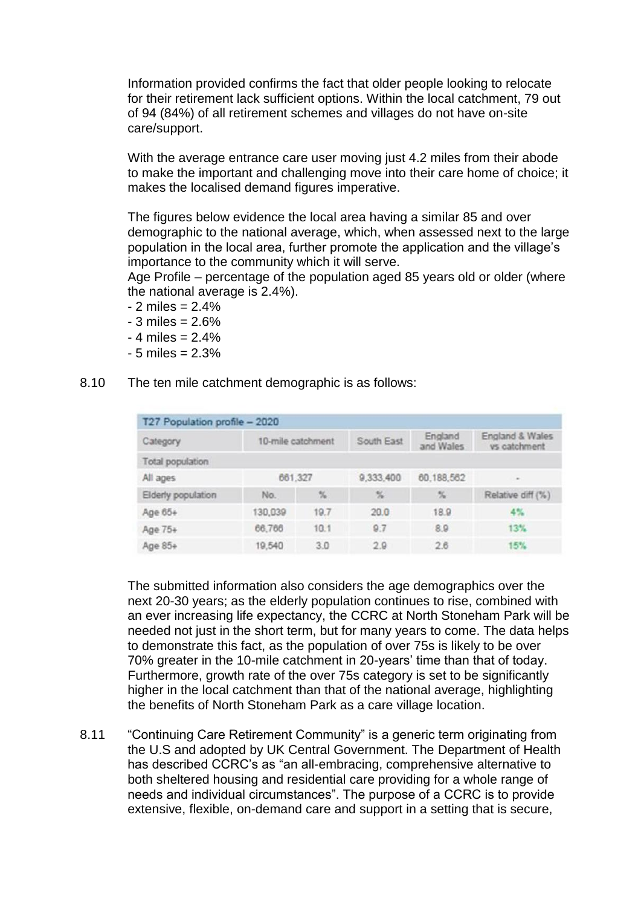Information provided confirms the fact that older people looking to relocate for their retirement lack sufficient options. Within the local catchment, 79 out of 94 (84%) of all retirement schemes and villages do not have on-site care/support.

With the average entrance care user moving just 4.2 miles from their abode to make the important and challenging move into their care home of choice; it makes the localised demand figures imperative.

The figures below evidence the local area having a similar 85 and over demographic to the national average, which, when assessed next to the large population in the local area, further promote the application and the village's importance to the community which it will serve.

Age Profile – percentage of the population aged 85 years old or older (where the national average is 2.4%).

- $2$  miles = 2.4%
- $-3$  miles = 2.6%
- $-4$  miles  $= 2.4\%$
- $-5$  miles = 2.3%
- 8.10 The ten mile catchment demographic is as follows:

| T27 Population profile - 2020 |                   |               |                                 |                      |                                 |
|-------------------------------|-------------------|---------------|---------------------------------|----------------------|---------------------------------|
| Category                      | 10-mile catchment |               | South East                      | England<br>and Wales | England & Wales<br>vs catchment |
| Total population              |                   |               |                                 |                      |                                 |
| All ages                      | 661,327           |               | 9,333,400                       | 60,188,562           | $\sim$                          |
| Elderly population            | No.               | $\frac{N}{2}$ | $\frac{\sigma_{f}}{\sigma_{B}}$ | $\frac{N}{N}$        | Relative diff (%)               |
| Age 65+                       | 130,039           | 19.7          | 20.0                            | 18.9                 | 4%                              |
| Age 75+                       | 66,766            | 10.1          | 9.7                             | 8.9                  | 13%                             |
| Age 85+                       | 19,540            | 3.0           | 2.9                             | 2.6                  | 15%                             |

The submitted information also considers the age demographics over the next 20-30 years; as the elderly population continues to rise, combined with an ever increasing life expectancy, the CCRC at North Stoneham Park will be needed not just in the short term, but for many years to come. The data helps to demonstrate this fact, as the population of over 75s is likely to be over 70% greater in the 10-mile catchment in 20-years' time than that of today. Furthermore, growth rate of the over 75s category is set to be significantly higher in the local catchment than that of the national average, highlighting the benefits of North Stoneham Park as a care village location.

8.11 "Continuing Care Retirement Community" is a generic term originating from the U.S and adopted by UK Central Government. The Department of Health has described CCRC's as "an all-embracing, comprehensive alternative to both sheltered housing and residential care providing for a whole range of needs and individual circumstances". The purpose of a CCRC is to provide extensive, flexible, on-demand care and support in a setting that is secure,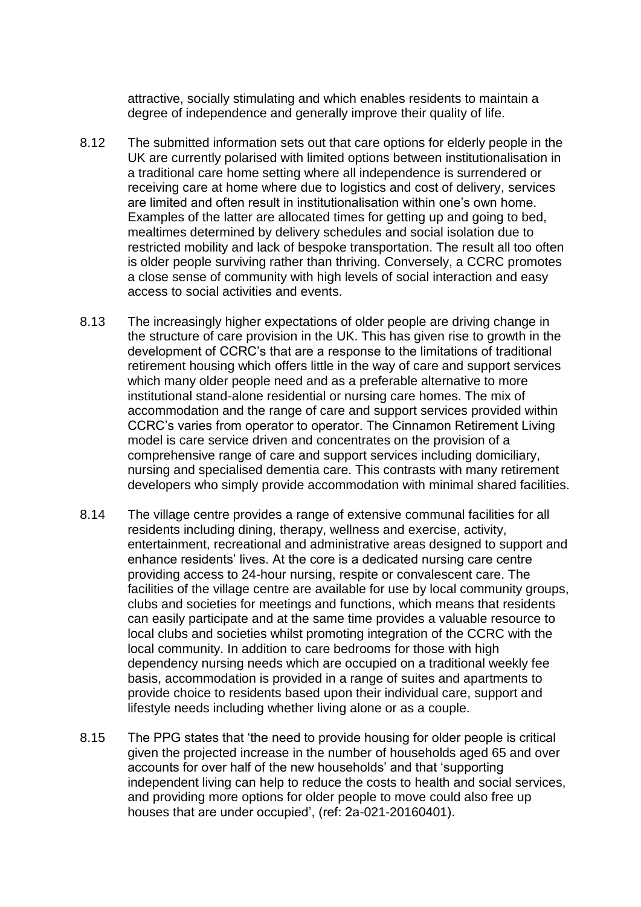attractive, socially stimulating and which enables residents to maintain a degree of independence and generally improve their quality of life.

- 8.12 The submitted information sets out that care options for elderly people in the UK are currently polarised with limited options between institutionalisation in a traditional care home setting where all independence is surrendered or receiving care at home where due to logistics and cost of delivery, services are limited and often result in institutionalisation within one's own home. Examples of the latter are allocated times for getting up and going to bed, mealtimes determined by delivery schedules and social isolation due to restricted mobility and lack of bespoke transportation. The result all too often is older people surviving rather than thriving. Conversely, a CCRC promotes a close sense of community with high levels of social interaction and easy access to social activities and events.
- 8.13 The increasingly higher expectations of older people are driving change in the structure of care provision in the UK. This has given rise to growth in the development of CCRC's that are a response to the limitations of traditional retirement housing which offers little in the way of care and support services which many older people need and as a preferable alternative to more institutional stand-alone residential or nursing care homes. The mix of accommodation and the range of care and support services provided within CCRC's varies from operator to operator. The Cinnamon Retirement Living model is care service driven and concentrates on the provision of a comprehensive range of care and support services including domiciliary, nursing and specialised dementia care. This contrasts with many retirement developers who simply provide accommodation with minimal shared facilities.
- 8.14 The village centre provides a range of extensive communal facilities for all residents including dining, therapy, wellness and exercise, activity, entertainment, recreational and administrative areas designed to support and enhance residents' lives. At the core is a dedicated nursing care centre providing access to 24-hour nursing, respite or convalescent care. The facilities of the village centre are available for use by local community groups, clubs and societies for meetings and functions, which means that residents can easily participate and at the same time provides a valuable resource to local clubs and societies whilst promoting integration of the CCRC with the local community. In addition to care bedrooms for those with high dependency nursing needs which are occupied on a traditional weekly fee basis, accommodation is provided in a range of suites and apartments to provide choice to residents based upon their individual care, support and lifestyle needs including whether living alone or as a couple.
- 8.15 The PPG states that 'the need to provide housing for older people is critical given the projected increase in the number of households aged 65 and over accounts for over half of the new households' and that 'supporting independent living can help to reduce the costs to health and social services, and providing more options for older people to move could also free up houses that are under occupied', (ref: 2a-021-20160401).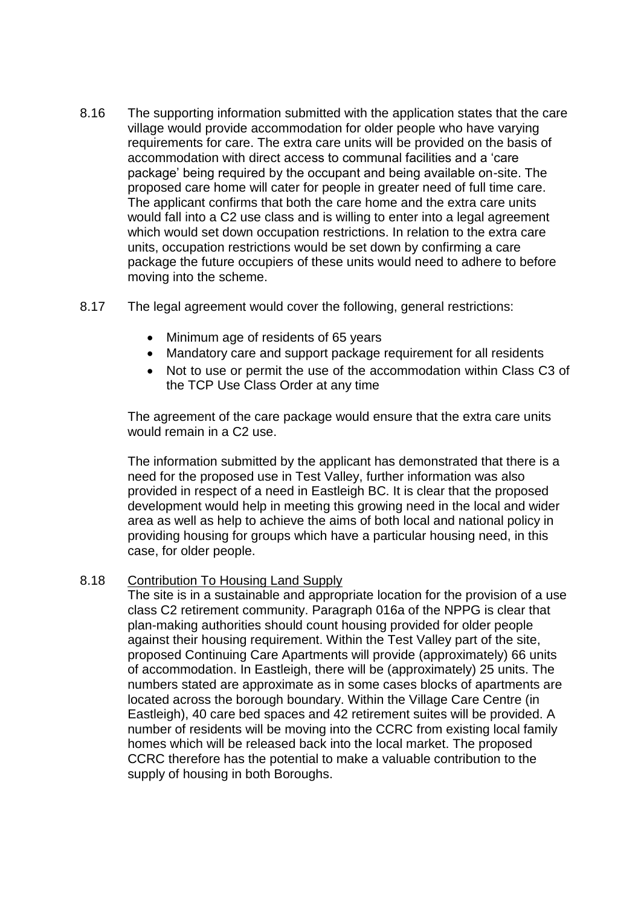- 8.16 The supporting information submitted with the application states that the care village would provide accommodation for older people who have varying requirements for care. The extra care units will be provided on the basis of accommodation with direct access to communal facilities and a 'care package' being required by the occupant and being available on-site. The proposed care home will cater for people in greater need of full time care. The applicant confirms that both the care home and the extra care units would fall into a C2 use class and is willing to enter into a legal agreement which would set down occupation restrictions. In relation to the extra care units, occupation restrictions would be set down by confirming a care package the future occupiers of these units would need to adhere to before moving into the scheme.
- 8.17 The legal agreement would cover the following, general restrictions:
	- Minimum age of residents of 65 years
	- Mandatory care and support package requirement for all residents
	- Not to use or permit the use of the accommodation within Class C3 of the TCP Use Class Order at any time

The agreement of the care package would ensure that the extra care units would remain in a C2 use.

The information submitted by the applicant has demonstrated that there is a need for the proposed use in Test Valley, further information was also provided in respect of a need in Eastleigh BC. It is clear that the proposed development would help in meeting this growing need in the local and wider area as well as help to achieve the aims of both local and national policy in providing housing for groups which have a particular housing need, in this case, for older people.

### 8.18 Contribution To Housing Land Supply

The site is in a sustainable and appropriate location for the provision of a use class C2 retirement community. Paragraph 016a of the NPPG is clear that plan-making authorities should count housing provided for older people against their housing requirement. Within the Test Valley part of the site, proposed Continuing Care Apartments will provide (approximately) 66 units of accommodation. In Eastleigh, there will be (approximately) 25 units. The numbers stated are approximate as in some cases blocks of apartments are located across the borough boundary. Within the Village Care Centre (in Eastleigh), 40 care bed spaces and 42 retirement suites will be provided. A number of residents will be moving into the CCRC from existing local family homes which will be released back into the local market. The proposed CCRC therefore has the potential to make a valuable contribution to the supply of housing in both Boroughs.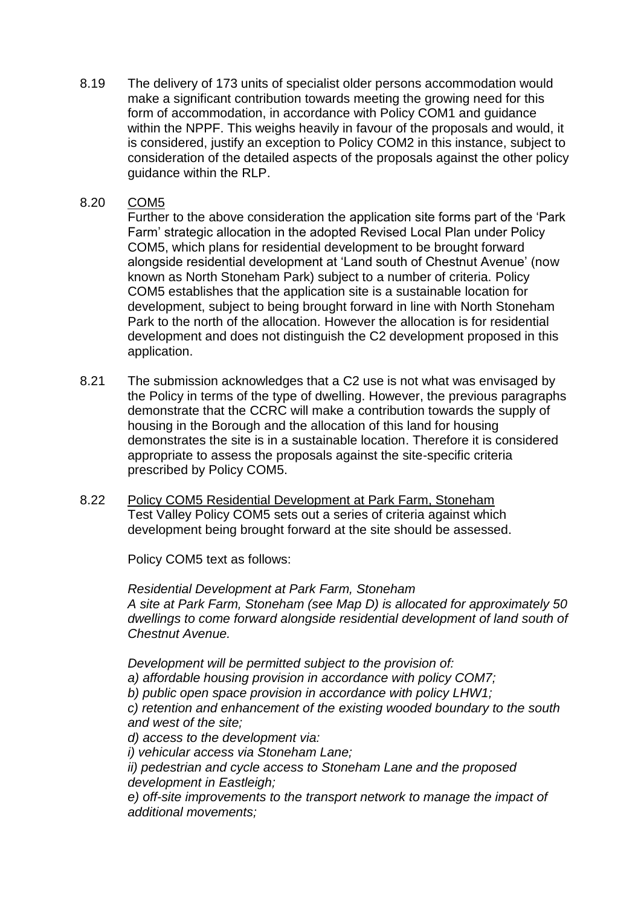8.19 The delivery of 173 units of specialist older persons accommodation would make a significant contribution towards meeting the growing need for this form of accommodation, in accordance with Policy COM1 and guidance within the NPPF. This weighs heavily in favour of the proposals and would, it is considered, justify an exception to Policy COM2 in this instance, subject to consideration of the detailed aspects of the proposals against the other policy guidance within the RLP.

## 8.20 COM5

Further to the above consideration the application site forms part of the 'Park Farm' strategic allocation in the adopted Revised Local Plan under Policy COM5, which plans for residential development to be brought forward alongside residential development at 'Land south of Chestnut Avenue' (now known as North Stoneham Park) subject to a number of criteria. Policy COM5 establishes that the application site is a sustainable location for development, subject to being brought forward in line with North Stoneham Park to the north of the allocation. However the allocation is for residential development and does not distinguish the C2 development proposed in this application.

- 8.21 The submission acknowledges that a C2 use is not what was envisaged by the Policy in terms of the type of dwelling. However, the previous paragraphs demonstrate that the CCRC will make a contribution towards the supply of housing in the Borough and the allocation of this land for housing demonstrates the site is in a sustainable location. Therefore it is considered appropriate to assess the proposals against the site-specific criteria prescribed by Policy COM5.
- 8.22 Policy COM5 Residential Development at Park Farm, Stoneham Test Valley Policy COM5 sets out a series of criteria against which development being brought forward at the site should be assessed.

Policy COM5 text as follows:

*Residential Development at Park Farm, Stoneham A site at Park Farm, Stoneham (see Map D) is allocated for approximately 50 dwellings to come forward alongside residential development of land south of Chestnut Avenue.*

*Development will be permitted subject to the provision of: a) affordable housing provision in accordance with policy COM7; b) public open space provision in accordance with policy LHW1; c) retention and enhancement of the existing wooded boundary to the south and west of the site; d) access to the development via: i) vehicular access via Stoneham Lane; ii) pedestrian and cycle access to Stoneham Lane and the proposed development in Eastleigh;*

*e) off-site improvements to the transport network to manage the impact of additional movements;*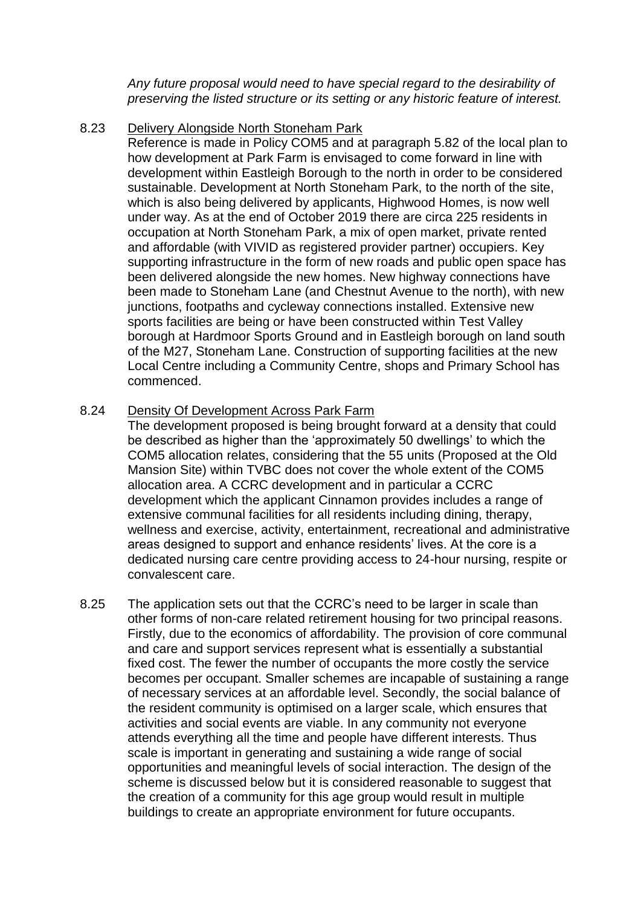*Any future proposal would need to have special regard to the desirability of preserving the listed structure or its setting or any historic feature of interest.*

## 8.23 Delivery Alongside North Stoneham Park

Reference is made in Policy COM5 and at paragraph 5.82 of the local plan to how development at Park Farm is envisaged to come forward in line with development within Eastleigh Borough to the north in order to be considered sustainable. Development at North Stoneham Park, to the north of the site, which is also being delivered by applicants, Highwood Homes, is now well under way. As at the end of October 2019 there are circa 225 residents in occupation at North Stoneham Park, a mix of open market, private rented and affordable (with VIVID as registered provider partner) occupiers. Key supporting infrastructure in the form of new roads and public open space has been delivered alongside the new homes. New highway connections have been made to Stoneham Lane (and Chestnut Avenue to the north), with new junctions, footpaths and cycleway connections installed. Extensive new sports facilities are being or have been constructed within Test Valley borough at Hardmoor Sports Ground and in Eastleigh borough on land south of the M27, Stoneham Lane. Construction of supporting facilities at the new Local Centre including a Community Centre, shops and Primary School has commenced.

### 8.24 Density Of Development Across Park Farm

The development proposed is being brought forward at a density that could be described as higher than the 'approximately 50 dwellings' to which the COM5 allocation relates, considering that the 55 units (Proposed at the Old Mansion Site) within TVBC does not cover the whole extent of the COM5 allocation area. A CCRC development and in particular a CCRC development which the applicant Cinnamon provides includes a range of extensive communal facilities for all residents including dining, therapy, wellness and exercise, activity, entertainment, recreational and administrative areas designed to support and enhance residents' lives. At the core is a dedicated nursing care centre providing access to 24-hour nursing, respite or convalescent care.

8.25 The application sets out that the CCRC's need to be larger in scale than other forms of non-care related retirement housing for two principal reasons. Firstly, due to the economics of affordability. The provision of core communal and care and support services represent what is essentially a substantial fixed cost. The fewer the number of occupants the more costly the service becomes per occupant. Smaller schemes are incapable of sustaining a range of necessary services at an affordable level. Secondly, the social balance of the resident community is optimised on a larger scale, which ensures that activities and social events are viable. In any community not everyone attends everything all the time and people have different interests. Thus scale is important in generating and sustaining a wide range of social opportunities and meaningful levels of social interaction. The design of the scheme is discussed below but it is considered reasonable to suggest that the creation of a community for this age group would result in multiple buildings to create an appropriate environment for future occupants.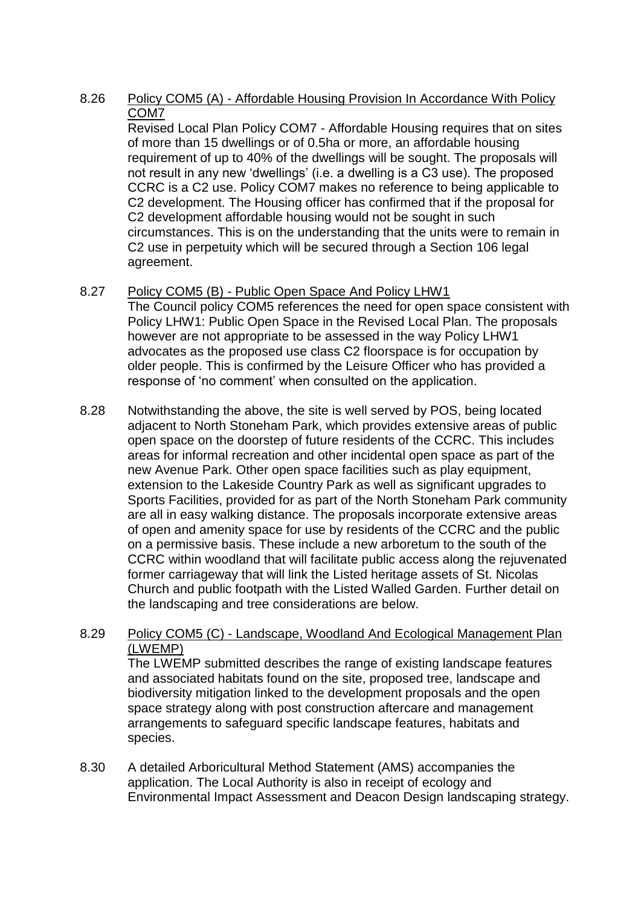# 8.26 Policy COM5 (A) - Affordable Housing Provision In Accordance With Policy COM7

Revised Local Plan Policy COM7 - Affordable Housing requires that on sites of more than 15 dwellings or of 0.5ha or more, an affordable housing requirement of up to 40% of the dwellings will be sought. The proposals will not result in any new 'dwellings' (i.e. a dwelling is a C3 use). The proposed CCRC is a C2 use. Policy COM7 makes no reference to being applicable to C2 development. The Housing officer has confirmed that if the proposal for C2 development affordable housing would not be sought in such circumstances. This is on the understanding that the units were to remain in C2 use in perpetuity which will be secured through a Section 106 legal agreement.

# 8.27 Policy COM5 (B) - Public Open Space And Policy LHW1

The Council policy COM5 references the need for open space consistent with Policy LHW1: Public Open Space in the Revised Local Plan. The proposals however are not appropriate to be assessed in the way Policy LHW1 advocates as the proposed use class C2 floorspace is for occupation by older people. This is confirmed by the Leisure Officer who has provided a response of 'no comment' when consulted on the application.

8.28 Notwithstanding the above, the site is well served by POS, being located adjacent to North Stoneham Park, which provides extensive areas of public open space on the doorstep of future residents of the CCRC. This includes areas for informal recreation and other incidental open space as part of the new Avenue Park. Other open space facilities such as play equipment, extension to the Lakeside Country Park as well as significant upgrades to Sports Facilities, provided for as part of the North Stoneham Park community are all in easy walking distance. The proposals incorporate extensive areas of open and amenity space for use by residents of the CCRC and the public on a permissive basis. These include a new arboretum to the south of the CCRC within woodland that will facilitate public access along the rejuvenated former carriageway that will link the Listed heritage assets of St. Nicolas Church and public footpath with the Listed Walled Garden. Further detail on the landscaping and tree considerations are below.

## 8.29 Policy COM5 (C) - Landscape, Woodland And Ecological Management Plan (LWEMP)

The LWEMP submitted describes the range of existing landscape features and associated habitats found on the site, proposed tree, landscape and biodiversity mitigation linked to the development proposals and the open space strategy along with post construction aftercare and management arrangements to safeguard specific landscape features, habitats and species.

8.30 A detailed Arboricultural Method Statement (AMS) accompanies the application. The Local Authority is also in receipt of ecology and Environmental Impact Assessment and Deacon Design landscaping strategy.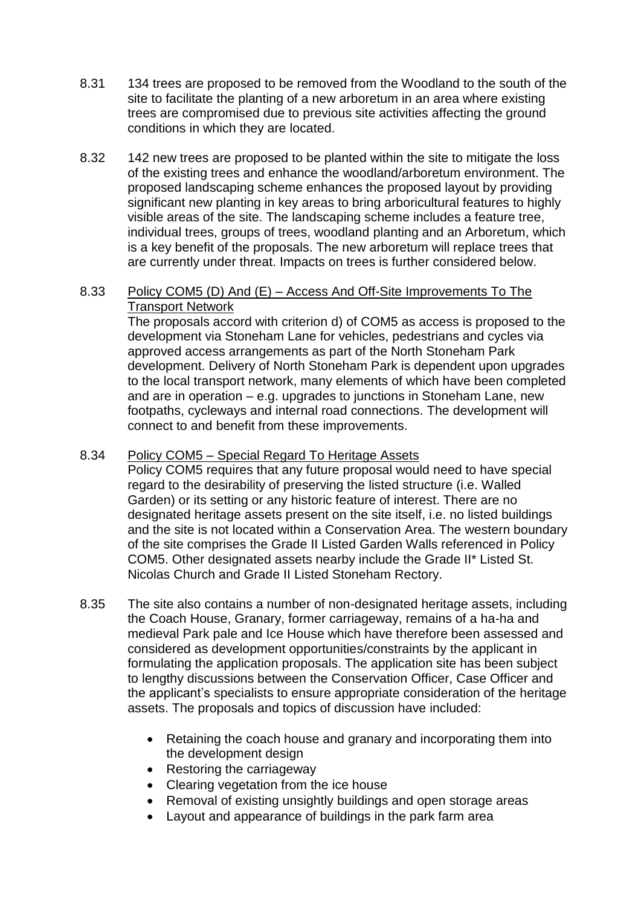- 8.31 134 trees are proposed to be removed from the Woodland to the south of the site to facilitate the planting of a new arboretum in an area where existing trees are compromised due to previous site activities affecting the ground conditions in which they are located.
- 8.32 142 new trees are proposed to be planted within the site to mitigate the loss of the existing trees and enhance the woodland/arboretum environment. The proposed landscaping scheme enhances the proposed layout by providing significant new planting in key areas to bring arboricultural features to highly visible areas of the site. The landscaping scheme includes a feature tree, individual trees, groups of trees, woodland planting and an Arboretum, which is a key benefit of the proposals. The new arboretum will replace trees that are currently under threat. Impacts on trees is further considered below.

#### 8.33 Policy COM5 (D) And (E) – Access And Off-Site Improvements To The Transport Network

The proposals accord with criterion d) of COM5 as access is proposed to the development via Stoneham Lane for vehicles, pedestrians and cycles via approved access arrangements as part of the North Stoneham Park development. Delivery of North Stoneham Park is dependent upon upgrades to the local transport network, many elements of which have been completed and are in operation – e.g. upgrades to junctions in Stoneham Lane, new footpaths, cycleways and internal road connections. The development will connect to and benefit from these improvements.

## 8.34 Policy COM5 – Special Regard To Heritage Assets

Policy COM5 requires that any future proposal would need to have special regard to the desirability of preserving the listed structure (i.e. Walled Garden) or its setting or any historic feature of interest. There are no designated heritage assets present on the site itself, i.e. no listed buildings and the site is not located within a Conservation Area. The western boundary of the site comprises the Grade II Listed Garden Walls referenced in Policy COM5. Other designated assets nearby include the Grade II\* Listed St. Nicolas Church and Grade II Listed Stoneham Rectory.

- 8.35 The site also contains a number of non-designated heritage assets, including the Coach House, Granary, former carriageway, remains of a ha-ha and medieval Park pale and Ice House which have therefore been assessed and considered as development opportunities/constraints by the applicant in formulating the application proposals. The application site has been subject to lengthy discussions between the Conservation Officer, Case Officer and the applicant's specialists to ensure appropriate consideration of the heritage assets. The proposals and topics of discussion have included:
	- Retaining the coach house and granary and incorporating them into the development design
	- Restoring the carriageway
	- Clearing vegetation from the ice house
	- Removal of existing unsightly buildings and open storage areas
	- Layout and appearance of buildings in the park farm area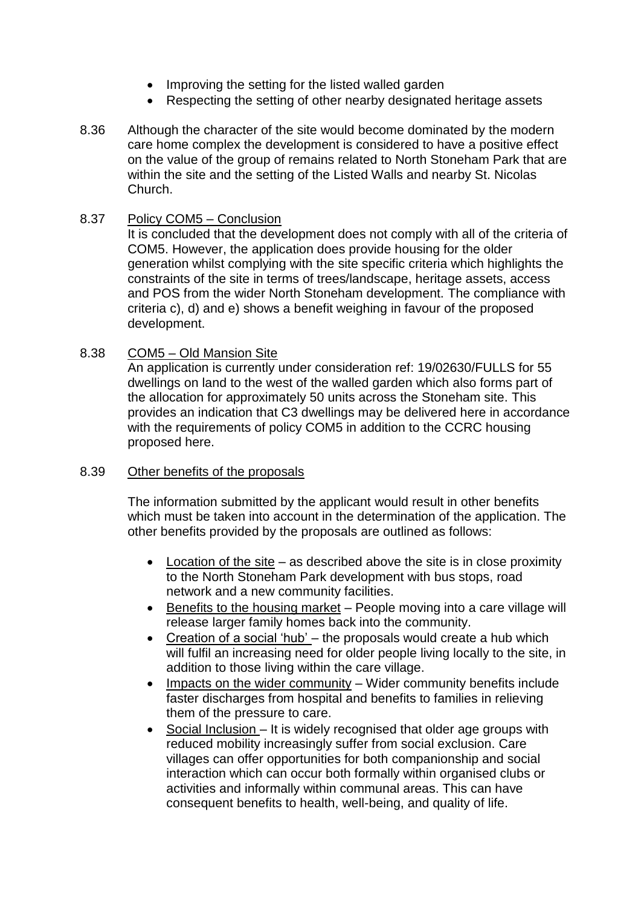- Improving the setting for the listed walled garden
- Respecting the setting of other nearby designated heritage assets
- 8.36 Although the character of the site would become dominated by the modern care home complex the development is considered to have a positive effect on the value of the group of remains related to North Stoneham Park that are within the site and the setting of the Listed Walls and nearby St. Nicolas Church.

#### 8.37 Policy COM5 – Conclusion

It is concluded that the development does not comply with all of the criteria of COM5. However, the application does provide housing for the older generation whilst complying with the site specific criteria which highlights the constraints of the site in terms of trees/landscape, heritage assets, access and POS from the wider North Stoneham development. The compliance with criteria c), d) and e) shows a benefit weighing in favour of the proposed development.

#### 8.38 COM5 – Old Mansion Site

An application is currently under consideration ref: 19/02630/FULLS for 55 dwellings on land to the west of the walled garden which also forms part of the allocation for approximately 50 units across the Stoneham site. This provides an indication that C3 dwellings may be delivered here in accordance with the requirements of policy COM5 in addition to the CCRC housing proposed here.

#### 8.39 Other benefits of the proposals

The information submitted by the applicant would result in other benefits which must be taken into account in the determination of the application. The other benefits provided by the proposals are outlined as follows:

- Location of the site as described above the site is in close proximity to the North Stoneham Park development with bus stops, road network and a new community facilities.
- Benefits to the housing market People moving into a care village will release larger family homes back into the community.
- Creation of a social 'hub' the proposals would create a hub which will fulfil an increasing need for older people living locally to the site, in addition to those living within the care village.
- $\bullet$  Impacts on the wider community Wider community benefits include faster discharges from hospital and benefits to families in relieving them of the pressure to care.
- Social Inclusion It is widely recognised that older age groups with reduced mobility increasingly suffer from social exclusion. Care villages can offer opportunities for both companionship and social interaction which can occur both formally within organised clubs or activities and informally within communal areas. This can have consequent benefits to health, well-being, and quality of life.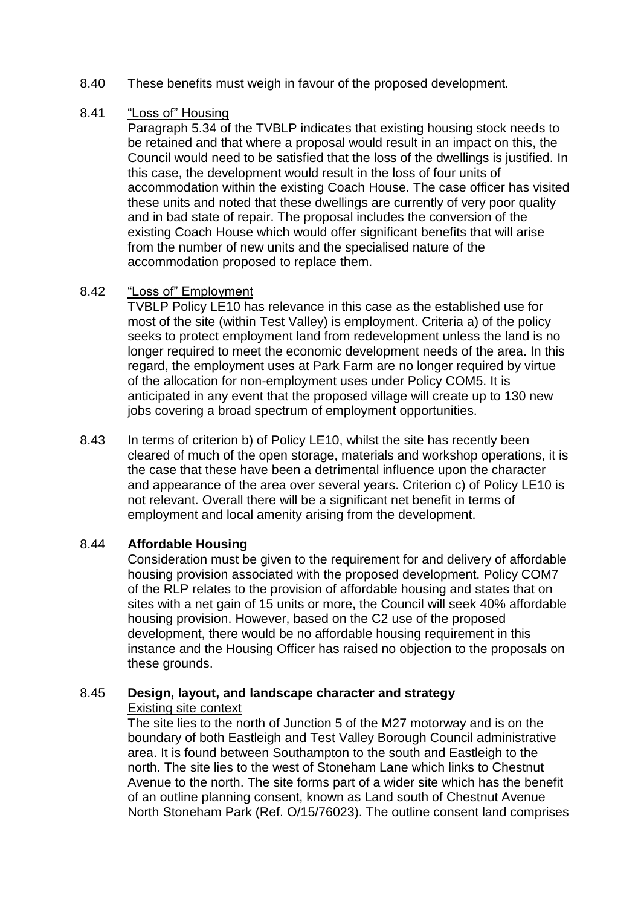- 8.40 These benefits must weigh in favour of the proposed development.
- 8.41 "Loss of" Housing

Paragraph 5.34 of the TVBLP indicates that existing housing stock needs to be retained and that where a proposal would result in an impact on this, the Council would need to be satisfied that the loss of the dwellings is justified. In this case, the development would result in the loss of four units of accommodation within the existing Coach House. The case officer has visited these units and noted that these dwellings are currently of very poor quality and in bad state of repair. The proposal includes the conversion of the existing Coach House which would offer significant benefits that will arise from the number of new units and the specialised nature of the accommodation proposed to replace them.

### 8.42 "Loss of" Employment

TVBLP Policy LE10 has relevance in this case as the established use for most of the site (within Test Valley) is employment. Criteria a) of the policy seeks to protect employment land from redevelopment unless the land is no longer required to meet the economic development needs of the area. In this regard, the employment uses at Park Farm are no longer required by virtue of the allocation for non-employment uses under Policy COM5. It is anticipated in any event that the proposed village will create up to 130 new jobs covering a broad spectrum of employment opportunities.

8.43 In terms of criterion b) of Policy LE10, whilst the site has recently been cleared of much of the open storage, materials and workshop operations, it is the case that these have been a detrimental influence upon the character and appearance of the area over several years. Criterion c) of Policy LE10 is not relevant. Overall there will be a significant net benefit in terms of employment and local amenity arising from the development.

### 8.44 **Affordable Housing**

Consideration must be given to the requirement for and delivery of affordable housing provision associated with the proposed development. Policy COM7 of the RLP relates to the provision of affordable housing and states that on sites with a net gain of 15 units or more, the Council will seek 40% affordable housing provision. However, based on the C2 use of the proposed development, there would be no affordable housing requirement in this instance and the Housing Officer has raised no objection to the proposals on these grounds.

### 8.45 **Design, layout, and landscape character and strategy** Existing site context

The site lies to the north of Junction 5 of the M27 motorway and is on the boundary of both Eastleigh and Test Valley Borough Council administrative area. It is found between Southampton to the south and Eastleigh to the north. The site lies to the west of Stoneham Lane which links to Chestnut Avenue to the north. The site forms part of a wider site which has the benefit of an outline planning consent, known as Land south of Chestnut Avenue North Stoneham Park (Ref. O/15/76023). The outline consent land comprises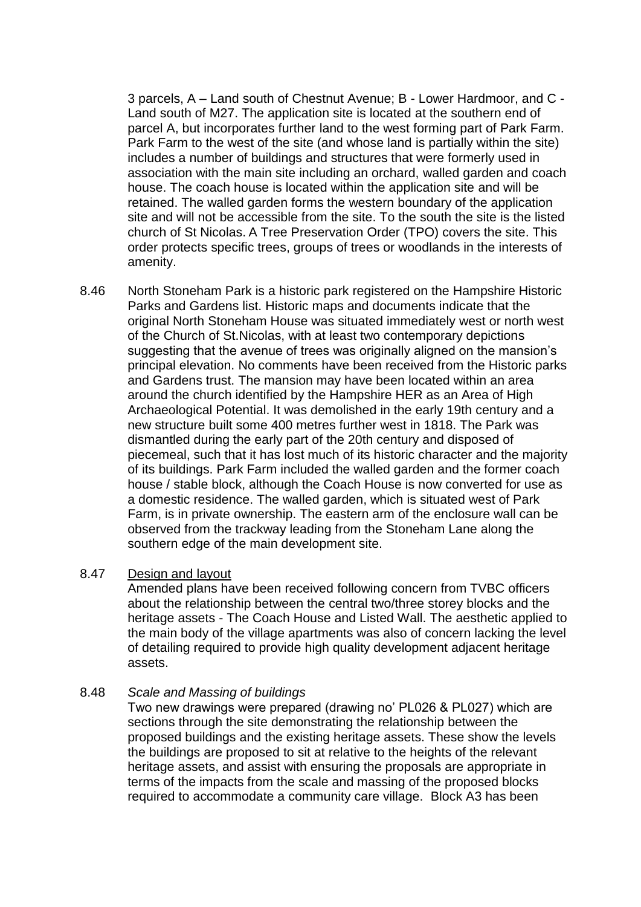3 parcels, A – Land south of Chestnut Avenue; B - Lower Hardmoor, and C - Land south of M27. The application site is located at the southern end of parcel A, but incorporates further land to the west forming part of Park Farm. Park Farm to the west of the site (and whose land is partially within the site) includes a number of buildings and structures that were formerly used in association with the main site including an orchard, walled garden and coach house. The coach house is located within the application site and will be retained. The walled garden forms the western boundary of the application site and will not be accessible from the site. To the south the site is the listed church of St Nicolas. A Tree Preservation Order (TPO) covers the site. This order protects specific trees, groups of trees or woodlands in the interests of amenity.

8.46 North Stoneham Park is a historic park registered on the Hampshire Historic Parks and Gardens list. Historic maps and documents indicate that the original North Stoneham House was situated immediately west or north west of the Church of St.Nicolas, with at least two contemporary depictions suggesting that the avenue of trees was originally aligned on the mansion's principal elevation. No comments have been received from the Historic parks and Gardens trust. The mansion may have been located within an area around the church identified by the Hampshire HER as an Area of High Archaeological Potential. It was demolished in the early 19th century and a new structure built some 400 metres further west in 1818. The Park was dismantled during the early part of the 20th century and disposed of piecemeal, such that it has lost much of its historic character and the majority of its buildings. Park Farm included the walled garden and the former coach house / stable block, although the Coach House is now converted for use as a domestic residence. The walled garden, which is situated west of Park Farm, is in private ownership. The eastern arm of the enclosure wall can be observed from the trackway leading from the Stoneham Lane along the southern edge of the main development site.

### 8.47 Design and layout

Amended plans have been received following concern from TVBC officers about the relationship between the central two/three storey blocks and the heritage assets - The Coach House and Listed Wall. The aesthetic applied to the main body of the village apartments was also of concern lacking the level of detailing required to provide high quality development adjacent heritage assets.

### 8.48 *Scale and Massing of buildings*

Two new drawings were prepared (drawing no' PL026 & PL027) which are sections through the site demonstrating the relationship between the proposed buildings and the existing heritage assets. These show the levels the buildings are proposed to sit at relative to the heights of the relevant heritage assets, and assist with ensuring the proposals are appropriate in terms of the impacts from the scale and massing of the proposed blocks required to accommodate a community care village. Block A3 has been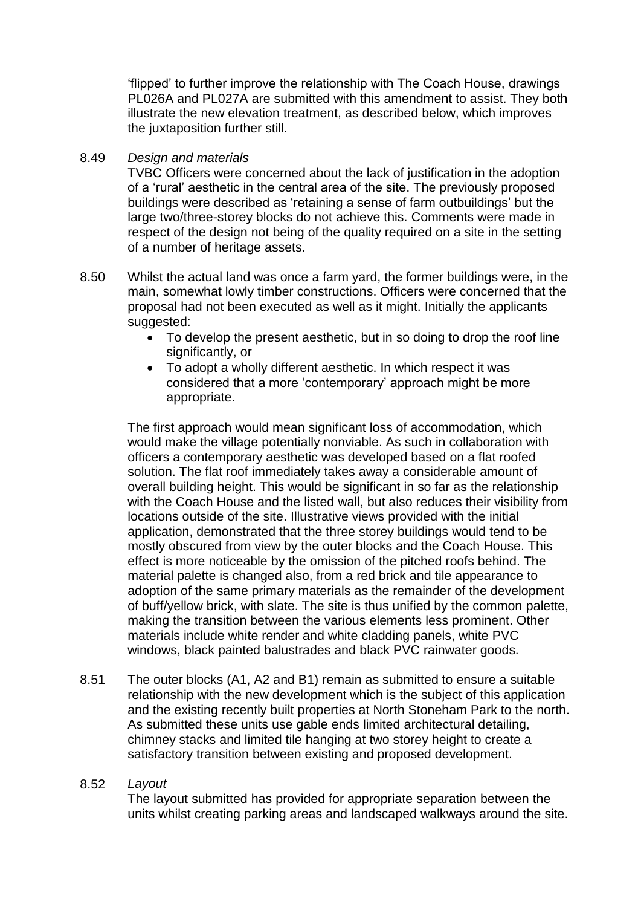'flipped' to further improve the relationship with The Coach House, drawings PL026A and PL027A are submitted with this amendment to assist. They both illustrate the new elevation treatment, as described below, which improves the juxtaposition further still.

#### 8.49 *Design and materials*

TVBC Officers were concerned about the lack of justification in the adoption of a 'rural' aesthetic in the central area of the site. The previously proposed buildings were described as 'retaining a sense of farm outbuildings' but the large two/three-storey blocks do not achieve this. Comments were made in respect of the design not being of the quality required on a site in the setting of a number of heritage assets.

- 8.50 Whilst the actual land was once a farm yard, the former buildings were, in the main, somewhat lowly timber constructions. Officers were concerned that the proposal had not been executed as well as it might. Initially the applicants suggested:
	- To develop the present aesthetic, but in so doing to drop the roof line significantly, or
	- To adopt a wholly different aesthetic. In which respect it was considered that a more 'contemporary' approach might be more appropriate.

The first approach would mean significant loss of accommodation, which would make the village potentially nonviable. As such in collaboration with officers a contemporary aesthetic was developed based on a flat roofed solution. The flat roof immediately takes away a considerable amount of overall building height. This would be significant in so far as the relationship with the Coach House and the listed wall, but also reduces their visibility from locations outside of the site. Illustrative views provided with the initial application, demonstrated that the three storey buildings would tend to be mostly obscured from view by the outer blocks and the Coach House. This effect is more noticeable by the omission of the pitched roofs behind. The material palette is changed also, from a red brick and tile appearance to adoption of the same primary materials as the remainder of the development of buff/yellow brick, with slate. The site is thus unified by the common palette, making the transition between the various elements less prominent. Other materials include white render and white cladding panels, white PVC windows, black painted balustrades and black PVC rainwater goods.

8.51 The outer blocks (A1, A2 and B1) remain as submitted to ensure a suitable relationship with the new development which is the subject of this application and the existing recently built properties at North Stoneham Park to the north. As submitted these units use gable ends limited architectural detailing, chimney stacks and limited tile hanging at two storey height to create a satisfactory transition between existing and proposed development.

#### 8.52 *Layout*

The layout submitted has provided for appropriate separation between the units whilst creating parking areas and landscaped walkways around the site.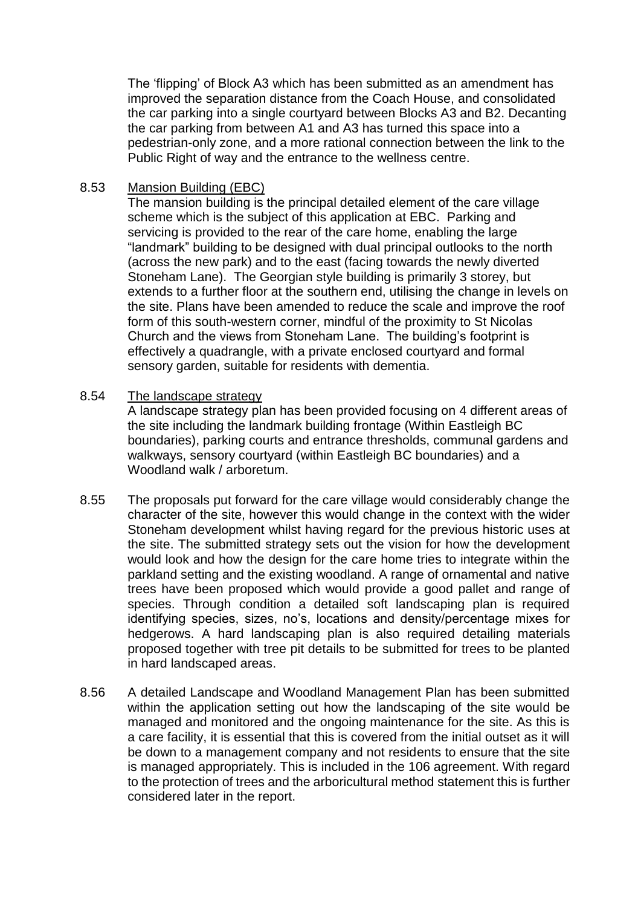The 'flipping' of Block A3 which has been submitted as an amendment has improved the separation distance from the Coach House, and consolidated the car parking into a single courtyard between Blocks A3 and B2. Decanting the car parking from between A1 and A3 has turned this space into a pedestrian-only zone, and a more rational connection between the link to the Public Right of way and the entrance to the wellness centre.

## 8.53 Mansion Building (EBC)

The mansion building is the principal detailed element of the care village scheme which is the subject of this application at EBC. Parking and servicing is provided to the rear of the care home, enabling the large "landmark" building to be designed with dual principal outlooks to the north (across the new park) and to the east (facing towards the newly diverted Stoneham Lane). The Georgian style building is primarily 3 storey, but extends to a further floor at the southern end, utilising the change in levels on the site. Plans have been amended to reduce the scale and improve the roof form of this south-western corner, mindful of the proximity to St Nicolas Church and the views from Stoneham Lane. The building's footprint is effectively a quadrangle, with a private enclosed courtyard and formal sensory garden, suitable for residents with dementia.

#### 8.54 The landscape strategy

A landscape strategy plan has been provided focusing on 4 different areas of the site including the landmark building frontage (Within Eastleigh BC boundaries), parking courts and entrance thresholds, communal gardens and walkways, sensory courtyard (within Eastleigh BC boundaries) and a Woodland walk / arboretum.

- 8.55 The proposals put forward for the care village would considerably change the character of the site, however this would change in the context with the wider Stoneham development whilst having regard for the previous historic uses at the site. The submitted strategy sets out the vision for how the development would look and how the design for the care home tries to integrate within the parkland setting and the existing woodland. A range of ornamental and native trees have been proposed which would provide a good pallet and range of species. Through condition a detailed soft landscaping plan is required identifying species, sizes, no's, locations and density/percentage mixes for hedgerows. A hard landscaping plan is also required detailing materials proposed together with tree pit details to be submitted for trees to be planted in hard landscaped areas.
- 8.56 A detailed Landscape and Woodland Management Plan has been submitted within the application setting out how the landscaping of the site would be managed and monitored and the ongoing maintenance for the site. As this is a care facility, it is essential that this is covered from the initial outset as it will be down to a management company and not residents to ensure that the site is managed appropriately. This is included in the 106 agreement. With regard to the protection of trees and the arboricultural method statement this is further considered later in the report.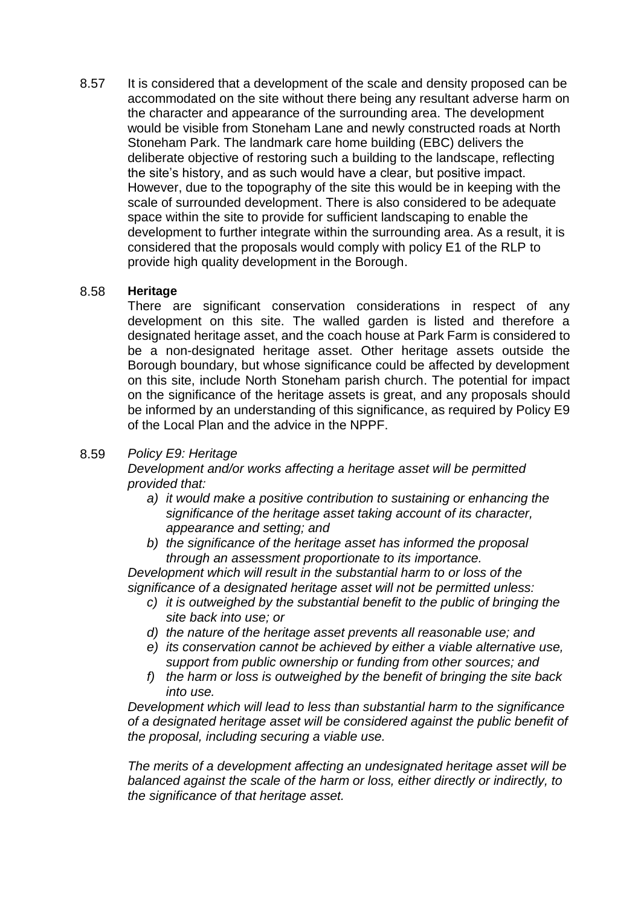8.57 It is considered that a development of the scale and density proposed can be accommodated on the site without there being any resultant adverse harm on the character and appearance of the surrounding area. The development would be visible from Stoneham Lane and newly constructed roads at North Stoneham Park. The landmark care home building (EBC) delivers the deliberate objective of restoring such a building to the landscape, reflecting the site's history, and as such would have a clear, but positive impact. However, due to the topography of the site this would be in keeping with the scale of surrounded development. There is also considered to be adequate space within the site to provide for sufficient landscaping to enable the development to further integrate within the surrounding area. As a result, it is considered that the proposals would comply with policy E1 of the RLP to provide high quality development in the Borough.

### 8.58 **Heritage**

There are significant conservation considerations in respect of any development on this site. The walled garden is listed and therefore a designated heritage asset, and the coach house at Park Farm is considered to be a non-designated heritage asset. Other heritage assets outside the Borough boundary, but whose significance could be affected by development on this site, include North Stoneham parish church. The potential for impact on the significance of the heritage assets is great, and any proposals should be informed by an understanding of this significance, as required by Policy E9 of the Local Plan and the advice in the NPPF.

## 8.59 *Policy E9: Heritage*

*Development and/or works affecting a heritage asset will be permitted provided that:*

- *a) it would make a positive contribution to sustaining or enhancing the significance of the heritage asset taking account of its character, appearance and setting; and*
- *b) the significance of the heritage asset has informed the proposal through an assessment proportionate to its importance.*

*Development which will result in the substantial harm to or loss of the significance of a designated heritage asset will not be permitted unless:*

- *c) it is outweighed by the substantial benefit to the public of bringing the site back into use; or*
- *d) the nature of the heritage asset prevents all reasonable use; and*
- *e) its conservation cannot be achieved by either a viable alternative use, support from public ownership or funding from other sources; and*
- *f) the harm or loss is outweighed by the benefit of bringing the site back into use.*

*Development which will lead to less than substantial harm to the significance of a designated heritage asset will be considered against the public benefit of the proposal, including securing a viable use.*

*The merits of a development affecting an undesignated heritage asset will be balanced against the scale of the harm or loss, either directly or indirectly, to the significance of that heritage asset.*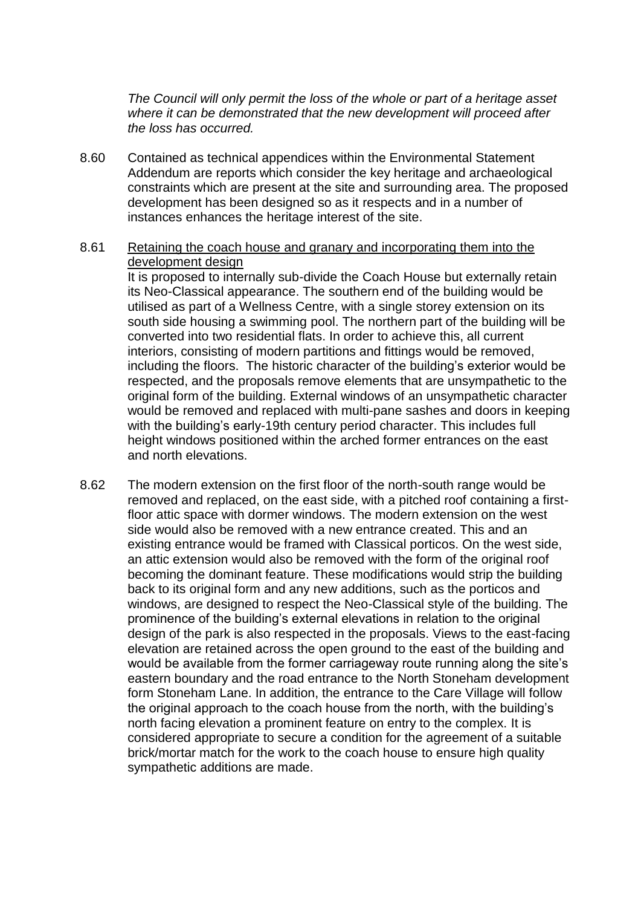*The Council will only permit the loss of the whole or part of a heritage asset where it can be demonstrated that the new development will proceed after the loss has occurred.*

8.60 Contained as technical appendices within the Environmental Statement Addendum are reports which consider the key heritage and archaeological constraints which are present at the site and surrounding area. The proposed development has been designed so as it respects and in a number of instances enhances the heritage interest of the site.

#### 8.61 Retaining the coach house and granary and incorporating them into the development design

It is proposed to internally sub-divide the Coach House but externally retain its Neo-Classical appearance. The southern end of the building would be utilised as part of a Wellness Centre, with a single storey extension on its south side housing a swimming pool. The northern part of the building will be converted into two residential flats. In order to achieve this, all current interiors, consisting of modern partitions and fittings would be removed, including the floors. The historic character of the building's exterior would be respected, and the proposals remove elements that are unsympathetic to the original form of the building. External windows of an unsympathetic character would be removed and replaced with multi-pane sashes and doors in keeping with the building's early-19th century period character. This includes full height windows positioned within the arched former entrances on the east and north elevations.

8.62 The modern extension on the first floor of the north-south range would be removed and replaced, on the east side, with a pitched roof containing a firstfloor attic space with dormer windows. The modern extension on the west side would also be removed with a new entrance created. This and an existing entrance would be framed with Classical porticos. On the west side, an attic extension would also be removed with the form of the original roof becoming the dominant feature. These modifications would strip the building back to its original form and any new additions, such as the porticos and windows, are designed to respect the Neo-Classical style of the building. The prominence of the building's external elevations in relation to the original design of the park is also respected in the proposals. Views to the east-facing elevation are retained across the open ground to the east of the building and would be available from the former carriageway route running along the site's eastern boundary and the road entrance to the North Stoneham development form Stoneham Lane. In addition, the entrance to the Care Village will follow the original approach to the coach house from the north, with the building's north facing elevation a prominent feature on entry to the complex. It is considered appropriate to secure a condition for the agreement of a suitable brick/mortar match for the work to the coach house to ensure high quality sympathetic additions are made.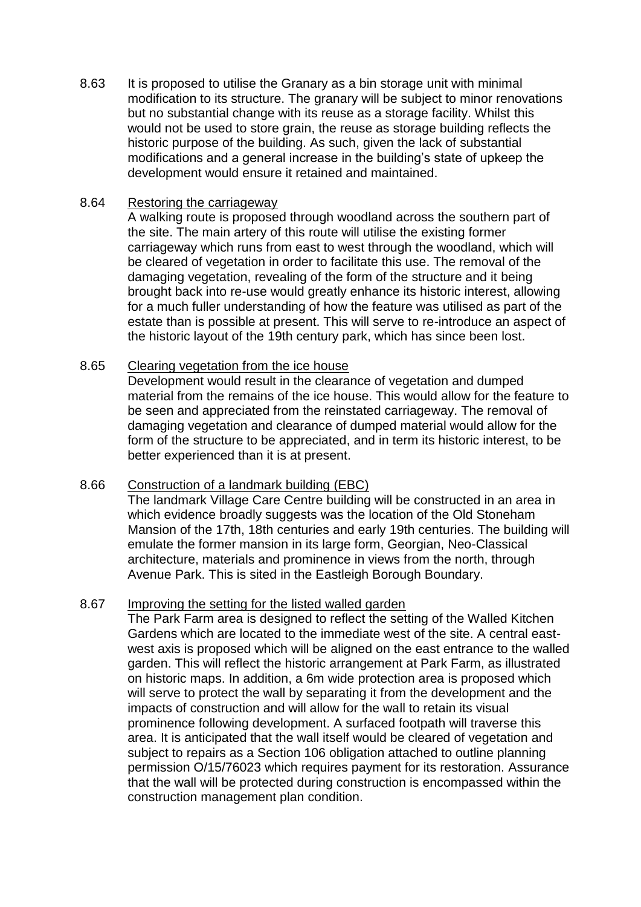8.63 It is proposed to utilise the Granary as a bin storage unit with minimal modification to its structure. The granary will be subject to minor renovations but no substantial change with its reuse as a storage facility. Whilst this would not be used to store grain, the reuse as storage building reflects the historic purpose of the building. As such, given the lack of substantial modifications and a general increase in the building's state of upkeep the development would ensure it retained and maintained.

## 8.64 Restoring the carriageway

A walking route is proposed through woodland across the southern part of the site. The main artery of this route will utilise the existing former carriageway which runs from east to west through the woodland, which will be cleared of vegetation in order to facilitate this use. The removal of the damaging vegetation, revealing of the form of the structure and it being brought back into re-use would greatly enhance its historic interest, allowing for a much fuller understanding of how the feature was utilised as part of the estate than is possible at present. This will serve to re-introduce an aspect of the historic layout of the 19th century park, which has since been lost.

### 8.65 Clearing vegetation from the ice house

Development would result in the clearance of vegetation and dumped material from the remains of the ice house. This would allow for the feature to be seen and appreciated from the reinstated carriageway. The removal of damaging vegetation and clearance of dumped material would allow for the form of the structure to be appreciated, and in term its historic interest, to be better experienced than it is at present.

### 8.66 Construction of a landmark building (EBC)

The landmark Village Care Centre building will be constructed in an area in which evidence broadly suggests was the location of the Old Stoneham Mansion of the 17th, 18th centuries and early 19th centuries. The building will emulate the former mansion in its large form, Georgian, Neo-Classical architecture, materials and prominence in views from the north, through Avenue Park. This is sited in the Eastleigh Borough Boundary.

### 8.67 Improving the setting for the listed walled garden

The Park Farm area is designed to reflect the setting of the Walled Kitchen Gardens which are located to the immediate west of the site. A central eastwest axis is proposed which will be aligned on the east entrance to the walled garden. This will reflect the historic arrangement at Park Farm, as illustrated on historic maps. In addition, a 6m wide protection area is proposed which will serve to protect the wall by separating it from the development and the impacts of construction and will allow for the wall to retain its visual prominence following development. A surfaced footpath will traverse this area. It is anticipated that the wall itself would be cleared of vegetation and subject to repairs as a Section 106 obligation attached to outline planning permission O/15/76023 which requires payment for its restoration. Assurance that the wall will be protected during construction is encompassed within the construction management plan condition.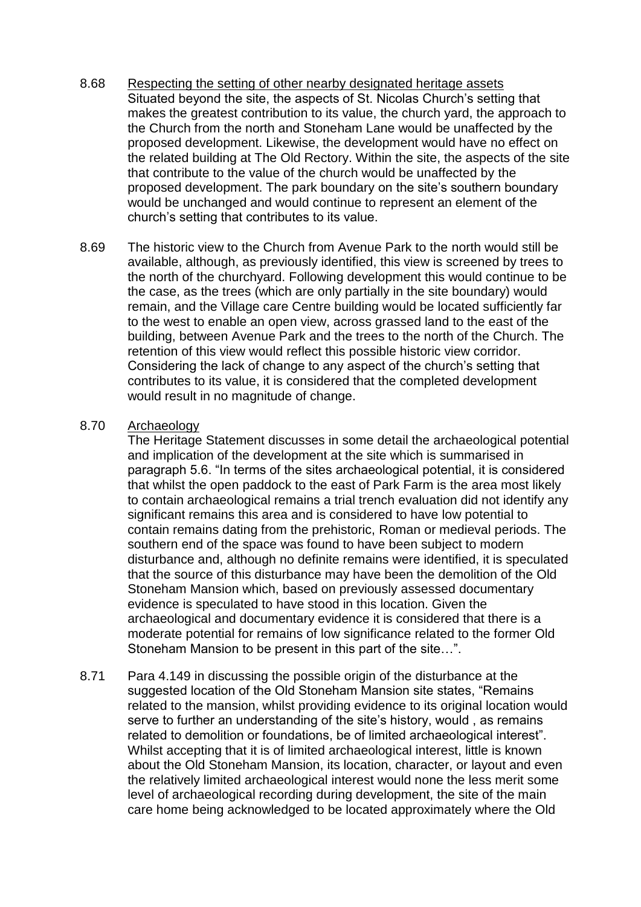- 8.68 Respecting the setting of other nearby designated heritage assets Situated beyond the site, the aspects of St. Nicolas Church's setting that makes the greatest contribution to its value, the church yard, the approach to the Church from the north and Stoneham Lane would be unaffected by the proposed development. Likewise, the development would have no effect on the related building at The Old Rectory. Within the site, the aspects of the site that contribute to the value of the church would be unaffected by the proposed development. The park boundary on the site's southern boundary would be unchanged and would continue to represent an element of the church's setting that contributes to its value.
- 8.69 The historic view to the Church from Avenue Park to the north would still be available, although, as previously identified, this view is screened by trees to the north of the churchyard. Following development this would continue to be the case, as the trees (which are only partially in the site boundary) would remain, and the Village care Centre building would be located sufficiently far to the west to enable an open view, across grassed land to the east of the building, between Avenue Park and the trees to the north of the Church. The retention of this view would reflect this possible historic view corridor. Considering the lack of change to any aspect of the church's setting that contributes to its value, it is considered that the completed development would result in no magnitude of change.

### 8.70 Archaeology

The Heritage Statement discusses in some detail the archaeological potential and implication of the development at the site which is summarised in paragraph 5.6. "In terms of the sites archaeological potential, it is considered that whilst the open paddock to the east of Park Farm is the area most likely to contain archaeological remains a trial trench evaluation did not identify any significant remains this area and is considered to have low potential to contain remains dating from the prehistoric, Roman or medieval periods. The southern end of the space was found to have been subject to modern disturbance and, although no definite remains were identified, it is speculated that the source of this disturbance may have been the demolition of the Old Stoneham Mansion which, based on previously assessed documentary evidence is speculated to have stood in this location. Given the archaeological and documentary evidence it is considered that there is a moderate potential for remains of low significance related to the former Old Stoneham Mansion to be present in this part of the site…".

8.71 Para 4.149 in discussing the possible origin of the disturbance at the suggested location of the Old Stoneham Mansion site states, "Remains related to the mansion, whilst providing evidence to its original location would serve to further an understanding of the site's history, would , as remains related to demolition or foundations, be of limited archaeological interest". Whilst accepting that it is of limited archaeological interest, little is known about the Old Stoneham Mansion, its location, character, or layout and even the relatively limited archaeological interest would none the less merit some level of archaeological recording during development, the site of the main care home being acknowledged to be located approximately where the Old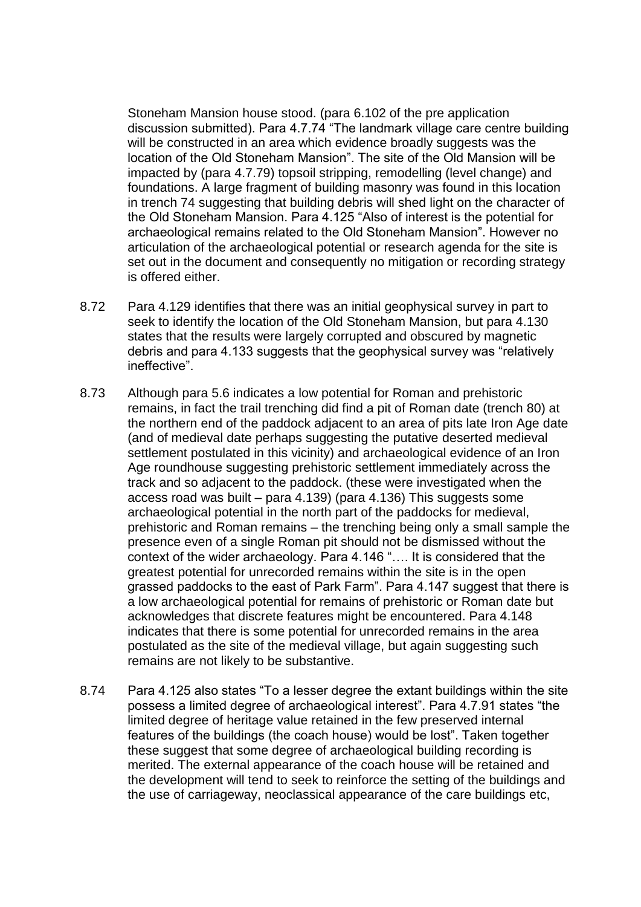Stoneham Mansion house stood. (para 6.102 of the pre application discussion submitted). Para 4.7.74 "The landmark village care centre building will be constructed in an area which evidence broadly suggests was the location of the Old Stoneham Mansion". The site of the Old Mansion will be impacted by (para 4.7.79) topsoil stripping, remodelling (level change) and foundations. A large fragment of building masonry was found in this location in trench 74 suggesting that building debris will shed light on the character of the Old Stoneham Mansion. Para 4.125 "Also of interest is the potential for archaeological remains related to the Old Stoneham Mansion". However no articulation of the archaeological potential or research agenda for the site is set out in the document and consequently no mitigation or recording strategy is offered either.

- 8.72 Para 4.129 identifies that there was an initial geophysical survey in part to seek to identify the location of the Old Stoneham Mansion, but para 4.130 states that the results were largely corrupted and obscured by magnetic debris and para 4.133 suggests that the geophysical survey was "relatively ineffective".
- 8.73 Although para 5.6 indicates a low potential for Roman and prehistoric remains, in fact the trail trenching did find a pit of Roman date (trench 80) at the northern end of the paddock adjacent to an area of pits late Iron Age date (and of medieval date perhaps suggesting the putative deserted medieval settlement postulated in this vicinity) and archaeological evidence of an Iron Age roundhouse suggesting prehistoric settlement immediately across the track and so adjacent to the paddock. (these were investigated when the access road was built – para 4.139) (para 4.136) This suggests some archaeological potential in the north part of the paddocks for medieval, prehistoric and Roman remains – the trenching being only a small sample the presence even of a single Roman pit should not be dismissed without the context of the wider archaeology. Para 4.146 "…. It is considered that the greatest potential for unrecorded remains within the site is in the open grassed paddocks to the east of Park Farm". Para 4.147 suggest that there is a low archaeological potential for remains of prehistoric or Roman date but acknowledges that discrete features might be encountered. Para 4.148 indicates that there is some potential for unrecorded remains in the area postulated as the site of the medieval village, but again suggesting such remains are not likely to be substantive.
- 8.74 Para 4.125 also states "To a lesser degree the extant buildings within the site possess a limited degree of archaeological interest". Para 4.7.91 states "the limited degree of heritage value retained in the few preserved internal features of the buildings (the coach house) would be lost". Taken together these suggest that some degree of archaeological building recording is merited. The external appearance of the coach house will be retained and the development will tend to seek to reinforce the setting of the buildings and the use of carriageway, neoclassical appearance of the care buildings etc,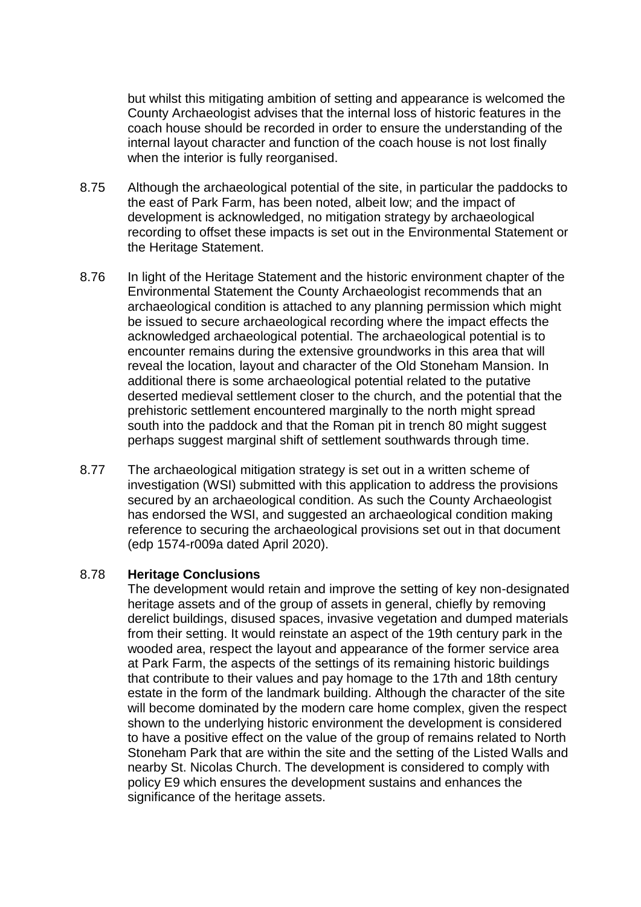but whilst this mitigating ambition of setting and appearance is welcomed the County Archaeologist advises that the internal loss of historic features in the coach house should be recorded in order to ensure the understanding of the internal layout character and function of the coach house is not lost finally when the interior is fully reorganised.

- 8.75 Although the archaeological potential of the site, in particular the paddocks to the east of Park Farm, has been noted, albeit low; and the impact of development is acknowledged, no mitigation strategy by archaeological recording to offset these impacts is set out in the Environmental Statement or the Heritage Statement.
- 8.76 In light of the Heritage Statement and the historic environment chapter of the Environmental Statement the County Archaeologist recommends that an archaeological condition is attached to any planning permission which might be issued to secure archaeological recording where the impact effects the acknowledged archaeological potential. The archaeological potential is to encounter remains during the extensive groundworks in this area that will reveal the location, layout and character of the Old Stoneham Mansion. In additional there is some archaeological potential related to the putative deserted medieval settlement closer to the church, and the potential that the prehistoric settlement encountered marginally to the north might spread south into the paddock and that the Roman pit in trench 80 might suggest perhaps suggest marginal shift of settlement southwards through time.
- 8.77 The archaeological mitigation strategy is set out in a written scheme of investigation (WSI) submitted with this application to address the provisions secured by an archaeological condition. As such the County Archaeologist has endorsed the WSI, and suggested an archaeological condition making reference to securing the archaeological provisions set out in that document (edp 1574-r009a dated April 2020).

#### 8.78 **Heritage Conclusions**

The development would retain and improve the setting of key non-designated heritage assets and of the group of assets in general, chiefly by removing derelict buildings, disused spaces, invasive vegetation and dumped materials from their setting. It would reinstate an aspect of the 19th century park in the wooded area, respect the layout and appearance of the former service area at Park Farm, the aspects of the settings of its remaining historic buildings that contribute to their values and pay homage to the 17th and 18th century estate in the form of the landmark building. Although the character of the site will become dominated by the modern care home complex, given the respect shown to the underlying historic environment the development is considered to have a positive effect on the value of the group of remains related to North Stoneham Park that are within the site and the setting of the Listed Walls and nearby St. Nicolas Church. The development is considered to comply with policy E9 which ensures the development sustains and enhances the significance of the heritage assets.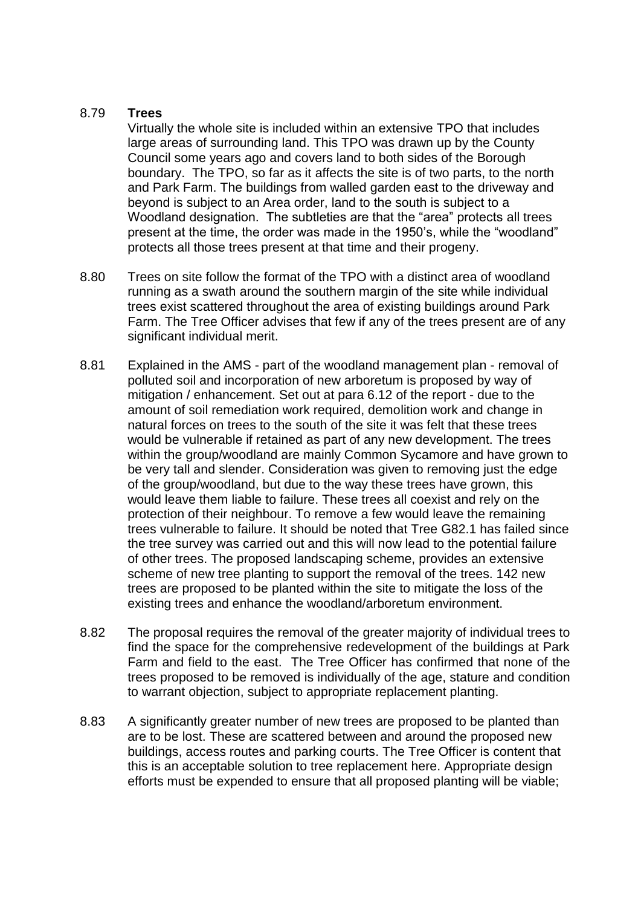## 8.79 **Trees**

Virtually the whole site is included within an extensive TPO that includes large areas of surrounding land. This TPO was drawn up by the County Council some years ago and covers land to both sides of the Borough boundary. The TPO, so far as it affects the site is of two parts, to the north and Park Farm. The buildings from walled garden east to the driveway and beyond is subject to an Area order, land to the south is subject to a Woodland designation. The subtleties are that the "area" protects all trees present at the time, the order was made in the 1950's, while the "woodland" protects all those trees present at that time and their progeny.

- 8.80 Trees on site follow the format of the TPO with a distinct area of woodland running as a swath around the southern margin of the site while individual trees exist scattered throughout the area of existing buildings around Park Farm. The Tree Officer advises that few if any of the trees present are of any significant individual merit.
- 8.81 Explained in the AMS part of the woodland management plan removal of polluted soil and incorporation of new arboretum is proposed by way of mitigation / enhancement. Set out at para 6.12 of the report - due to the amount of soil remediation work required, demolition work and change in natural forces on trees to the south of the site it was felt that these trees would be vulnerable if retained as part of any new development. The trees within the group/woodland are mainly Common Sycamore and have grown to be very tall and slender. Consideration was given to removing just the edge of the group/woodland, but due to the way these trees have grown, this would leave them liable to failure. These trees all coexist and rely on the protection of their neighbour. To remove a few would leave the remaining trees vulnerable to failure. It should be noted that Tree G82.1 has failed since the tree survey was carried out and this will now lead to the potential failure of other trees. The proposed landscaping scheme, provides an extensive scheme of new tree planting to support the removal of the trees. 142 new trees are proposed to be planted within the site to mitigate the loss of the existing trees and enhance the woodland/arboretum environment.
- 8.82 The proposal requires the removal of the greater majority of individual trees to find the space for the comprehensive redevelopment of the buildings at Park Farm and field to the east. The Tree Officer has confirmed that none of the trees proposed to be removed is individually of the age, stature and condition to warrant objection, subject to appropriate replacement planting.
- 8.83 A significantly greater number of new trees are proposed to be planted than are to be lost. These are scattered between and around the proposed new buildings, access routes and parking courts. The Tree Officer is content that this is an acceptable solution to tree replacement here. Appropriate design efforts must be expended to ensure that all proposed planting will be viable;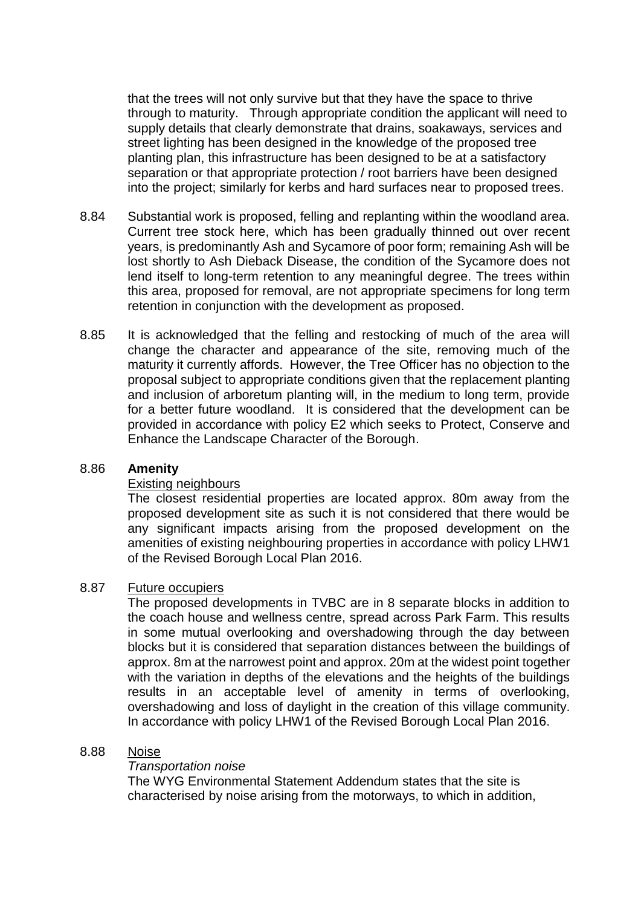that the trees will not only survive but that they have the space to thrive through to maturity. Through appropriate condition the applicant will need to supply details that clearly demonstrate that drains, soakaways, services and street lighting has been designed in the knowledge of the proposed tree planting plan, this infrastructure has been designed to be at a satisfactory separation or that appropriate protection / root barriers have been designed into the project; similarly for kerbs and hard surfaces near to proposed trees.

- 8.84 Substantial work is proposed, felling and replanting within the woodland area. Current tree stock here, which has been gradually thinned out over recent years, is predominantly Ash and Sycamore of poor form; remaining Ash will be lost shortly to Ash Dieback Disease, the condition of the Sycamore does not lend itself to long-term retention to any meaningful degree. The trees within this area, proposed for removal, are not appropriate specimens for long term retention in conjunction with the development as proposed.
- 8.85 It is acknowledged that the felling and restocking of much of the area will change the character and appearance of the site, removing much of the maturity it currently affords. However, the Tree Officer has no objection to the proposal subject to appropriate conditions given that the replacement planting and inclusion of arboretum planting will, in the medium to long term, provide for a better future woodland. It is considered that the development can be provided in accordance with policy E2 which seeks to Protect, Conserve and Enhance the Landscape Character of the Borough.

### 8.86 **Amenity**

#### Existing neighbours

The closest residential properties are located approx. 80m away from the proposed development site as such it is not considered that there would be any significant impacts arising from the proposed development on the amenities of existing neighbouring properties in accordance with policy LHW1 of the Revised Borough Local Plan 2016.

#### 8.87 Future occupiers

The proposed developments in TVBC are in 8 separate blocks in addition to the coach house and wellness centre, spread across Park Farm. This results in some mutual overlooking and overshadowing through the day between blocks but it is considered that separation distances between the buildings of approx. 8m at the narrowest point and approx. 20m at the widest point together with the variation in depths of the elevations and the heights of the buildings results in an acceptable level of amenity in terms of overlooking, overshadowing and loss of daylight in the creation of this village community. In accordance with policy LHW1 of the Revised Borough Local Plan 2016.

#### 8.88 Noise

#### *Transportation noise*

The WYG Environmental Statement Addendum states that the site is characterised by noise arising from the motorways, to which in addition,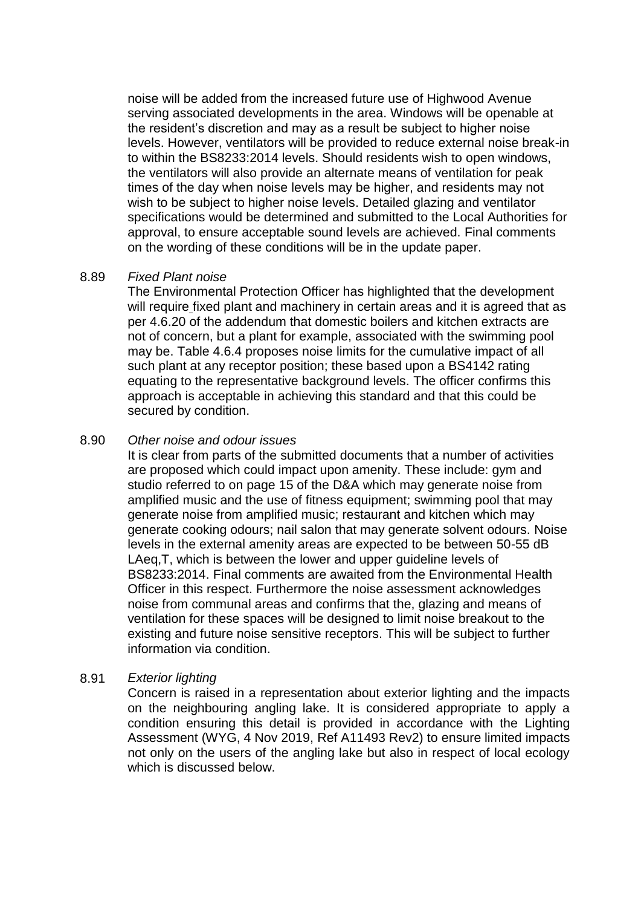noise will be added from the increased future use of Highwood Avenue serving associated developments in the area. Windows will be openable at the resident's discretion and may as a result be subject to higher noise levels. However, ventilators will be provided to reduce external noise break-in to within the BS8233:2014 levels. Should residents wish to open windows, the ventilators will also provide an alternate means of ventilation for peak times of the day when noise levels may be higher, and residents may not wish to be subject to higher noise levels. Detailed glazing and ventilator specifications would be determined and submitted to the Local Authorities for approval, to ensure acceptable sound levels are achieved. Final comments on the wording of these conditions will be in the update paper.

#### 8.89 *Fixed Plant noise*

The Environmental Protection Officer has highlighted that the development will require fixed plant and machinery in certain areas and it is agreed that as per 4.6.20 of the addendum that domestic boilers and kitchen extracts are not of concern, but a plant for example, associated with the swimming pool may be. Table 4.6.4 proposes noise limits for the cumulative impact of all such plant at any receptor position; these based upon a BS4142 rating equating to the representative background levels. The officer confirms this approach is acceptable in achieving this standard and that this could be secured by condition.

#### 8.90 *Other noise and odour issues*

It is clear from parts of the submitted documents that a number of activities are proposed which could impact upon amenity. These include: gym and studio referred to on page 15 of the D&A which may generate noise from amplified music and the use of fitness equipment; swimming pool that may generate noise from amplified music; restaurant and kitchen which may generate cooking odours; nail salon that may generate solvent odours. Noise levels in the external amenity areas are expected to be between 50-55 dB LAeq,T, which is between the lower and upper guideline levels of BS8233:2014. Final comments are awaited from the Environmental Health Officer in this respect. Furthermore the noise assessment acknowledges noise from communal areas and confirms that the, glazing and means of ventilation for these spaces will be designed to limit noise breakout to the existing and future noise sensitive receptors. This will be subject to further information via condition.

### 8.91 *Exterior lighting*

Concern is raised in a representation about exterior lighting and the impacts on the neighbouring angling lake. It is considered appropriate to apply a condition ensuring this detail is provided in accordance with the Lighting Assessment (WYG, 4 Nov 2019, Ref A11493 Rev2) to ensure limited impacts not only on the users of the angling lake but also in respect of local ecology which is discussed below.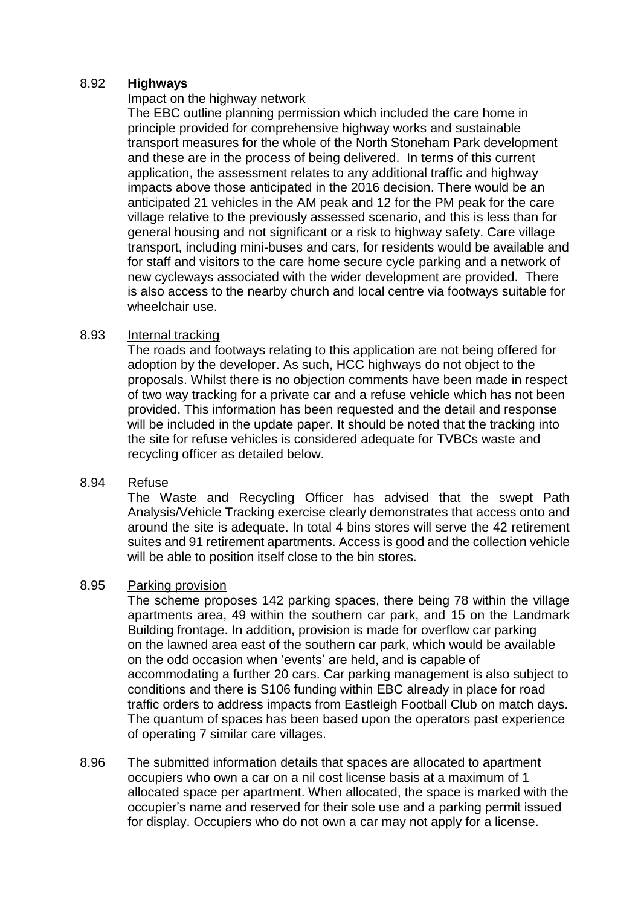## 8.92 **Highways**

## Impact on the highway network

The EBC outline planning permission which included the care home in principle provided for comprehensive highway works and sustainable transport measures for the whole of the North Stoneham Park development and these are in the process of being delivered. In terms of this current application, the assessment relates to any additional traffic and highway impacts above those anticipated in the 2016 decision. There would be an anticipated 21 vehicles in the AM peak and 12 for the PM peak for the care village relative to the previously assessed scenario, and this is less than for general housing and not significant or a risk to highway safety. Care village transport, including mini-buses and cars, for residents would be available and for staff and visitors to the care home secure cycle parking and a network of new cycleways associated with the wider development are provided. There is also access to the nearby church and local centre via footways suitable for wheelchair use.

# 8.93 Internal tracking

The roads and footways relating to this application are not being offered for adoption by the developer. As such, HCC highways do not object to the proposals. Whilst there is no objection comments have been made in respect of two way tracking for a private car and a refuse vehicle which has not been provided. This information has been requested and the detail and response will be included in the update paper. It should be noted that the tracking into the site for refuse vehicles is considered adequate for TVBCs waste and recycling officer as detailed below.

### 8.94 Refuse

The Waste and Recycling Officer has advised that the swept Path Analysis/Vehicle Tracking exercise clearly demonstrates that access onto and around the site is adequate. In total 4 bins stores will serve the 42 retirement suites and 91 retirement apartments. Access is good and the collection vehicle will be able to position itself close to the bin stores.

### 8.95 Parking provision

The scheme proposes 142 parking spaces, there being 78 within the village apartments area, 49 within the southern car park, and 15 on the Landmark Building frontage. In addition, provision is made for overflow car parking on the lawned area east of the southern car park, which would be available on the odd occasion when 'events' are held, and is capable of accommodating a further 20 cars. Car parking management is also subject to conditions and there is S106 funding within EBC already in place for road traffic orders to address impacts from Eastleigh Football Club on match days. The quantum of spaces has been based upon the operators past experience of operating 7 similar care villages.

8.96 The submitted information details that spaces are allocated to apartment occupiers who own a car on a nil cost license basis at a maximum of 1 allocated space per apartment. When allocated, the space is marked with the occupier's name and reserved for their sole use and a parking permit issued for display. Occupiers who do not own a car may not apply for a license.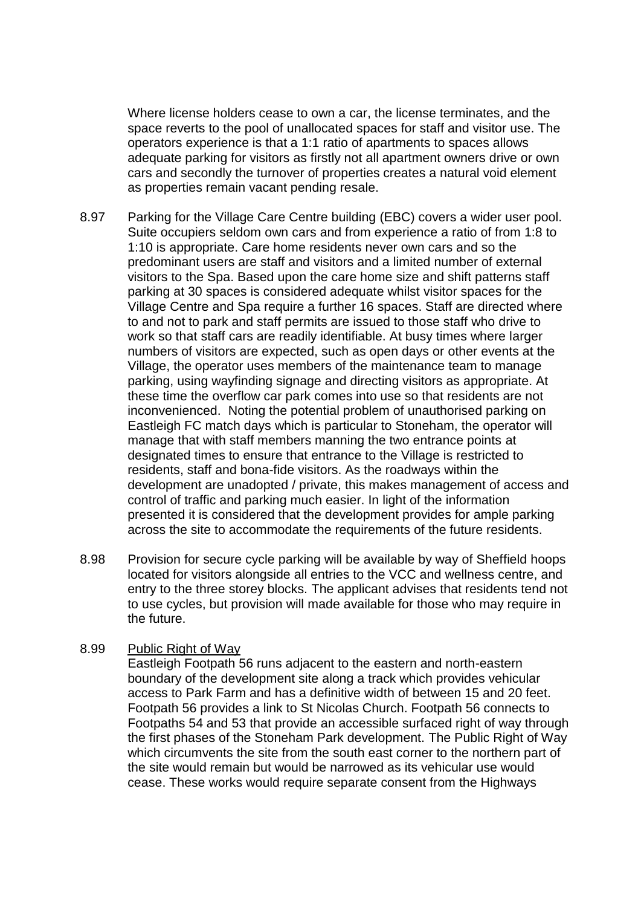Where license holders cease to own a car, the license terminates, and the space reverts to the pool of unallocated spaces for staff and visitor use. The operators experience is that a 1:1 ratio of apartments to spaces allows adequate parking for visitors as firstly not all apartment owners drive or own cars and secondly the turnover of properties creates a natural void element as properties remain vacant pending resale.

- 8.97 Parking for the Village Care Centre building (EBC) covers a wider user pool. Suite occupiers seldom own cars and from experience a ratio of from 1:8 to 1:10 is appropriate. Care home residents never own cars and so the predominant users are staff and visitors and a limited number of external visitors to the Spa. Based upon the care home size and shift patterns staff parking at 30 spaces is considered adequate whilst visitor spaces for the Village Centre and Spa require a further 16 spaces. Staff are directed where to and not to park and staff permits are issued to those staff who drive to work so that staff cars are readily identifiable. At busy times where larger numbers of visitors are expected, such as open days or other events at the Village, the operator uses members of the maintenance team to manage parking, using wayfinding signage and directing visitors as appropriate. At these time the overflow car park comes into use so that residents are not inconvenienced. Noting the potential problem of unauthorised parking on Eastleigh FC match days which is particular to Stoneham, the operator will manage that with staff members manning the two entrance points at designated times to ensure that entrance to the Village is restricted to residents, staff and bona-fide visitors. As the roadways within the development are unadopted / private, this makes management of access and control of traffic and parking much easier. In light of the information presented it is considered that the development provides for ample parking across the site to accommodate the requirements of the future residents.
- 8.98 Provision for secure cycle parking will be available by way of Sheffield hoops located for visitors alongside all entries to the VCC and wellness centre, and entry to the three storey blocks. The applicant advises that residents tend not to use cycles, but provision will made available for those who may require in the future.

#### 8.99 Public Right of Way

Eastleigh Footpath 56 runs adjacent to the eastern and north-eastern boundary of the development site along a track which provides vehicular access to Park Farm and has a definitive width of between 15 and 20 feet. Footpath 56 provides a link to St Nicolas Church. Footpath 56 connects to Footpaths 54 and 53 that provide an accessible surfaced right of way through the first phases of the Stoneham Park development. The Public Right of Way which circumvents the site from the south east corner to the northern part of the site would remain but would be narrowed as its vehicular use would cease. These works would require separate consent from the Highways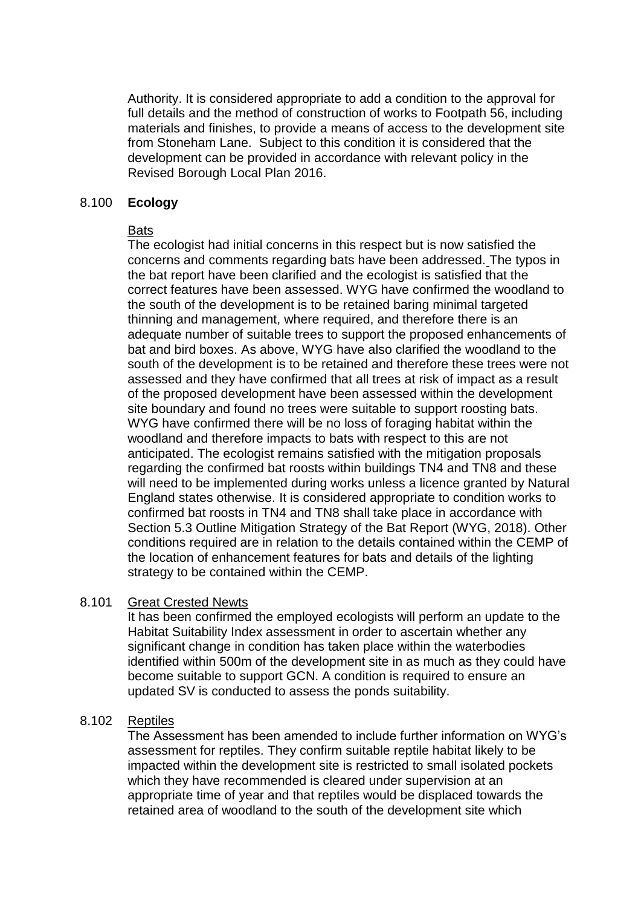Authority. It is considered appropriate to add a condition to the approval for full details and the method of construction of works to Footpath 56, including materials and finishes, to provide a means of access to the development site from Stoneham Lane. Subject to this condition it is considered that the development can be provided in accordance with relevant policy in the Revised Borough Local Plan 2016.

#### 8.100 **Ecology**

### Bats

The ecologist had initial concerns in this respect but is now satisfied the concerns and comments regarding bats have been addressed. The typos in the bat report have been clarified and the ecologist is satisfied that the correct features have been assessed. WYG have confirmed the woodland to the south of the development is to be retained baring minimal targeted thinning and management, where required, and therefore there is an adequate number of suitable trees to support the proposed enhancements of bat and bird boxes. As above, WYG have also clarified the woodland to the south of the development is to be retained and therefore these trees were not assessed and they have confirmed that all trees at risk of impact as a result of the proposed development have been assessed within the development site boundary and found no trees were suitable to support roosting bats. WYG have confirmed there will be no loss of foraging habitat within the woodland and therefore impacts to bats with respect to this are not anticipated. The ecologist remains satisfied with the mitigation proposals regarding the confirmed bat roosts within buildings TN4 and TN8 and these will need to be implemented during works unless a licence granted by Natural England states otherwise. It is considered appropriate to condition works to confirmed bat roosts in TN4 and TN8 shall take place in accordance with Section 5.3 Outline Mitigation Strategy of the Bat Report (WYG, 2018). Other conditions required are in relation to the details contained within the CEMP of the location of enhancement features for bats and details of the lighting strategy to be contained within the CEMP.

### 8.101 Great Crested Newts

It has been confirmed the employed ecologists will perform an update to the Habitat Suitability Index assessment in order to ascertain whether any significant change in condition has taken place within the waterbodies identified within 500m of the development site in as much as they could have become suitable to support GCN. A condition is required to ensure an updated SV is conducted to assess the ponds suitability.

### 8.102 Reptiles

The Assessment has been amended to include further information on WYG's assessment for reptiles. They confirm suitable reptile habitat likely to be impacted within the development site is restricted to small isolated pockets which they have recommended is cleared under supervision at an appropriate time of year and that reptiles would be displaced towards the retained area of woodland to the south of the development site which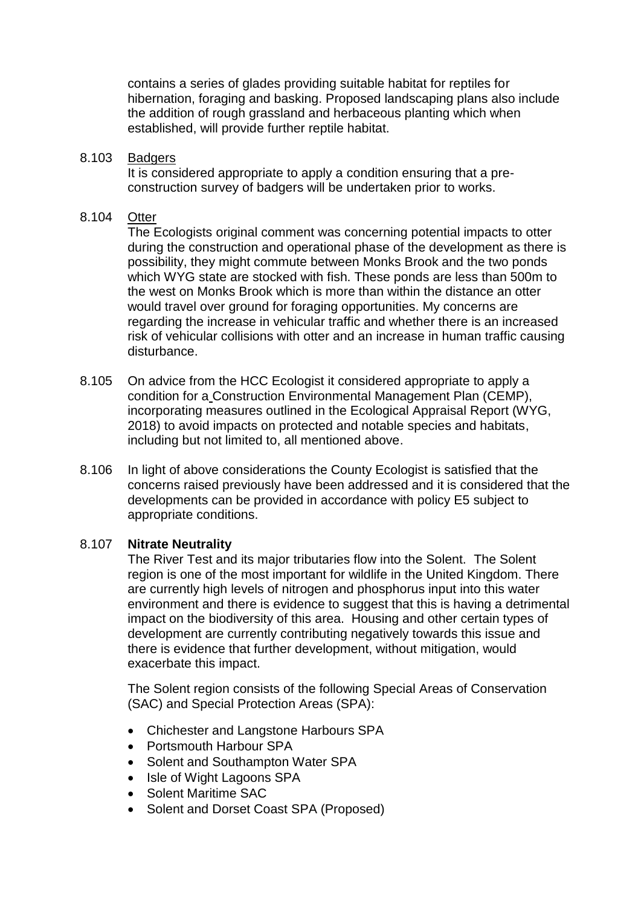contains a series of glades providing suitable habitat for reptiles for hibernation, foraging and basking. Proposed landscaping plans also include the addition of rough grassland and herbaceous planting which when established, will provide further reptile habitat.

#### 8.103 Badgers

It is considered appropriate to apply a condition ensuring that a preconstruction survey of badgers will be undertaken prior to works.

#### 8.104 Otter

The Ecologists original comment was concerning potential impacts to otter during the construction and operational phase of the development as there is possibility, they might commute between Monks Brook and the two ponds which WYG state are stocked with fish. These ponds are less than 500m to the west on Monks Brook which is more than within the distance an otter would travel over ground for foraging opportunities. My concerns are regarding the increase in vehicular traffic and whether there is an increased risk of vehicular collisions with otter and an increase in human traffic causing disturbance.

- 8.105 On advice from the HCC Ecologist it considered appropriate to apply a condition for a Construction Environmental Management Plan (CEMP), incorporating measures outlined in the Ecological Appraisal Report (WYG, 2018) to avoid impacts on protected and notable species and habitats, including but not limited to, all mentioned above.
- 8.106 In light of above considerations the County Ecologist is satisfied that the concerns raised previously have been addressed and it is considered that the developments can be provided in accordance with policy E5 subject to appropriate conditions.

### 8.107 **Nitrate Neutrality**

The River Test and its major tributaries flow into the Solent. The Solent region is one of the most important for wildlife in the United Kingdom. There are currently high levels of nitrogen and phosphorus input into this water environment and there is evidence to suggest that this is having a detrimental impact on the biodiversity of this area. Housing and other certain types of development are currently contributing negatively towards this issue and there is evidence that further development, without mitigation, would exacerbate this impact.

The Solent region consists of the following Special Areas of Conservation (SAC) and Special Protection Areas (SPA):

- Chichester and Langstone Harbours SPA
- Portsmouth Harbour SPA
- Solent and Southampton Water SPA
- Isle of Wight Lagoons SPA
- Solent Maritime SAC
- Solent and Dorset Coast SPA (Proposed)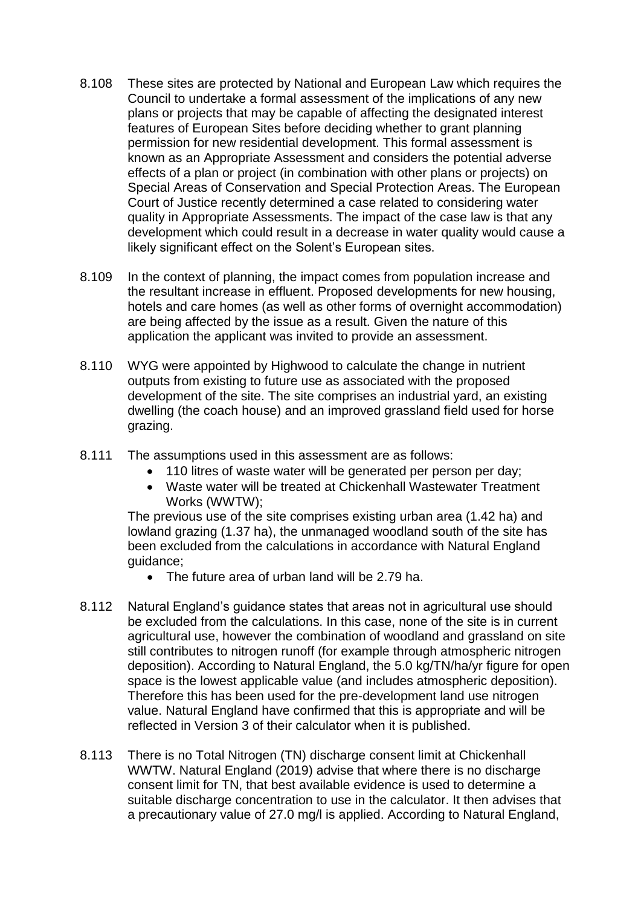- 8.108 These sites are protected by National and European Law which requires the Council to undertake a formal assessment of the implications of any new plans or projects that may be capable of affecting the designated interest features of European Sites before deciding whether to grant planning permission for new residential development. This formal assessment is known as an Appropriate Assessment and considers the potential adverse effects of a plan or project (in combination with other plans or projects) on Special Areas of Conservation and Special Protection Areas. The European Court of Justice recently determined a case related to considering water quality in Appropriate Assessments. The impact of the case law is that any development which could result in a decrease in water quality would cause a likely significant effect on the Solent's European sites.
- 8.109 In the context of planning, the impact comes from population increase and the resultant increase in effluent. Proposed developments for new housing, hotels and care homes (as well as other forms of overnight accommodation) are being affected by the issue as a result. Given the nature of this application the applicant was invited to provide an assessment.
- 8.110 WYG were appointed by Highwood to calculate the change in nutrient outputs from existing to future use as associated with the proposed development of the site. The site comprises an industrial yard, an existing dwelling (the coach house) and an improved grassland field used for horse grazing.
- 8.111 The assumptions used in this assessment are as follows:
	- 110 litres of waste water will be generated per person per day;
	- Waste water will be treated at Chickenhall Wastewater Treatment Works (WWTW);

The previous use of the site comprises existing urban area (1.42 ha) and lowland grazing (1.37 ha), the unmanaged woodland south of the site has been excluded from the calculations in accordance with Natural England guidance;

- The future area of urban land will be 2.79 ha.
- 8.112 Natural England's guidance states that areas not in agricultural use should be excluded from the calculations. In this case, none of the site is in current agricultural use, however the combination of woodland and grassland on site still contributes to nitrogen runoff (for example through atmospheric nitrogen deposition). According to Natural England, the 5.0 kg/TN/ha/yr figure for open space is the lowest applicable value (and includes atmospheric deposition). Therefore this has been used for the pre-development land use nitrogen value. Natural England have confirmed that this is appropriate and will be reflected in Version 3 of their calculator when it is published.
- 8.113 There is no Total Nitrogen (TN) discharge consent limit at Chickenhall WWTW. Natural England (2019) advise that where there is no discharge consent limit for TN, that best available evidence is used to determine a suitable discharge concentration to use in the calculator. It then advises that a precautionary value of 27.0 mg/l is applied. According to Natural England,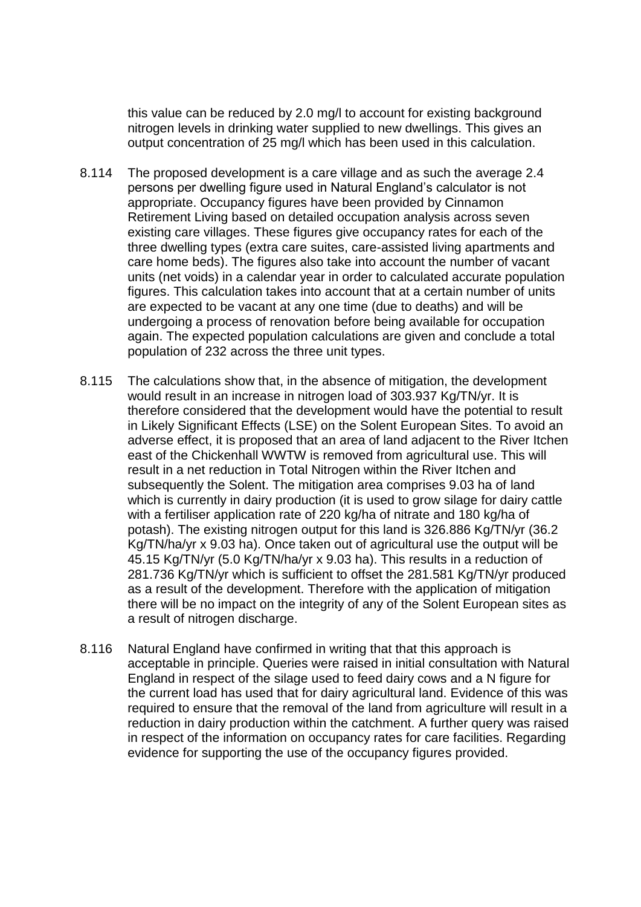this value can be reduced by 2.0 mg/l to account for existing background nitrogen levels in drinking water supplied to new dwellings. This gives an output concentration of 25 mg/l which has been used in this calculation.

- 8.114 The proposed development is a care village and as such the average 2.4 persons per dwelling figure used in Natural England's calculator is not appropriate. Occupancy figures have been provided by Cinnamon Retirement Living based on detailed occupation analysis across seven existing care villages. These figures give occupancy rates for each of the three dwelling types (extra care suites, care-assisted living apartments and care home beds). The figures also take into account the number of vacant units (net voids) in a calendar year in order to calculated accurate population figures. This calculation takes into account that at a certain number of units are expected to be vacant at any one time (due to deaths) and will be undergoing a process of renovation before being available for occupation again. The expected population calculations are given and conclude a total population of 232 across the three unit types.
- 8.115 The calculations show that, in the absence of mitigation, the development would result in an increase in nitrogen load of 303.937 Kg/TN/yr. It is therefore considered that the development would have the potential to result in Likely Significant Effects (LSE) on the Solent European Sites. To avoid an adverse effect, it is proposed that an area of land adjacent to the River Itchen east of the Chickenhall WWTW is removed from agricultural use. This will result in a net reduction in Total Nitrogen within the River Itchen and subsequently the Solent. The mitigation area comprises 9.03 ha of land which is currently in dairy production (it is used to grow silage for dairy cattle with a fertiliser application rate of 220 kg/ha of nitrate and 180 kg/ha of potash). The existing nitrogen output for this land is 326.886 Kg/TN/yr (36.2 Kg/TN/ha/yr x 9.03 ha). Once taken out of agricultural use the output will be 45.15 Kg/TN/yr (5.0 Kg/TN/ha/yr x 9.03 ha). This results in a reduction of 281.736 Kg/TN/yr which is sufficient to offset the 281.581 Kg/TN/yr produced as a result of the development. Therefore with the application of mitigation there will be no impact on the integrity of any of the Solent European sites as a result of nitrogen discharge.
- 8.116 Natural England have confirmed in writing that that this approach is acceptable in principle. Queries were raised in initial consultation with Natural England in respect of the silage used to feed dairy cows and a N figure for the current load has used that for dairy agricultural land. Evidence of this was required to ensure that the removal of the land from agriculture will result in a reduction in dairy production within the catchment. A further query was raised in respect of the information on occupancy rates for care facilities. Regarding evidence for supporting the use of the occupancy figures provided.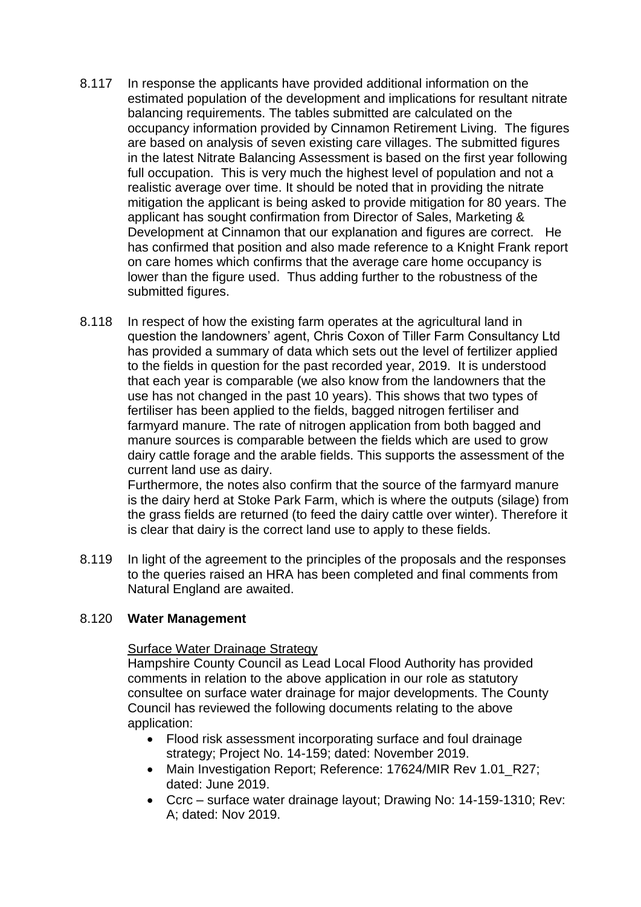- 8.117 In response the applicants have provided additional information on the estimated population of the development and implications for resultant nitrate balancing requirements. The tables submitted are calculated on the occupancy information provided by Cinnamon Retirement Living. The figures are based on analysis of seven existing care villages. The submitted figures in the latest Nitrate Balancing Assessment is based on the first year following full occupation. This is very much the highest level of population and not a realistic average over time. It should be noted that in providing the nitrate mitigation the applicant is being asked to provide mitigation for 80 years. The applicant has sought confirmation from Director of Sales, Marketing & Development at Cinnamon that our explanation and figures are correct. He has confirmed that position and also made reference to a Knight Frank report on care homes which confirms that the average care home occupancy is lower than the figure used. Thus adding further to the robustness of the submitted figures.
- 8.118 In respect of how the existing farm operates at the agricultural land in question the landowners' agent, Chris Coxon of Tiller Farm Consultancy Ltd has provided a summary of data which sets out the level of fertilizer applied to the fields in question for the past recorded year, 2019. It is understood that each year is comparable (we also know from the landowners that the use has not changed in the past 10 years). This shows that two types of fertiliser has been applied to the fields, bagged nitrogen fertiliser and farmyard manure. The rate of nitrogen application from both bagged and manure sources is comparable between the fields which are used to grow dairy cattle forage and the arable fields. This supports the assessment of the current land use as dairy.

Furthermore, the notes also confirm that the source of the farmyard manure is the dairy herd at Stoke Park Farm, which is where the outputs (silage) from the grass fields are returned (to feed the dairy cattle over winter). Therefore it is clear that dairy is the correct land use to apply to these fields.

8.119 In light of the agreement to the principles of the proposals and the responses to the queries raised an HRA has been completed and final comments from Natural England are awaited.

### 8.120 **Water Management**

### Surface Water Drainage Strategy

Hampshire County Council as Lead Local Flood Authority has provided comments in relation to the above application in our role as statutory consultee on surface water drainage for major developments. The County Council has reviewed the following documents relating to the above application:

- Flood risk assessment incorporating surface and foul drainage strategy; Project No. 14-159; dated: November 2019.
- Main Investigation Report; Reference: 17624/MIR Rev 1.01\_R27; dated: June 2019.
- Ccrc surface water drainage layout; Drawing No: 14-159-1310; Rev: A; dated: Nov 2019.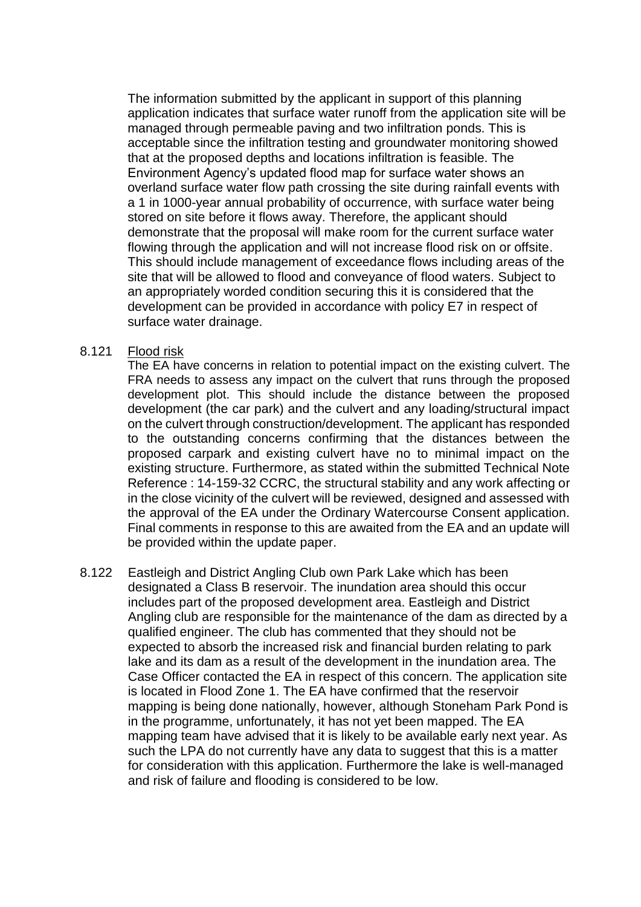The information submitted by the applicant in support of this planning application indicates that surface water runoff from the application site will be managed through permeable paving and two infiltration ponds. This is acceptable since the infiltration testing and groundwater monitoring showed that at the proposed depths and locations infiltration is feasible. The Environment Agency's updated flood map for surface water shows an overland surface water flow path crossing the site during rainfall events with a 1 in 1000-year annual probability of occurrence, with surface water being stored on site before it flows away. Therefore, the applicant should demonstrate that the proposal will make room for the current surface water flowing through the application and will not increase flood risk on or offsite. This should include management of exceedance flows including areas of the site that will be allowed to flood and conveyance of flood waters. Subject to an appropriately worded condition securing this it is considered that the development can be provided in accordance with policy E7 in respect of surface water drainage.

#### 8.121 Flood risk

The EA have concerns in relation to potential impact on the existing culvert. The FRA needs to assess any impact on the culvert that runs through the proposed development plot. This should include the distance between the proposed development (the car park) and the culvert and any loading/structural impact on the culvert through construction/development. The applicant has responded to the outstanding concerns confirming that the distances between the proposed carpark and existing culvert have no to minimal impact on the existing structure. Furthermore, as stated within the submitted Technical Note Reference : 14-159-32 CCRC, the structural stability and any work affecting or in the close vicinity of the culvert will be reviewed, designed and assessed with the approval of the EA under the Ordinary Watercourse Consent application. Final comments in response to this are awaited from the EA and an update will be provided within the update paper.

8.122 Eastleigh and District Angling Club own Park Lake which has been designated a Class B reservoir. The inundation area should this occur includes part of the proposed development area. Eastleigh and District Angling club are responsible for the maintenance of the dam as directed by a qualified engineer. The club has commented that they should not be expected to absorb the increased risk and financial burden relating to park lake and its dam as a result of the development in the inundation area. The Case Officer contacted the EA in respect of this concern. The application site is located in Flood Zone 1. The EA have confirmed that the reservoir mapping is being done nationally, however, although Stoneham Park Pond is in the programme, unfortunately, it has not yet been mapped. The EA mapping team have advised that it is likely to be available early next year. As such the LPA do not currently have any data to suggest that this is a matter for consideration with this application. Furthermore the lake is well-managed and risk of failure and flooding is considered to be low.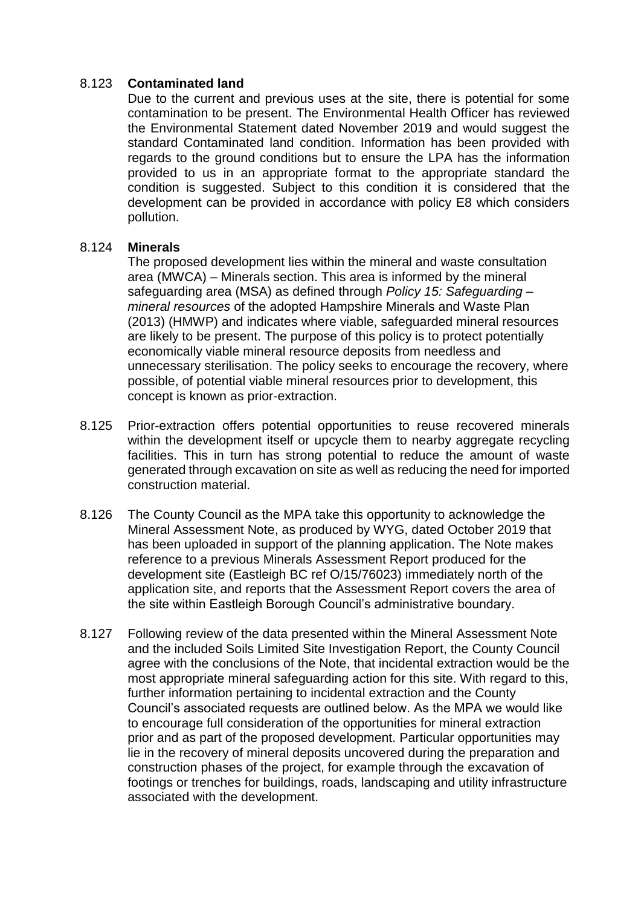## 8.123 **Contaminated land**

Due to the current and previous uses at the site, there is potential for some contamination to be present. The Environmental Health Officer has reviewed the Environmental Statement dated November 2019 and would suggest the standard Contaminated land condition. Information has been provided with regards to the ground conditions but to ensure the LPA has the information provided to us in an appropriate format to the appropriate standard the condition is suggested. Subject to this condition it is considered that the development can be provided in accordance with policy E8 which considers pollution.

## 8.124 **Minerals**

The proposed development lies within the mineral and waste consultation area (MWCA) – Minerals section. This area is informed by the mineral safeguarding area (MSA) as defined through *Policy 15: Safeguarding – mineral resources* of the adopted Hampshire Minerals and Waste Plan (2013) (HMWP) and indicates where viable, safeguarded mineral resources are likely to be present. The purpose of this policy is to protect potentially economically viable mineral resource deposits from needless and unnecessary sterilisation. The policy seeks to encourage the recovery, where possible, of potential viable mineral resources prior to development, this concept is known as prior-extraction.

- 8.125 Prior-extraction offers potential opportunities to reuse recovered minerals within the development itself or upcycle them to nearby aggregate recycling facilities. This in turn has strong potential to reduce the amount of waste generated through excavation on site as well as reducing the need for imported construction material.
- 8.126 The County Council as the MPA take this opportunity to acknowledge the Mineral Assessment Note, as produced by WYG, dated October 2019 that has been uploaded in support of the planning application. The Note makes reference to a previous Minerals Assessment Report produced for the development site (Eastleigh BC ref O/15/76023) immediately north of the application site, and reports that the Assessment Report covers the area of the site within Eastleigh Borough Council's administrative boundary.
- 8.127 Following review of the data presented within the Mineral Assessment Note and the included Soils Limited Site Investigation Report, the County Council agree with the conclusions of the Note, that incidental extraction would be the most appropriate mineral safeguarding action for this site. With regard to this, further information pertaining to incidental extraction and the County Council's associated requests are outlined below. As the MPA we would like to encourage full consideration of the opportunities for mineral extraction prior and as part of the proposed development. Particular opportunities may lie in the recovery of mineral deposits uncovered during the preparation and construction phases of the project, for example through the excavation of footings or trenches for buildings, roads, landscaping and utility infrastructure associated with the development.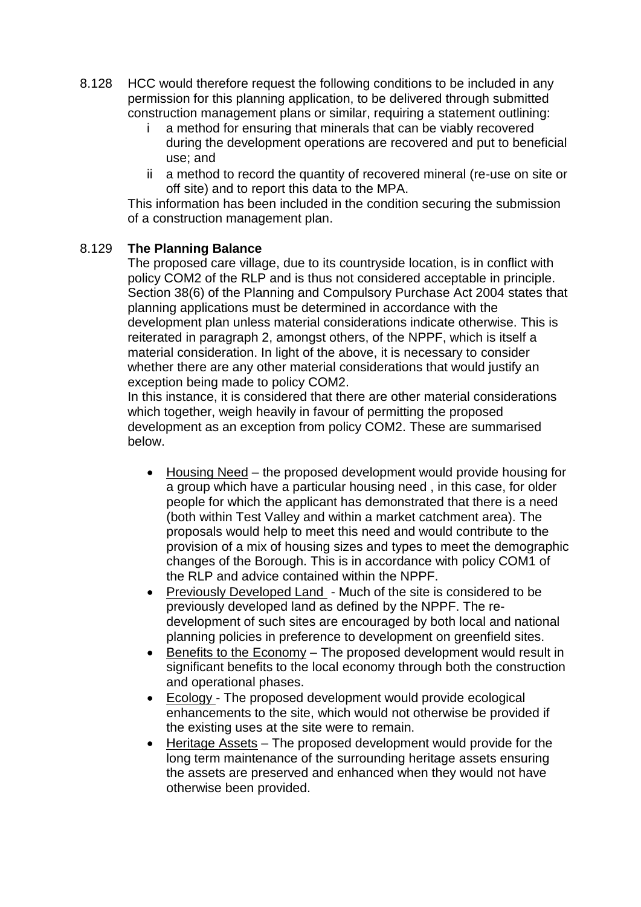- 8.128 HCC would therefore request the following conditions to be included in any permission for this planning application, to be delivered through submitted construction management plans or similar, requiring a statement outlining:
	- i a method for ensuring that minerals that can be viably recovered during the development operations are recovered and put to beneficial use; and
	- ii a method to record the quantity of recovered mineral (re-use on site or off site) and to report this data to the MPA.

This information has been included in the condition securing the submission of a construction management plan.

## 8.129 **The Planning Balance**

The proposed care village, due to its countryside location, is in conflict with policy COM2 of the RLP and is thus not considered acceptable in principle. Section 38(6) of the Planning and Compulsory Purchase Act 2004 states that planning applications must be determined in accordance with the development plan unless material considerations indicate otherwise. This is reiterated in paragraph 2, amongst others, of the NPPF, which is itself a material consideration. In light of the above, it is necessary to consider whether there are any other material considerations that would justify an exception being made to policy COM2.

In this instance, it is considered that there are other material considerations which together, weigh heavily in favour of permitting the proposed development as an exception from policy COM2. These are summarised below.

- Housing Need the proposed development would provide housing for a group which have a particular housing need , in this case, for older people for which the applicant has demonstrated that there is a need (both within Test Valley and within a market catchment area). The proposals would help to meet this need and would contribute to the provision of a mix of housing sizes and types to meet the demographic changes of the Borough. This is in accordance with policy COM1 of the RLP and advice contained within the NPPF.
- Previously Developed Land Much of the site is considered to be previously developed land as defined by the NPPF. The redevelopment of such sites are encouraged by both local and national planning policies in preference to development on greenfield sites.
- Benefits to the Economy The proposed development would result in significant benefits to the local economy through both the construction and operational phases.
- Ecology The proposed development would provide ecological enhancements to the site, which would not otherwise be provided if the existing uses at the site were to remain.
- Heritage Assets The proposed development would provide for the long term maintenance of the surrounding heritage assets ensuring the assets are preserved and enhanced when they would not have otherwise been provided.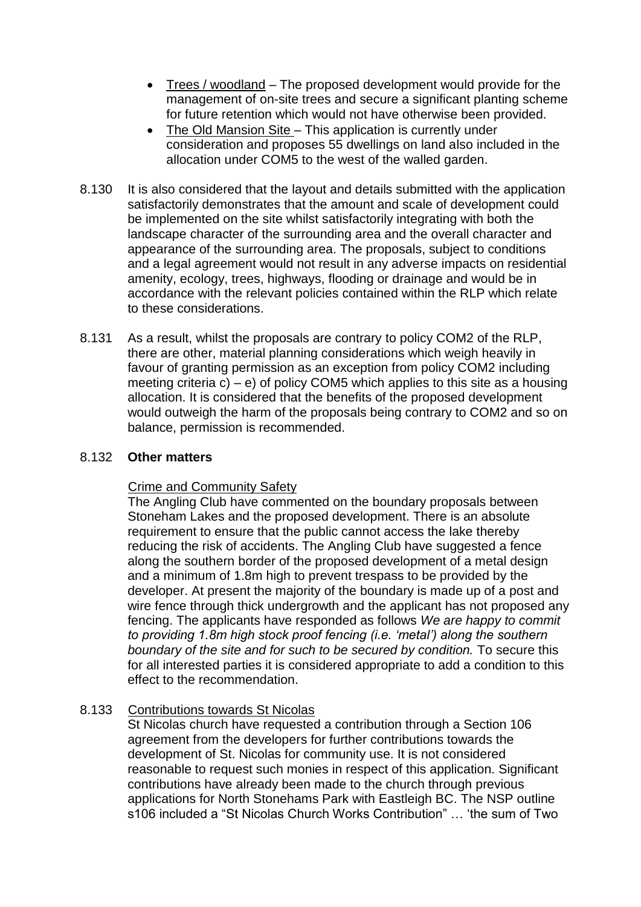- Trees / woodland The proposed development would provide for the management of on-site trees and secure a significant planting scheme for future retention which would not have otherwise been provided.
- The Old Mansion Site This application is currently under consideration and proposes 55 dwellings on land also included in the allocation under COM5 to the west of the walled garden.
- 8.130 It is also considered that the layout and details submitted with the application satisfactorily demonstrates that the amount and scale of development could be implemented on the site whilst satisfactorily integrating with both the landscape character of the surrounding area and the overall character and appearance of the surrounding area. The proposals, subject to conditions and a legal agreement would not result in any adverse impacts on residential amenity, ecology, trees, highways, flooding or drainage and would be in accordance with the relevant policies contained within the RLP which relate to these considerations.
- 8.131 As a result, whilst the proposals are contrary to policy COM2 of the RLP, there are other, material planning considerations which weigh heavily in favour of granting permission as an exception from policy COM2 including meeting criteria c) – e) of policy COM5 which applies to this site as a housing allocation. It is considered that the benefits of the proposed development would outweigh the harm of the proposals being contrary to COM2 and so on balance, permission is recommended.

### 8.132 **Other matters**

### Crime and Community Safety

The Angling Club have commented on the boundary proposals between Stoneham Lakes and the proposed development. There is an absolute requirement to ensure that the public cannot access the lake thereby reducing the risk of accidents. The Angling Club have suggested a fence along the southern border of the proposed development of a metal design and a minimum of 1.8m high to prevent trespass to be provided by the developer. At present the majority of the boundary is made up of a post and wire fence through thick undergrowth and the applicant has not proposed any fencing. The applicants have responded as follows *We are happy to commit to providing 1.8m high stock proof fencing (i.e. 'metal') along the southern boundary of the site and for such to be secured by condition.* To secure this for all interested parties it is considered appropriate to add a condition to this effect to the recommendation.

# 8.133 Contributions towards St Nicolas

St Nicolas church have requested a contribution through a Section 106 agreement from the developers for further contributions towards the development of St. Nicolas for community use. It is not considered reasonable to request such monies in respect of this application. Significant contributions have already been made to the church through previous applications for North Stonehams Park with Eastleigh BC. The NSP outline s106 included a "St Nicolas Church Works Contribution" … 'the sum of Two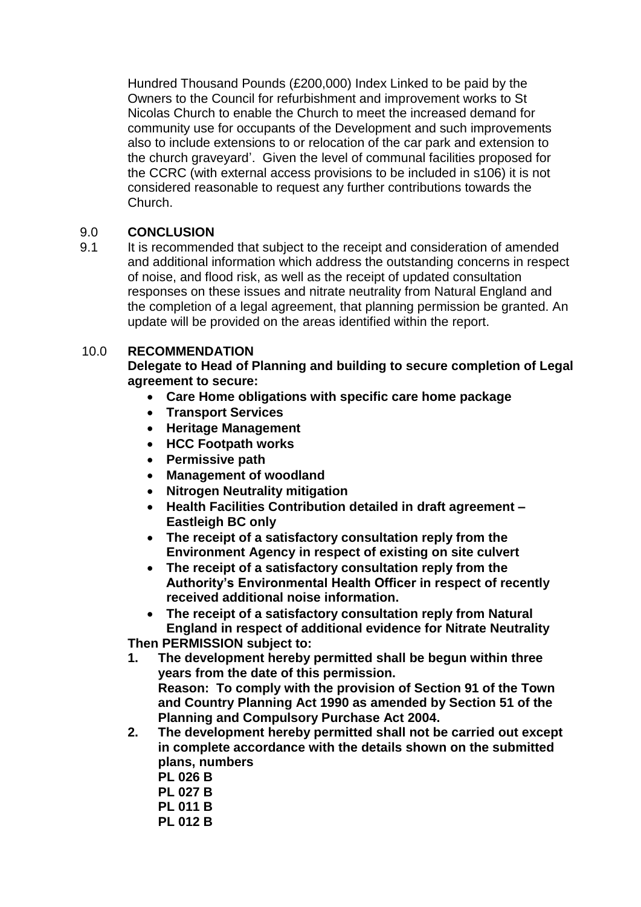Hundred Thousand Pounds (£200,000) Index Linked to be paid by the Owners to the Council for refurbishment and improvement works to St Nicolas Church to enable the Church to meet the increased demand for community use for occupants of the Development and such improvements also to include extensions to or relocation of the car park and extension to the church graveyard'. Given the level of communal facilities proposed for the CCRC (with external access provisions to be included in s106) it is not considered reasonable to request any further contributions towards the Church.

# 9.0 **CONCLUSION**

9.1 It is recommended that subject to the receipt and consideration of amended and additional information which address the outstanding concerns in respect of noise, and flood risk, as well as the receipt of updated consultation responses on these issues and nitrate neutrality from Natural England and the completion of a legal agreement, that planning permission be granted. An update will be provided on the areas identified within the report.

# 10.0 **RECOMMENDATION**

**Delegate to Head of Planning and building to secure completion of Legal agreement to secure:**

- **Care Home obligations with specific care home package**
- **Transport Services**
- **Heritage Management**
- **HCC Footpath works**
- **Permissive path**
- **Management of woodland**
- **Nitrogen Neutrality mitigation**
- **Health Facilities Contribution detailed in draft agreement – Eastleigh BC only**
- **The receipt of a satisfactory consultation reply from the Environment Agency in respect of existing on site culvert**
- **The receipt of a satisfactory consultation reply from the Authority's Environmental Health Officer in respect of recently received additional noise information.**
- **The receipt of a satisfactory consultation reply from Natural England in respect of additional evidence for Nitrate Neutrality**

**Then PERMISSION subject to:**

- **1. The development hereby permitted shall be begun within three years from the date of this permission. Reason: To comply with the provision of Section 91 of the Town and Country Planning Act 1990 as amended by Section 51 of the Planning and Compulsory Purchase Act 2004.**
- **2. The development hereby permitted shall not be carried out except in complete accordance with the details shown on the submitted plans, numbers** 
	- **PL 026 B PL 027 B PL 011 B**
	- **PL 012 B**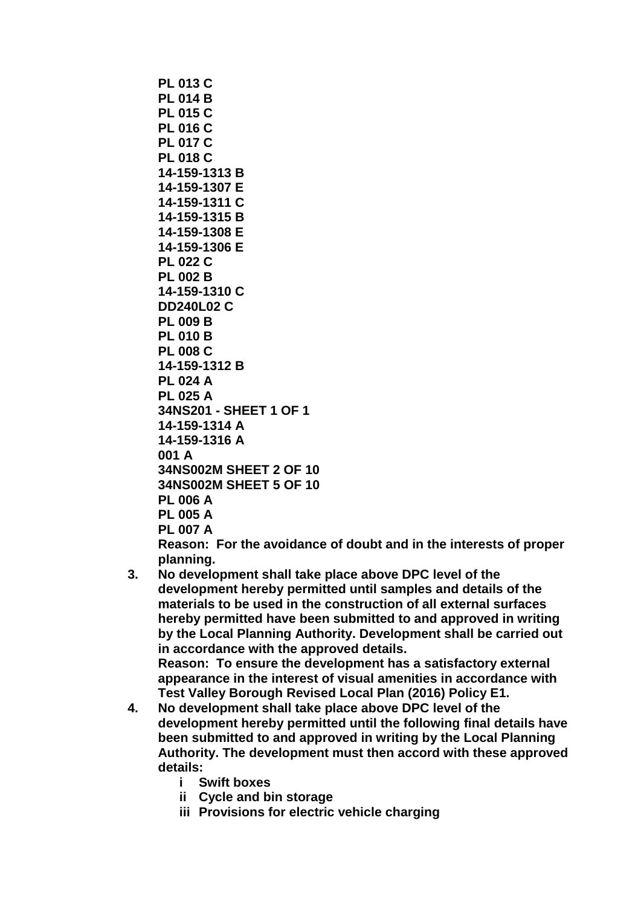```
PL 013 C
PL 014 B
PL 015 C
PL 016 C
PL 017 C
PL 018 C
14-159-1313 B
14-159-1307 E
14-159-1311 C 
14-159-1315 B
14-159-1308 E
14-159-1306 E
PL 022 C
PL 002 B
14-159-1310 C
DD240L02 C
PL 009 B
PL 010 B
PL 008 C
14-159-1312 B
PL 024 A
PL 025 A
34NS201 - SHEET 1 OF 1
14-159-1314 A
14-159-1316 A
001 A
34NS002M SHEET 2 OF 10
34NS002M SHEET 5 OF 10
PL 006 A
PL 005 A
PL 007 A
```
**Reason: For the avoidance of doubt and in the interests of proper planning.**

**3. No development shall take place above DPC level of the development hereby permitted until samples and details of the materials to be used in the construction of all external surfaces hereby permitted have been submitted to and approved in writing by the Local Planning Authority. Development shall be carried out in accordance with the approved details.**

**Reason: To ensure the development has a satisfactory external appearance in the interest of visual amenities in accordance with Test Valley Borough Revised Local Plan (2016) Policy E1.**

- **4. No development shall take place above DPC level of the development hereby permitted until the following final details have been submitted to and approved in writing by the Local Planning Authority. The development must then accord with these approved details:**
	- **i Swift boxes**
	- **ii Cycle and bin storage**
	- **iii Provisions for electric vehicle charging**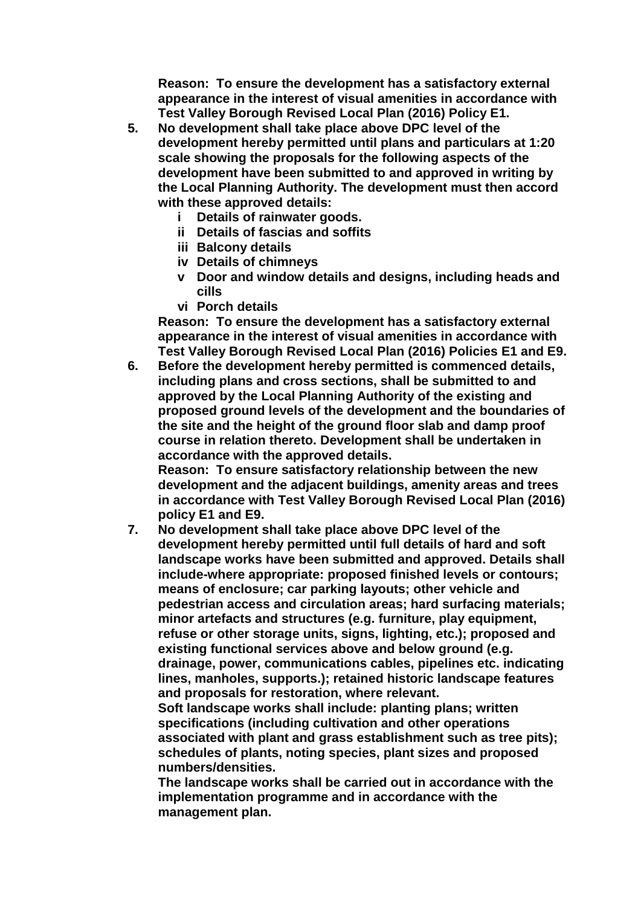**Reason: To ensure the development has a satisfactory external appearance in the interest of visual amenities in accordance with Test Valley Borough Revised Local Plan (2016) Policy E1.**

- **5. No development shall take place above DPC level of the development hereby permitted until plans and particulars at 1:20 scale showing the proposals for the following aspects of the development have been submitted to and approved in writing by the Local Planning Authority. The development must then accord with these approved details:** 
	- **i Details of rainwater goods.**
	- **ii Details of fascias and soffits**
	- **iii Balcony details**
	- **iv Details of chimneys**
	- **v Door and window details and designs, including heads and cills**
	- **vi Porch details**

**Reason: To ensure the development has a satisfactory external appearance in the interest of visual amenities in accordance with Test Valley Borough Revised Local Plan (2016) Policies E1 and E9.**

**6. Before the development hereby permitted is commenced details, including plans and cross sections, shall be submitted to and approved by the Local Planning Authority of the existing and proposed ground levels of the development and the boundaries of the site and the height of the ground floor slab and damp proof course in relation thereto. Development shall be undertaken in accordance with the approved details.** 

**Reason: To ensure satisfactory relationship between the new development and the adjacent buildings, amenity areas and trees in accordance with Test Valley Borough Revised Local Plan (2016) policy E1 and E9.**

**7. No development shall take place above DPC level of the development hereby permitted until full details of hard and soft landscape works have been submitted and approved. Details shall include-where appropriate: proposed finished levels or contours; means of enclosure; car parking layouts; other vehicle and pedestrian access and circulation areas; hard surfacing materials; minor artefacts and structures (e.g. furniture, play equipment, refuse or other storage units, signs, lighting, etc.); proposed and existing functional services above and below ground (e.g. drainage, power, communications cables, pipelines etc. indicating lines, manholes, supports.); retained historic landscape features and proposals for restoration, where relevant.**

**Soft landscape works shall include: planting plans; written specifications (including cultivation and other operations associated with plant and grass establishment such as tree pits); schedules of plants, noting species, plant sizes and proposed numbers/densities.**

**The landscape works shall be carried out in accordance with the implementation programme and in accordance with the management plan.**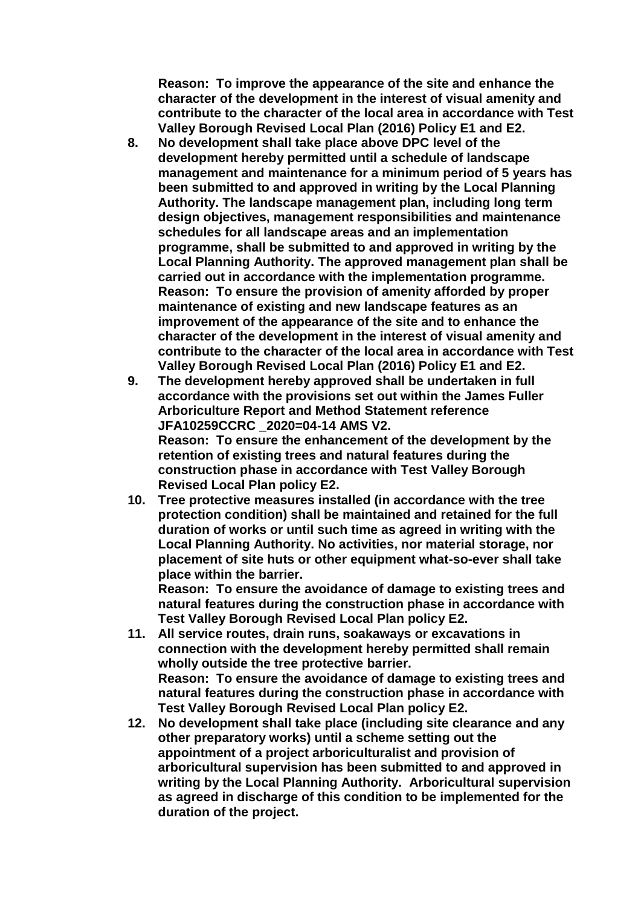**Reason: To improve the appearance of the site and enhance the character of the development in the interest of visual amenity and contribute to the character of the local area in accordance with Test Valley Borough Revised Local Plan (2016) Policy E1 and E2.**

- **8. No development shall take place above DPC level of the development hereby permitted until a schedule of landscape management and maintenance for a minimum period of 5 years has been submitted to and approved in writing by the Local Planning Authority. The landscape management plan, including long term design objectives, management responsibilities and maintenance schedules for all landscape areas and an implementation programme, shall be submitted to and approved in writing by the Local Planning Authority. The approved management plan shall be carried out in accordance with the implementation programme. Reason: To ensure the provision of amenity afforded by proper maintenance of existing and new landscape features as an improvement of the appearance of the site and to enhance the character of the development in the interest of visual amenity and contribute to the character of the local area in accordance with Test Valley Borough Revised Local Plan (2016) Policy E1 and E2.**
- **9. The development hereby approved shall be undertaken in full accordance with the provisions set out within the James Fuller Arboriculture Report and Method Statement reference JFA10259CCRC \_2020=04-14 AMS V2. Reason: To ensure the enhancement of the development by the retention of existing trees and natural features during the construction phase in accordance with Test Valley Borough Revised Local Plan policy E2.**
- **10. Tree protective measures installed (in accordance with the tree protection condition) shall be maintained and retained for the full duration of works or until such time as agreed in writing with the Local Planning Authority. No activities, nor material storage, nor placement of site huts or other equipment what-so-ever shall take place within the barrier.**

**Reason: To ensure the avoidance of damage to existing trees and natural features during the construction phase in accordance with Test Valley Borough Revised Local Plan policy E2.**

- **11. All service routes, drain runs, soakaways or excavations in connection with the development hereby permitted shall remain wholly outside the tree protective barrier. Reason: To ensure the avoidance of damage to existing trees and natural features during the construction phase in accordance with Test Valley Borough Revised Local Plan policy E2.**
- **12. No development shall take place (including site clearance and any other preparatory works) until a scheme setting out the appointment of a project arboriculturalist and provision of arboricultural supervision has been submitted to and approved in writing by the Local Planning Authority. Arboricultural supervision as agreed in discharge of this condition to be implemented for the duration of the project.**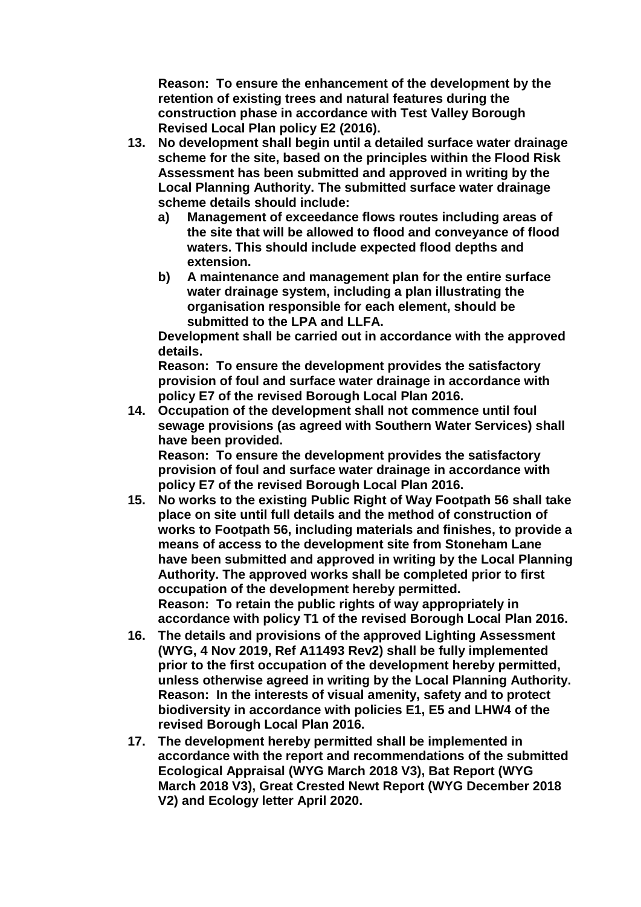**Reason: To ensure the enhancement of the development by the retention of existing trees and natural features during the construction phase in accordance with Test Valley Borough Revised Local Plan policy E2 (2016).**

- **13. No development shall begin until a detailed surface water drainage scheme for the site, based on the principles within the Flood Risk Assessment has been submitted and approved in writing by the Local Planning Authority. The submitted surface water drainage scheme details should include:**
	- **a) Management of exceedance flows routes including areas of the site that will be allowed to flood and conveyance of flood waters. This should include expected flood depths and extension.**
	- **b) A maintenance and management plan for the entire surface water drainage system, including a plan illustrating the organisation responsible for each element, should be submitted to the LPA and LLFA.**

**Development shall be carried out in accordance with the approved details.** 

**Reason: To ensure the development provides the satisfactory provision of foul and surface water drainage in accordance with policy E7 of the revised Borough Local Plan 2016.**

**14. Occupation of the development shall not commence until foul sewage provisions (as agreed with Southern Water Services) shall have been provided.**

**Reason: To ensure the development provides the satisfactory provision of foul and surface water drainage in accordance with policy E7 of the revised Borough Local Plan 2016.**

- **15. No works to the existing Public Right of Way Footpath 56 shall take place on site until full details and the method of construction of works to Footpath 56, including materials and finishes, to provide a means of access to the development site from Stoneham Lane have been submitted and approved in writing by the Local Planning Authority. The approved works shall be completed prior to first occupation of the development hereby permitted. Reason: To retain the public rights of way appropriately in accordance with policy T1 of the revised Borough Local Plan 2016.**
- **16. The details and provisions of the approved Lighting Assessment (WYG, 4 Nov 2019, Ref A11493 Rev2) shall be fully implemented prior to the first occupation of the development hereby permitted, unless otherwise agreed in writing by the Local Planning Authority. Reason: In the interests of visual amenity, safety and to protect biodiversity in accordance with policies E1, E5 and LHW4 of the revised Borough Local Plan 2016.**
- **17. The development hereby permitted shall be implemented in accordance with the report and recommendations of the submitted Ecological Appraisal (WYG March 2018 V3), Bat Report (WYG March 2018 V3), Great Crested Newt Report (WYG December 2018 V2) and Ecology letter April 2020.**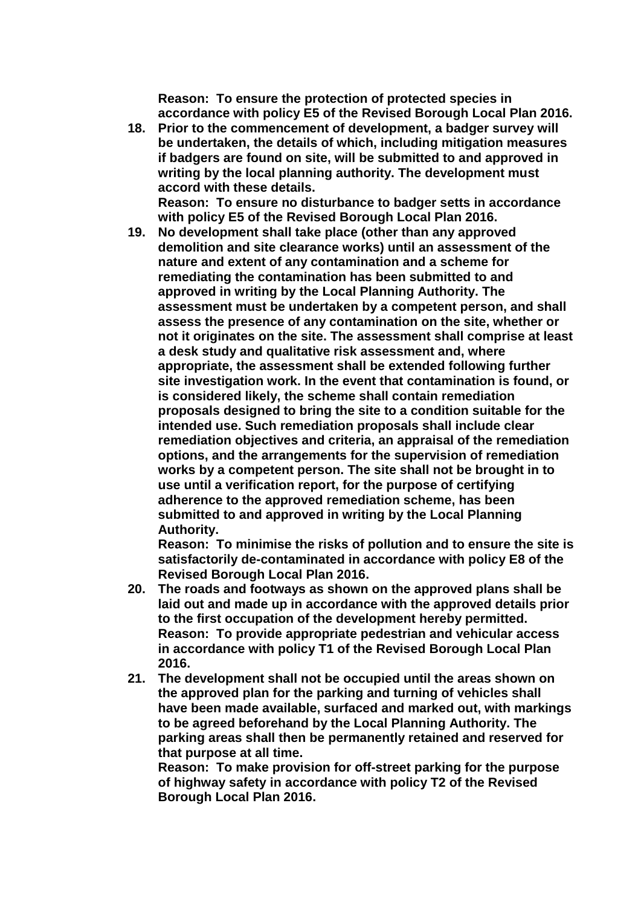**Reason: To ensure the protection of protected species in accordance with policy E5 of the Revised Borough Local Plan 2016.**

**18. Prior to the commencement of development, a badger survey will be undertaken, the details of which, including mitigation measures if badgers are found on site, will be submitted to and approved in writing by the local planning authority. The development must accord with these details.**

**Reason: To ensure no disturbance to badger setts in accordance with policy E5 of the Revised Borough Local Plan 2016.**

**19. No development shall take place (other than any approved demolition and site clearance works) until an assessment of the nature and extent of any contamination and a scheme for remediating the contamination has been submitted to and approved in writing by the Local Planning Authority. The assessment must be undertaken by a competent person, and shall assess the presence of any contamination on the site, whether or not it originates on the site. The assessment shall comprise at least a desk study and qualitative risk assessment and, where appropriate, the assessment shall be extended following further site investigation work. In the event that contamination is found, or is considered likely, the scheme shall contain remediation proposals designed to bring the site to a condition suitable for the intended use. Such remediation proposals shall include clear remediation objectives and criteria, an appraisal of the remediation options, and the arrangements for the supervision of remediation works by a competent person. The site shall not be brought in to use until a verification report, for the purpose of certifying adherence to the approved remediation scheme, has been submitted to and approved in writing by the Local Planning Authority.**

**Reason: To minimise the risks of pollution and to ensure the site is satisfactorily de-contaminated in accordance with policy E8 of the Revised Borough Local Plan 2016.**

- **20. The roads and footways as shown on the approved plans shall be laid out and made up in accordance with the approved details prior to the first occupation of the development hereby permitted. Reason: To provide appropriate pedestrian and vehicular access in accordance with policy T1 of the Revised Borough Local Plan 2016.**
- **21. The development shall not be occupied until the areas shown on the approved plan for the parking and turning of vehicles shall have been made available, surfaced and marked out, with markings to be agreed beforehand by the Local Planning Authority. The parking areas shall then be permanently retained and reserved for that purpose at all time.**

**Reason: To make provision for off-street parking for the purpose of highway safety in accordance with policy T2 of the Revised Borough Local Plan 2016.**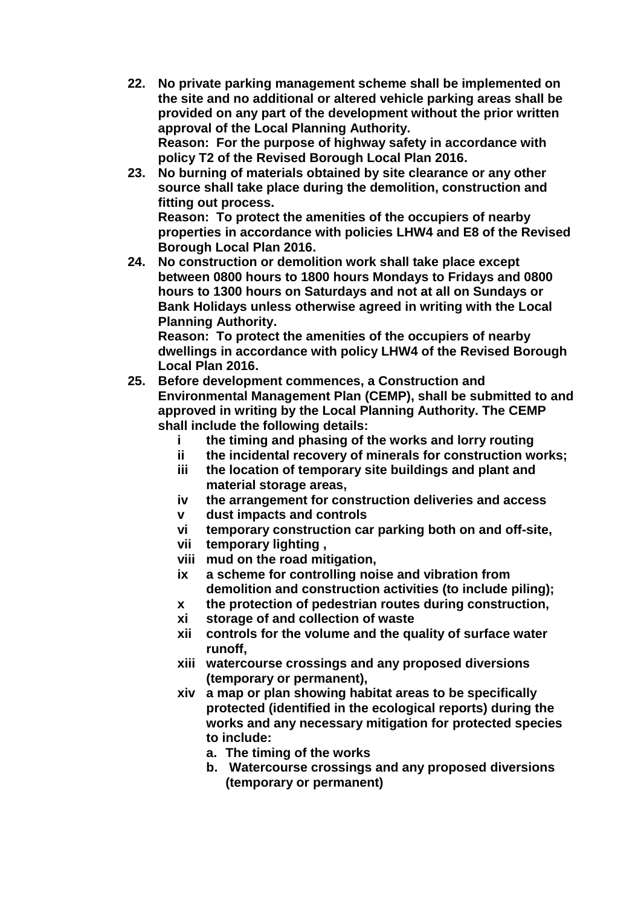- **22. No private parking management scheme shall be implemented on the site and no additional or altered vehicle parking areas shall be provided on any part of the development without the prior written approval of the Local Planning Authority. Reason: For the purpose of highway safety in accordance with policy T2 of the Revised Borough Local Plan 2016.**
- **23. No burning of materials obtained by site clearance or any other source shall take place during the demolition, construction and fitting out process. Reason: To protect the amenities of the occupiers of nearby properties in accordance with policies LHW4 and E8 of the Revised Borough Local Plan 2016.**
- **24. No construction or demolition work shall take place except between 0800 hours to 1800 hours Mondays to Fridays and 0800 hours to 1300 hours on Saturdays and not at all on Sundays or Bank Holidays unless otherwise agreed in writing with the Local Planning Authority.**

**Reason: To protect the amenities of the occupiers of nearby dwellings in accordance with policy LHW4 of the Revised Borough Local Plan 2016.**

- **25. Before development commences, a Construction and Environmental Management Plan (CEMP), shall be submitted to and approved in writing by the Local Planning Authority. The CEMP shall include the following details:**
	- **i the timing and phasing of the works and lorry routing**
	- **ii the incidental recovery of minerals for construction works;**
	- **iii the location of temporary site buildings and plant and material storage areas,**
	- **iv the arrangement for construction deliveries and access**
	- **v dust impacts and controls**
	- **vi temporary construction car parking both on and off-site,**
	- **vii temporary lighting ,**
	- **viii mud on the road mitigation,**
	- **ix a scheme for controlling noise and vibration from demolition and construction activities (to include piling);**
	- **x the protection of pedestrian routes during construction,**
	- **xi storage of and collection of waste**
	- **xii controls for the volume and the quality of surface water runoff,**
	- **xiii watercourse crossings and any proposed diversions (temporary or permanent),**
	- **xiv a map or plan showing habitat areas to be specifically protected (identified in the ecological reports) during the works and any necessary mitigation for protected species to include:**
		- **a. The timing of the works**
		- **b. Watercourse crossings and any proposed diversions (temporary or permanent)**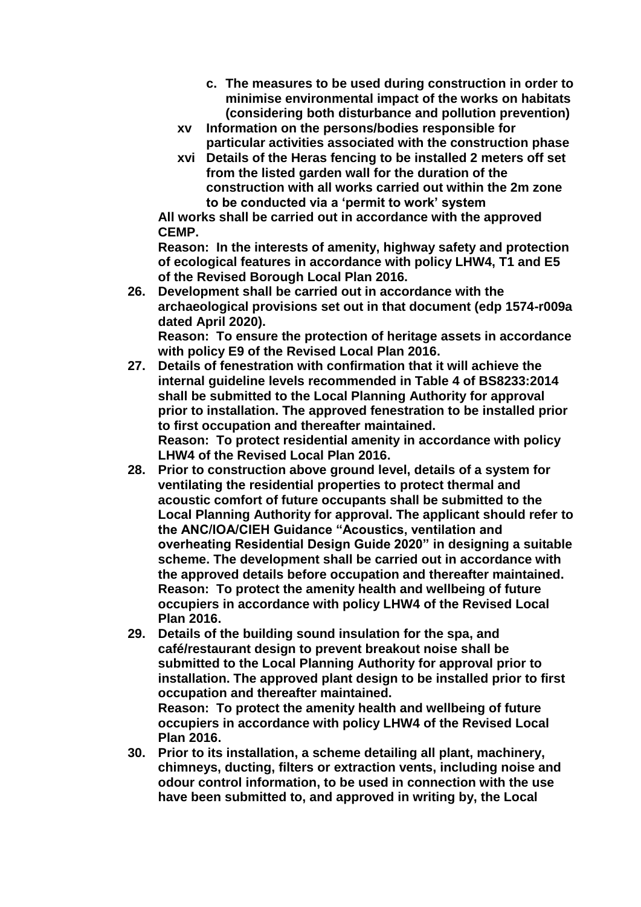- **c. The measures to be used during construction in order to minimise environmental impact of the works on habitats (considering both disturbance and pollution prevention)**
- **xv Information on the persons/bodies responsible for particular activities associated with the construction phase**
- **xvi Details of the Heras fencing to be installed 2 meters off set from the listed garden wall for the duration of the construction with all works carried out within the 2m zone to be conducted via a 'permit to work' system**

**All works shall be carried out in accordance with the approved CEMP.**

**Reason: In the interests of amenity, highway safety and protection of ecological features in accordance with policy LHW4, T1 and E5 of the Revised Borough Local Plan 2016.**

**26. Development shall be carried out in accordance with the archaeological provisions set out in that document (edp 1574-r009a dated April 2020). Reason: To ensure the protection of heritage assets in accordance** 

**with policy E9 of the Revised Local Plan 2016.**

- **27. Details of fenestration with confirmation that it will achieve the internal guideline levels recommended in Table 4 of BS8233:2014 shall be submitted to the Local Planning Authority for approval prior to installation. The approved fenestration to be installed prior to first occupation and thereafter maintained. Reason: To protect residential amenity in accordance with policy LHW4 of the Revised Local Plan 2016.**
- **28. Prior to construction above ground level, details of a system for ventilating the residential properties to protect thermal and acoustic comfort of future occupants shall be submitted to the Local Planning Authority for approval. The applicant should refer to the ANC/IOA/CIEH Guidance "Acoustics, ventilation and overheating Residential Design Guide 2020" in designing a suitable scheme. The development shall be carried out in accordance with the approved details before occupation and thereafter maintained. Reason: To protect the amenity health and wellbeing of future occupiers in accordance with policy LHW4 of the Revised Local Plan 2016.**
- **29. Details of the building sound insulation for the spa, and café/restaurant design to prevent breakout noise shall be submitted to the Local Planning Authority for approval prior to installation. The approved plant design to be installed prior to first occupation and thereafter maintained. Reason: To protect the amenity health and wellbeing of future occupiers in accordance with policy LHW4 of the Revised Local Plan 2016.**
- **30. Prior to its installation, a scheme detailing all plant, machinery, chimneys, ducting, filters or extraction vents, including noise and odour control information, to be used in connection with the use have been submitted to, and approved in writing by, the Local**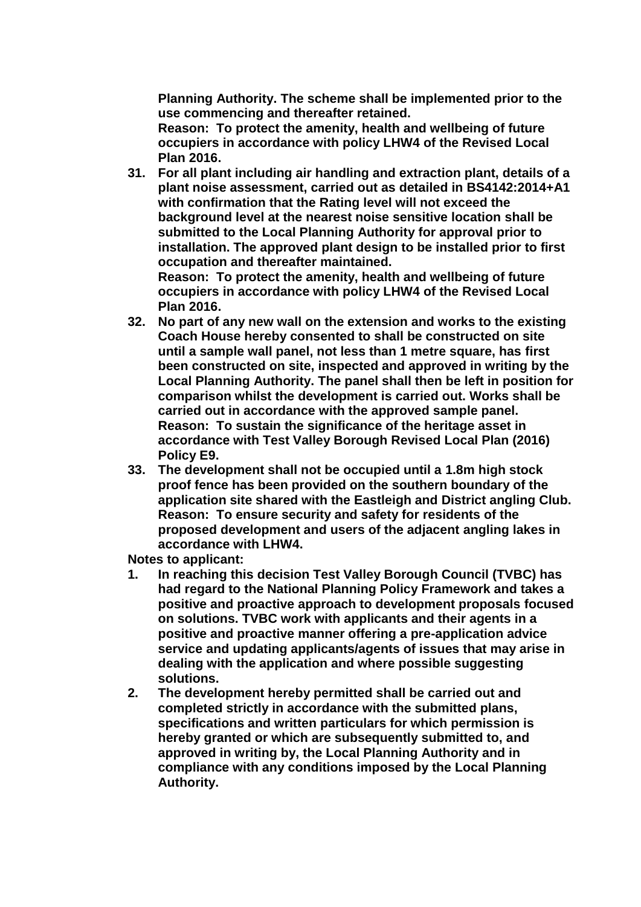**Planning Authority. The scheme shall be implemented prior to the use commencing and thereafter retained.** 

**Reason: To protect the amenity, health and wellbeing of future occupiers in accordance with policy LHW4 of the Revised Local Plan 2016.**

**31. For all plant including air handling and extraction plant, details of a plant noise assessment, carried out as detailed in BS4142:2014+A1 with confirmation that the Rating level will not exceed the background level at the nearest noise sensitive location shall be submitted to the Local Planning Authority for approval prior to installation. The approved plant design to be installed prior to first occupation and thereafter maintained.**

**Reason: To protect the amenity, health and wellbeing of future occupiers in accordance with policy LHW4 of the Revised Local Plan 2016.**

- **32. No part of any new wall on the extension and works to the existing Coach House hereby consented to shall be constructed on site until a sample wall panel, not less than 1 metre square, has first been constructed on site, inspected and approved in writing by the Local Planning Authority. The panel shall then be left in position for comparison whilst the development is carried out. Works shall be carried out in accordance with the approved sample panel. Reason: To sustain the significance of the heritage asset in accordance with Test Valley Borough Revised Local Plan (2016) Policy E9.**
- **33. The development shall not be occupied until a 1.8m high stock proof fence has been provided on the southern boundary of the application site shared with the Eastleigh and District angling Club. Reason: To ensure security and safety for residents of the proposed development and users of the adjacent angling lakes in accordance with LHW4.**

**Notes to applicant:**

- **1. In reaching this decision Test Valley Borough Council (TVBC) has had regard to the National Planning Policy Framework and takes a positive and proactive approach to development proposals focused on solutions. TVBC work with applicants and their agents in a positive and proactive manner offering a pre-application advice service and updating applicants/agents of issues that may arise in dealing with the application and where possible suggesting solutions.**
- **2. The development hereby permitted shall be carried out and completed strictly in accordance with the submitted plans, specifications and written particulars for which permission is hereby granted or which are subsequently submitted to, and approved in writing by, the Local Planning Authority and in compliance with any conditions imposed by the Local Planning Authority.**